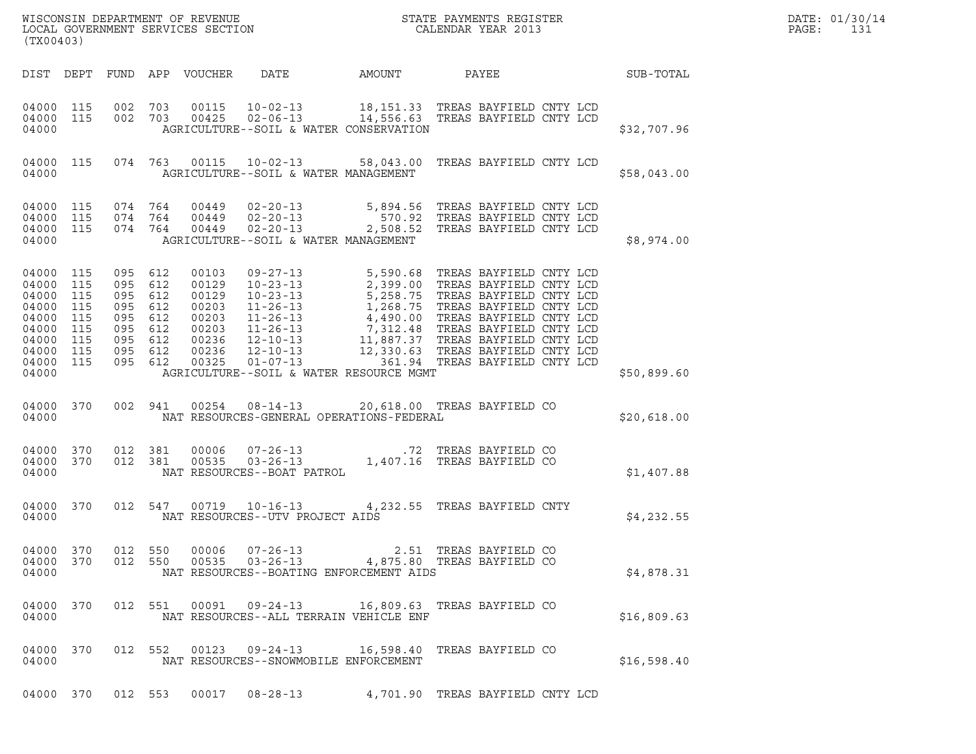| (TX00403)                                                                                  |                                                      |                                                                                             |         |                                                                               |                                                                             |                                                                                                                                                                                                                                          |             | DATE: 01/30/14<br>PAGE:<br>131 |
|--------------------------------------------------------------------------------------------|------------------------------------------------------|---------------------------------------------------------------------------------------------|---------|-------------------------------------------------------------------------------|-----------------------------------------------------------------------------|------------------------------------------------------------------------------------------------------------------------------------------------------------------------------------------------------------------------------------------|-------------|--------------------------------|
|                                                                                            |                                                      |                                                                                             |         | DIST DEPT FUND APP VOUCHER                                                    | DATE                                                                        | AMOUNT PAYEE SUB-TOTAL                                                                                                                                                                                                                   |             |                                |
| 04000                                                                                      | 04000 115 002 703<br>04000 115 002 703               |                                                                                             |         | 00115<br>00425                                                                | AGRICULTURE--SOIL & WATER CONSERVATION                                      | 10-02-13 18,151.33 TREAS BAYFIELD CNTY LCD<br>02-06-13 14,556.63 TREAS BAYFIELD CNTY LCD                                                                                                                                                 | \$32,707.96 |                                |
| 04000 115<br>04000                                                                         |                                                      |                                                                                             |         |                                                                               | AGRICULTURE--SOIL & WATER MANAGEMENT                                        | 074  763  00115  10-02-13  58,043.00  TREAS BAYFIELD CNTY LCD                                                                                                                                                                            | \$58,043.00 |                                |
| 04000 115<br>04000 115<br>04000 115<br>04000                                               |                                                      | 074 764<br>074 764<br>074 764                                                               |         | 00449<br>00449<br>00449                                                       | AGRICULTURE--SOIL & WATER MANAGEMENT                                        | 02-20-13 5,894.56 TREAS BAYFIELD CNTY LCD<br>02-20-13 570.92 TREAS BAYFIELD CNTY LCD<br>02-20-13 2,508.52 TREAS BAYFIELD CNTY LCD                                                                                                        | \$8,974.00  |                                |
| 04000 115<br>04000<br>04000<br>04000<br>04000<br>04000<br>04000<br>04000<br>04000<br>04000 | 115<br>115<br>115<br>115<br>115<br>115<br>115<br>115 | 095 612<br>095 612<br>095<br>095 612<br>095 612<br>095 612<br>095 612<br>095 612<br>095 612 | 612     | 00103<br>00129<br>00129<br>00203<br>00203<br>00203<br>00236<br>00236<br>00325 | AGRICULTURE--SOIL & WATER RESOURCE MGMT                                     | 09-27-13 5,590.68 TREAS BAYFIELD CNTY LCD<br>10-23-13 2,399.00 TREAS BAYFIELD CNTY LCD<br>10-23-13 5,258.75 TREAS BAYFIELD CNTY LCD<br>11-26-13 1,268.75 TREAS BAYFIELD CNTY LCD<br>11-26-13 4,490.00 TREAS BAYFIELD CNTY LCD<br>11-26-1 | \$50,899.60 |                                |
| 04000                                                                                      | 04000 370                                            | 002 941                                                                                     |         |                                                                               | NAT RESOURCES-GENERAL OPERATIONS-FEDERAL                                    | 00254  08-14-13  20,618.00  TREAS BAYFIELD CO                                                                                                                                                                                            | \$20,618.00 |                                |
| 04000 370<br>04000 370<br>04000                                                            |                                                      | 012 381                                                                                     | 012 381 | 00006<br>00535                                                                | NAT RESOURCES--BOAT PATROL                                                  | $07-26-13$<br>$03-26-13$<br>$03-26-13$<br>$03-26-13$<br>$03-26-13$<br>$03-26-13$<br>$03-26-13$<br>$03-26-13$<br>$03-26-13$<br>$03-26-13$<br>$03-26-13$<br>$03-26-13$<br>$03-26-13$<br>$03-26-13$<br>$03-26-13$<br>$03-26-13$             | \$1,407.88  |                                |
| 04000 370<br>04000                                                                         |                                                      |                                                                                             |         |                                                                               | NAT RESOURCES--UTV PROJECT AIDS                                             | 012 547 00719 10-16-13 4,232.55 TREAS BAYFIELD CNTY                                                                                                                                                                                      | \$4,232.55  |                                |
| 04000 370<br>04000 370<br>04000                                                            |                                                      | 012 550<br>012 550                                                                          |         | 00006<br>00535                                                                | $07 - 26 - 13$<br>$03 - 26 - 13$<br>NAT RESOURCES--BOATING ENFORCEMENT AIDS | 2.51 TREAS BAYFIELD CO<br>4,875.80 TREAS BAYFIELD CO                                                                                                                                                                                     | \$4,878.31  |                                |
| 04000 370<br>04000                                                                         |                                                      | 012 551                                                                                     |         |                                                                               | 00091 09-24-13<br>NAT RESOURCES--ALL TERRAIN VEHICLE ENF                    | 16,809.63 TREAS BAYFIELD CO                                                                                                                                                                                                              | \$16,809.63 |                                |
| 04000 370<br>04000                                                                         |                                                      |                                                                                             | 012 552 |                                                                               | 00123 09-24-13<br>NAT RESOURCES--SNOWMOBILE ENFORCEMENT                     | 16,598.40 TREAS BAYFIELD CO                                                                                                                                                                                                              | \$16,598.40 |                                |

04000 370 012 553 00017 08-28-13 4,701.90 TREAS BAYFIELD CNTY LCD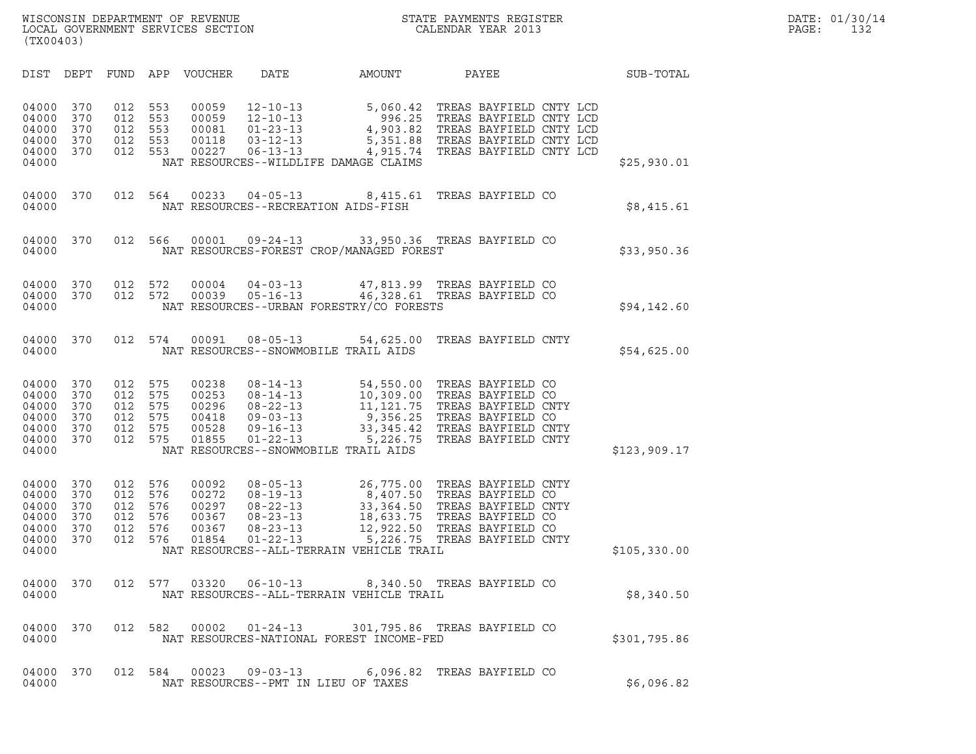| (TX00403)                                                   |                                        |                                        |                                        |                                                    |                                                                                                          |                                                                                                                      |                                                                                                                                     |              |
|-------------------------------------------------------------|----------------------------------------|----------------------------------------|----------------------------------------|----------------------------------------------------|----------------------------------------------------------------------------------------------------------|----------------------------------------------------------------------------------------------------------------------|-------------------------------------------------------------------------------------------------------------------------------------|--------------|
| DIST                                                        | DEPT                                   | FUND                                   | APP                                    | <b>VOUCHER</b>                                     | DATE                                                                                                     | AMOUNT                                                                                                               | PAYEE                                                                                                                               | SUB-TOTAL    |
| 04000<br>04000<br>04000<br>04000<br>04000<br>04000          | 370<br>370<br>370<br>370<br>370        | 012<br>012<br>012<br>012<br>012        | 553<br>553<br>553<br>553<br>553        | 00059<br>00059<br>00081<br>00118<br>00227          | $12 - 10 - 13$<br>$12 - 10 - 13$<br>$01 - 23 - 13$<br>$03 - 12 - 13$<br>$06 - 13 - 13$                   | 5,060.42<br>996.25<br>4,903.82<br>5,351.88<br>4,915.74<br>NAT RESOURCES--WILDLIFE DAMAGE CLAIMS                      | TREAS BAYFIELD CNTY LCD<br>TREAS BAYFIELD CNTY LCD<br>TREAS BAYFIELD CNTY LCD<br>TREAS BAYFIELD CNTY LCD<br>TREAS BAYFIELD CNTY LCD | \$25,930.01  |
| 04000<br>04000                                              | 370                                    | 012                                    | 564                                    | 00233                                              | $04 - 05 - 13$                                                                                           | 8,415.61<br>NAT RESOURCES--RECREATION AIDS-FISH                                                                      | TREAS BAYFIELD CO                                                                                                                   | \$8,415.61   |
| 04000<br>04000                                              | 370                                    | 012                                    | 566                                    | 00001                                              | $09 - 24 - 13$                                                                                           | NAT RESOURCES-FOREST CROP/MANAGED FOREST                                                                             | 33,950.36 TREAS BAYFIELD CO                                                                                                         | \$33,950.36  |
| 04000<br>04000<br>04000                                     | 370<br>370                             | 012<br>012                             | 572<br>572                             | 00004<br>00039                                     | $04 - 03 - 13$<br>$05 - 16 - 13$                                                                         | 47,813.99<br>46,328.61<br>NAT RESOURCES--URBAN FORESTRY/CO FORESTS                                                   | TREAS BAYFIELD CO<br>TREAS BAYFIELD CO                                                                                              | \$94,142.60  |
| 04000<br>04000                                              | 370                                    | 012                                    | 574                                    | 00091                                              | $08 - 05 - 13$                                                                                           | 54,625.00<br>NAT RESOURCES--SNOWMOBILE TRAIL AIDS                                                                    | TREAS BAYFIELD CNTY                                                                                                                 | \$54,625.00  |
| 04000<br>04000<br>04000<br>04000<br>04000<br>04000<br>04000 | 370<br>370<br>370<br>370<br>370<br>370 | 012<br>012<br>012<br>012<br>012<br>012 | 575<br>575<br>575<br>575<br>575<br>575 | 00238<br>00253<br>00296<br>00418<br>00528<br>01855 | $08 - 14 - 13$<br>$08 - 14 - 13$<br>$08 - 22 - 13$<br>$09 - 03 - 13$<br>$09 - 16 - 13$<br>$01 - 22 - 13$ | 54,550.00<br>10,309.00<br>11,121.75<br>9,356.25<br>33,345.42<br>5,226.75<br>NAT RESOURCES--SNOWMOBILE TRAIL AIDS     | TREAS BAYFIELD CO<br>TREAS BAYFIELD CO<br>TREAS BAYFIELD CNTY<br>TREAS BAYFIELD CO<br>TREAS BAYFIELD CNTY<br>TREAS BAYFIELD CNTY    | \$123,909.17 |
| 04000<br>04000<br>04000<br>04000<br>04000<br>04000<br>04000 | 370<br>370<br>370<br>370<br>370<br>370 | 012<br>012<br>012<br>012<br>012<br>012 | 576<br>576<br>576<br>576<br>576<br>576 | 00092<br>00272<br>00297<br>00367<br>00367<br>01854 | $08 - 05 - 13$<br>$08 - 19 - 13$<br>$08 - 22 - 13$<br>$08 - 23 - 13$<br>$08 - 23 - 13$<br>$01 - 22 - 13$ | 26,775.00<br>8,407.50<br>33,364.50<br>18,633.75<br>12,922.50<br>5,226.75<br>NAT RESOURCES--ALL-TERRAIN VEHICLE TRAIL | TREAS BAYFIELD CNTY<br>TREAS BAYFIELD CO<br>TREAS BAYFIELD CNTY<br>TREAS BAYFIELD CO<br>TREAS BAYFIELD CO<br>TREAS BAYFIELD CNTY    | \$105,330.00 |
| 04000<br>04000                                              | 370                                    | 012                                    | 577                                    | 03320                                              | $06 - 10 - 13$                                                                                           | 8,340.50<br>NAT RESOURCES--ALL-TERRAIN VEHICLE TRAIL                                                                 | TREAS BAYFIELD CO                                                                                                                   | \$8,340.50   |
| 04000<br>04000                                              | 370                                    | 012                                    | 582                                    |                                                    | 00002  01-24-13                                                                                          | NAT RESOURCES-NATIONAL FOREST INCOME-FED                                                                             | 301,795.86 TREAS BAYFIELD CO                                                                                                        | \$301,795.86 |
| 04000<br>04000                                              | 370                                    | 012                                    | 584                                    |                                                    |                                                                                                          | 00023  09-03-13  6,096.82  TREAS BAYFIELD CO<br>NAT RESOURCES--PMT IN LIEU OF TAXES                                  |                                                                                                                                     | \$6,096.82   |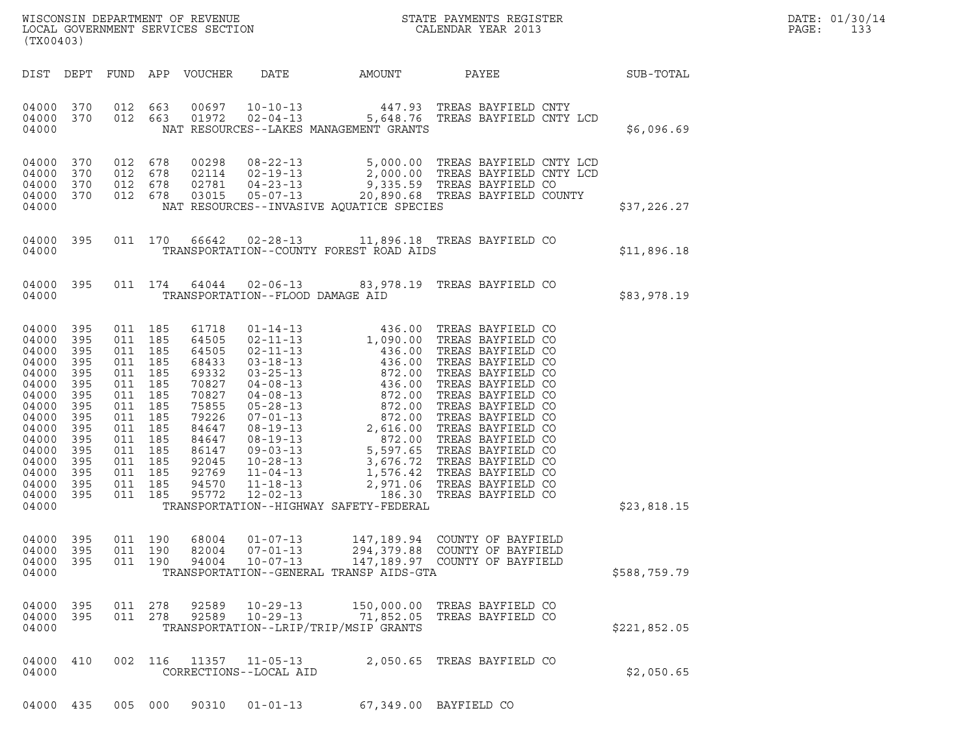| WISCONSIN DEPARTMENT OF REVENUE   | STATE PAYMENTS REGISTER | DATE: 01/30/14 |
|-----------------------------------|-------------------------|----------------|
| LOCAL GOVERNMENT SERVICES SECTION | CALENDAR YEAR 2013      | PAGE:          |

| (TX00403)                                                                                                                                                 |                                                                                                       |                                                                                                                                                                              |                           |                                                                                                                                              |                                              |                                                    | WISCONSIN DEPARTMENT OF REVENUE<br>LOCAL GOVERNMENT SERVICES SECTION THE SERVICES OF CALENDAR YEAR 2013                                                                   |              | DATE: 01/30/14<br>PAGE:<br>133 |
|-----------------------------------------------------------------------------------------------------------------------------------------------------------|-------------------------------------------------------------------------------------------------------|------------------------------------------------------------------------------------------------------------------------------------------------------------------------------|---------------------------|----------------------------------------------------------------------------------------------------------------------------------------------|----------------------------------------------|----------------------------------------------------|---------------------------------------------------------------------------------------------------------------------------------------------------------------------------|--------------|--------------------------------|
| DIST DEPT                                                                                                                                                 |                                                                                                       |                                                                                                                                                                              |                           | FUND APP VOUCHER                                                                                                                             | DATE                                         | AMOUNT PAYEE                                       |                                                                                                                                                                           | SUB-TOTAL    |                                |
| 04000 370<br>04000 370<br>04000                                                                                                                           |                                                                                                       | 012 663                                                                                                                                                                      | 012 663                   | 00697<br>01972                                                                                                                               |                                              | NAT RESOURCES--LAKES MANAGEMENT GRANTS             | 10-10-13 447.93 TREAS BAYFIELD CNTY<br>02-04-13 5,648.76 TREAS BAYFIELD CNTY LCD                                                                                          | \$6,096.69   |                                |
| 04000<br>04000<br>04000<br>04000 370<br>04000                                                                                                             | 370<br>370<br>370                                                                                     | 012 678<br>012 678<br>012 678<br>012 678                                                                                                                                     |                           | 00298<br>02114<br>02781<br>03015                                                                                                             |                                              | NAT RESOURCES--INVASIVE AQUATICE SPECIES           | 08-22-13 5,000.00 TREAS BAYFIELD CNTY LCD<br>02-19-13 2,000.00 TREAS BAYFIELD CNTY LCD<br>04-23-13 9,335.59 TREAS BAYFIELD CO<br>05-07-13 20,890.68 TREAS BAYFIELD COUNTY | \$37,226.27  |                                |
| 04000 395<br>04000                                                                                                                                        |                                                                                                       |                                                                                                                                                                              | 011 170                   | 66642                                                                                                                                        |                                              | TRANSPORTATION--COUNTY FOREST ROAD AIDS            | 02-28-13 11,896.18 TREAS BAYFIELD CO                                                                                                                                      | \$11,896.18  |                                |
| 04000 395<br>04000                                                                                                                                        |                                                                                                       |                                                                                                                                                                              | 011 174                   | 64044                                                                                                                                        | TRANSPORTATION--FLOOD DAMAGE AID             |                                                    | 02-06-13 83,978.19 TREAS BAYFIELD CO                                                                                                                                      | \$83,978.19  |                                |
| 04000<br>04000<br>04000<br>04000<br>04000<br>04000<br>04000<br>04000<br>04000<br>04000<br>04000<br>04000<br>04000<br>04000<br>04000<br>04000 395<br>04000 | 395<br>395<br>395<br>395<br>395<br>395<br>395<br>395<br>395<br>395<br>395<br>395<br>395<br>395<br>395 | 011 185<br>011 185<br>011 185<br>011 185<br>011 185<br>011 185<br>011 185<br>011 185<br>011 185<br>011 185<br>011 185<br>011 185<br>011 185<br>011 185<br>011 185<br>011 185 |                           | 61718<br>64505<br>64505<br>68433<br>69332<br>70827<br>70827<br>75855<br>79226<br>84647<br>84647<br>86147<br>92045<br>92769<br>94570<br>95772 |                                              | TRANSPORTATION--HIGHWAY SAFETY-FEDERAL             |                                                                                                                                                                           | \$23,818.15  |                                |
| 04000 395<br>04000<br>04000<br>04000                                                                                                                      | 395<br>395                                                                                            | 011                                                                                                                                                                          | 011 190<br>190<br>011 190 | 68004<br>82004<br>94004                                                                                                                      | 01-07-13<br>$07 - 01 - 13$<br>$10 - 07 - 13$ | TRANSPORTATION--GENERAL TRANSP AIDS-GTA            | 147,189.94 COUNTY OF BAYFIELD<br>294,379.88 COUNTY OF BAYFIELD<br>147,189.97 COUNTY OF BAYFIELD                                                                           | \$588,759.79 |                                |
| 04000 395<br>04000 395<br>04000                                                                                                                           |                                                                                                       | 011 278                                                                                                                                                                      | 011 278                   | 92589<br>92589                                                                                                                               | $10 - 29 - 13$<br>$10 - 29 - 13$             | 71,852.05<br>TRANSPORTATION--LRIP/TRIP/MSIP GRANTS | 150,000.00 TREAS BAYFIELD CO<br>TREAS BAYFIELD CO                                                                                                                         | \$221,852.05 |                                |
| 04000<br>04000                                                                                                                                            | 410                                                                                                   |                                                                                                                                                                              | 002 116                   |                                                                                                                                              | 11357 11-05-13<br>CORRECTIONS--LOCAL AID     |                                                    | 2,050.65 TREAS BAYFIELD CO                                                                                                                                                | \$2,050.65   |                                |
| 04000 435                                                                                                                                                 |                                                                                                       | 005 000                                                                                                                                                                      |                           | 90310                                                                                                                                        | $01 - 01 - 13$                               |                                                    | 67,349.00 BAYFIELD CO                                                                                                                                                     |              |                                |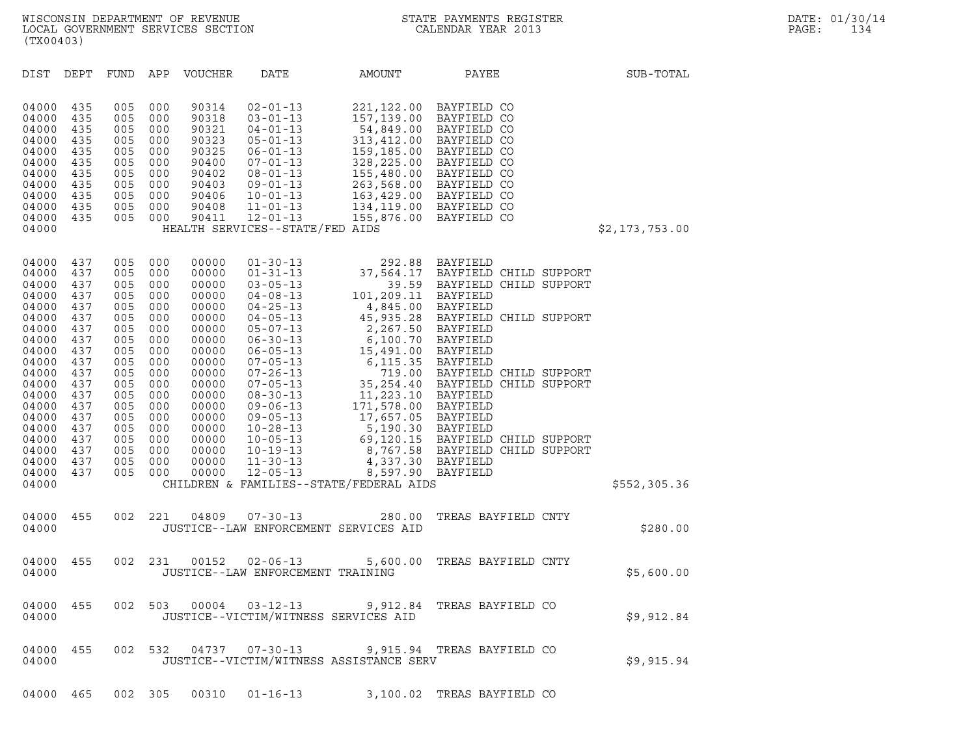| (TX00403)                                                                                                                                                                                 |                                                                                                                                          |                                                                                                                                          |                                                                                                                                          |                                                                                                                                                                                  |                                                                                                                                                                                                                                                                                                                                                                      |                                                                                                                                                                                                                                                                              |                                                                                                                                                                                                                                                                                                                                                     |                |
|-------------------------------------------------------------------------------------------------------------------------------------------------------------------------------------------|------------------------------------------------------------------------------------------------------------------------------------------|------------------------------------------------------------------------------------------------------------------------------------------|------------------------------------------------------------------------------------------------------------------------------------------|----------------------------------------------------------------------------------------------------------------------------------------------------------------------------------|----------------------------------------------------------------------------------------------------------------------------------------------------------------------------------------------------------------------------------------------------------------------------------------------------------------------------------------------------------------------|------------------------------------------------------------------------------------------------------------------------------------------------------------------------------------------------------------------------------------------------------------------------------|-----------------------------------------------------------------------------------------------------------------------------------------------------------------------------------------------------------------------------------------------------------------------------------------------------------------------------------------------------|----------------|
| DIST                                                                                                                                                                                      | DEPT                                                                                                                                     | FUND                                                                                                                                     | APP                                                                                                                                      | VOUCHER                                                                                                                                                                          | DATE                                                                                                                                                                                                                                                                                                                                                                 | AMOUNT                                                                                                                                                                                                                                                                       | PAYEE                                                                                                                                                                                                                                                                                                                                               | SUB-TOTAL      |
| 04000<br>04000<br>04000<br>04000<br>04000<br>04000<br>04000<br>04000<br>04000<br>04000<br>04000<br>04000                                                                                  | 435<br>435<br>435<br>435<br>435<br>435<br>435<br>435<br>435<br>435<br>435                                                                | 005<br>005<br>005<br>005<br>005<br>005<br>005<br>005<br>005<br>005<br>005                                                                | 000<br>000<br>000<br>000<br>000<br>000<br>000<br>000<br>000<br>000<br>000                                                                | 90314<br>90318<br>90321<br>90323<br>90325<br>90400<br>90402<br>90403<br>90406<br>90408<br>90411                                                                                  | $02 - 01 - 13$<br>$03 - 01 - 13$<br>$04 - 01 - 13$<br>$05 - 01 - 13$<br>$06 - 01 - 13$<br>$07 - 01 - 13$<br>$08 - 01 - 13$<br>$09 - 01 - 13$<br>$10 - 01 - 13$<br>$11 - 01 - 13$<br>$12 - 01 - 13$<br>HEALTH SERVICES--STATE/FED AIDS                                                                                                                                | 221,122.00<br>155,876.00                                                                                                                                                                                                                                                     | BAYFIELD CO<br>157,139.00 BAYFIELD CO<br>54,849.00 BAYFIELD CO<br>313,412.00 BAYFIELD CO<br>159,185.00 BAYFIELD CO<br>328,225.00 BAYFIELD CO<br>155,480.00 BAYFIELD CO<br>263,568.00 BAYFIELD CO<br>163,429.00 BAYFIELD CO<br>134,119.00 BAYFIELD CO<br>BAYFIELD CO                                                                                 | \$2,173,753.00 |
| 04000<br>04000<br>04000<br>04000<br>04000<br>04000<br>04000<br>04000<br>04000<br>04000<br>04000<br>04000<br>04000<br>04000<br>04000<br>04000<br>04000<br>04000<br>04000<br>04000<br>04000 | 437<br>437<br>437<br>437<br>437<br>437<br>437<br>437<br>437<br>437<br>437<br>437<br>437<br>437<br>437<br>437<br>437<br>437<br>437<br>437 | 005<br>005<br>005<br>005<br>005<br>005<br>005<br>005<br>005<br>005<br>005<br>005<br>005<br>005<br>005<br>005<br>005<br>005<br>005<br>005 | 000<br>000<br>000<br>000<br>000<br>000<br>000<br>000<br>000<br>000<br>000<br>000<br>000<br>000<br>000<br>000<br>000<br>000<br>000<br>000 | 00000<br>00000<br>00000<br>00000<br>00000<br>00000<br>00000<br>00000<br>00000<br>00000<br>00000<br>00000<br>00000<br>00000<br>00000<br>00000<br>00000<br>00000<br>00000<br>00000 | $01 - 30 - 13$<br>$01 - 31 - 13$<br>$03 - 05 - 13$<br>$04 - 08 - 13$<br>$04 - 25 - 13$<br>$04 - 05 - 13$<br>$05 - 07 - 13$<br>$06 - 30 - 13$<br>$06 - 05 - 13$<br>$07 - 05 - 13$<br>$07 - 26 - 13$<br>$07 - 05 - 13$<br>$08 - 30 - 13$<br>$09 - 06 - 13$<br>$09 - 05 - 13$<br>$10 - 28 - 13$<br>$10 - 05 - 13$<br>$10 - 19 - 13$<br>$11 - 30 - 13$<br>$12 - 05 - 13$ | 292.88<br>37,564.17<br>39.59<br>101,209.11<br>4,845.00<br>2,267.50<br>6,100.70<br>15,491.00<br>6,115.35<br>719.00<br>11,223.10 BAYFIELD<br>171,578.00 BAYFIELD<br>17,657.05<br>5,190.30 BAYFIELD<br>4,337.30<br>8,597.90 BAYFIELD<br>CHILDREN & FAMILIES--STATE/FEDERAL AIDS | <b>BAYFIELD</b><br>BAYFIELD CHILD SUPPORT<br>BAYFIELD CHILD SUPPORT<br>BAYFIELD<br>BAYFIELD<br>45,935.28 BAYFIELD CHILD SUPPORT<br>BAYFIELD<br>BAYFIELD<br><b>BAYFIELD</b><br>BAYFIELD<br>BAYFIELD CHILD SUPPORT<br>35,254.40 BAYFIELD CHILD SUPPORT<br>BAYFIELD<br>69,120.15 BAYFIELD CHILD SUPPORT<br>8,767.58 BAYFIELD CHILD SUPPORT<br>BAYFIELD | \$552,305.36   |
| 04000<br>04000                                                                                                                                                                            | 455                                                                                                                                      | 002                                                                                                                                      | 221                                                                                                                                      | 04809                                                                                                                                                                            | $07 - 30 - 13$                                                                                                                                                                                                                                                                                                                                                       | 280.00<br>JUSTICE--LAW ENFORCEMENT SERVICES AID                                                                                                                                                                                                                              | TREAS BAYFIELD CNTY                                                                                                                                                                                                                                                                                                                                 | \$280.00       |
| 04000<br>04000                                                                                                                                                                            | 455                                                                                                                                      | 002                                                                                                                                      | 231                                                                                                                                      | 00152                                                                                                                                                                            | $02 - 06 - 13$<br>JUSTICE--LAW ENFORCEMENT TRAINING                                                                                                                                                                                                                                                                                                                  | 5,600.00                                                                                                                                                                                                                                                                     | TREAS BAYFIELD CNTY                                                                                                                                                                                                                                                                                                                                 | \$5,600.00     |
| 04000<br>04000                                                                                                                                                                            | 455                                                                                                                                      |                                                                                                                                          | 002 503                                                                                                                                  |                                                                                                                                                                                  | $00004$ $03 - 12 - 13$                                                                                                                                                                                                                                                                                                                                               | JUSTICE--VICTIM/WITNESS SERVICES AID                                                                                                                                                                                                                                         | 9,912.84 TREAS BAYFIELD CO                                                                                                                                                                                                                                                                                                                          | \$9,912.84     |
| 04000<br>04000                                                                                                                                                                            | 455                                                                                                                                      |                                                                                                                                          | 002 532                                                                                                                                  | 04737                                                                                                                                                                            | $07 - 30 - 13$                                                                                                                                                                                                                                                                                                                                                       | JUSTICE--VICTIM/WITNESS ASSISTANCE SERV                                                                                                                                                                                                                                      | 9,915.94 TREAS BAYFIELD CO                                                                                                                                                                                                                                                                                                                          | \$9,915.94     |

04000 465 002 305 00310 01-16-13 3,100.02 TREAS BAYFIELD CO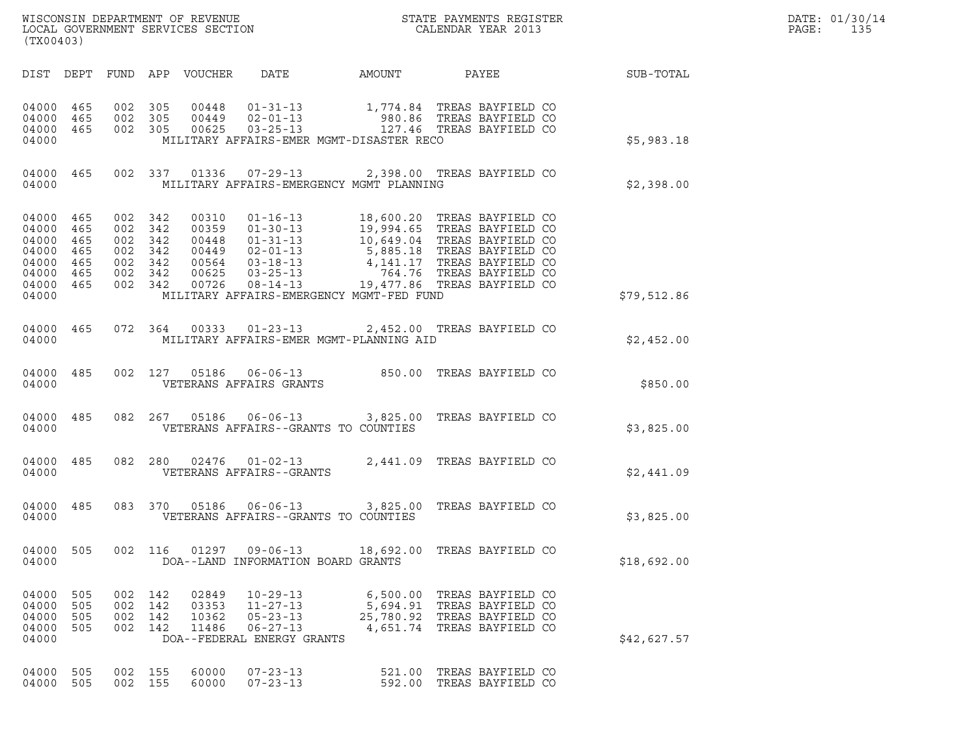| DATE: | 01/30/14 |
|-------|----------|
| PAGF: | 135      |

| (TX00403)                                                                    |                                 |                                                        |                       |                                                             |                                                                                                    |                                   | WISCONSIN DEPARTMENT OF REVENUE<br>LOCAL GOVERNMENT SERVICES SECTION<br>CALENDAR YEAR 2013                                                                                                                                                                                                        |                 | DATE: 01/30/14<br>PAGE:<br>135 |  |
|------------------------------------------------------------------------------|---------------------------------|--------------------------------------------------------|-----------------------|-------------------------------------------------------------|----------------------------------------------------------------------------------------------------|-----------------------------------|---------------------------------------------------------------------------------------------------------------------------------------------------------------------------------------------------------------------------------------------------------------------------------------------------|-----------------|--------------------------------|--|
| DIST DEPT                                                                    |                                 |                                                        |                       | FUND APP VOUCHER                                            | DATE                                                                                               | AMOUNT                            |                                                                                                                                                                                                                                                                                                   | PAYEE SUB-TOTAL |                                |  |
| 04000 465<br>04000<br>04000 465<br>04000                                     | 465                             | 002 305<br>002<br>002 305                              | 305                   | 00448<br>00449<br>00625                                     | MILITARY AFFAIRS-EMER MGMT-DISASTER RECO                                                           |                                   | 01-31-13 1,774.84 TREAS BAYFIELD CO<br>02-01-13 980.86 TREAS BAYFIELD CO<br>03-25-13 127.46 TREAS BAYFIELD CO                                                                                                                                                                                     |                 | \$5,983.18                     |  |
| 04000 465<br>04000                                                           |                                 |                                                        |                       | 002 337 01336                                               | MILITARY AFFAIRS-EMERGENCY MGMT PLANNING                                                           |                                   | 07-29-13 2,398.00 TREAS BAYFIELD CO                                                                                                                                                                                                                                                               |                 | \$2,398.00                     |  |
| 04000 465<br>04000<br>04000<br>04000<br>04000<br>04000<br>04000 465<br>04000 | 465<br>465<br>465<br>465<br>465 | 002 342<br>002<br>002 342<br>002 342<br>002 342<br>002 | 342<br>342<br>002 342 | 00310<br>00359<br>00448<br>00449<br>00564<br>00625<br>00726 | $01 - 16 - 13$<br>MILITARY AFFAIRS-EMERGENCY MGMT-FED FUND                                         |                                   | 18,600.20 TREAS BAYFIELD CO<br>01-30-13<br>01-30-13<br>19,994.65<br>19,994.65<br>19,994.65<br>19,994.65<br>TREAS BAYFIELD CO<br>02-01-13<br>5,885.18<br>14,141.17<br>TREAS BAYFIELD CO<br>03-18-13<br>4,141.17<br>764.76<br>TREAS BAYFIELD CO<br>03-25-13<br>764.76<br>TREAS BAYFIELD CO<br>03-14 |                 | \$79,512.86                    |  |
| 04000 465<br>04000                                                           |                                 |                                                        |                       |                                                             | MILITARY AFFAIRS-EMER MGMT-PLANNING AID                                                            |                                   | 072  364  00333  01-23-13  2,452.00 TREAS BAYFIELD CO                                                                                                                                                                                                                                             |                 | \$2,452.00                     |  |
| 04000 485<br>04000                                                           |                                 |                                                        |                       |                                                             | VETERANS AFFAIRS GRANTS                                                                            |                                   | 002 127 05186 06-06-13 850.00 TREAS BAYFIELD CO                                                                                                                                                                                                                                                   |                 | \$850.00                       |  |
| 04000<br>04000                                                               | 485                             |                                                        |                       |                                                             | VETERANS AFFAIRS--GRANTS TO COUNTIES                                                               |                                   | 082  267  05186  06-06-13  3,825.00 TREAS BAYFIELD CO                                                                                                                                                                                                                                             |                 | \$3,825.00                     |  |
| 04000 485<br>04000                                                           |                                 |                                                        | 082 280               |                                                             | VETERANS AFFAIRS--GRANTS                                                                           |                                   | $02476$ $01-02-13$ 2,441.09 TREAS BAYFIELD CO                                                                                                                                                                                                                                                     |                 | \$2,441.09                     |  |
| 04000<br>04000                                                               | 485                             |                                                        |                       |                                                             | VETERANS AFFAIRS--GRANTS TO COUNTIES                                                               |                                   | 083 370 05186 06-06-13 3,825.00 TREAS BAYFIELD CO                                                                                                                                                                                                                                                 |                 | \$3,825.00                     |  |
| 04000<br>04000                                                               | 505                             | 002                                                    | 116                   | 01297                                                       | $09 - 06 - 13$<br>DOA--LAND INFORMATION BOARD GRANTS                                               |                                   | 18,692.00 TREAS BAYFIELD CO                                                                                                                                                                                                                                                                       |                 | \$18,692.00                    |  |
| 04000<br>04000<br>04000<br>04000<br>04000                                    | 505<br>505<br>505<br>505        | 002 142<br>002<br>002                                  | 142<br>142<br>002 142 | 02849<br>03353<br>10362<br>11486                            | $10 - 29 - 13$<br>$11 - 27 - 13$<br>$05 - 23 - 13$<br>$06 - 27 - 13$<br>DOA--FEDERAL ENERGY GRANTS | 6,500.00<br>5,694.91<br>25,780.92 | TREAS BAYFIELD CO<br>TREAS BAYFIELD CO<br>TREAS BAYFIELD CO<br>4,651.74 TREAS BAYFIELD CO                                                                                                                                                                                                         |                 | \$42,627.57                    |  |
| 04000<br>04000                                                               | 505<br>505                      | 002<br>002 155                                         | 155                   | 60000<br>60000                                              | $07 - 23 - 13$<br>$07 - 23 - 13$                                                                   | 521.00                            | TREAS BAYFIELD CO<br>592.00 TREAS BAYFIELD CO                                                                                                                                                                                                                                                     |                 |                                |  |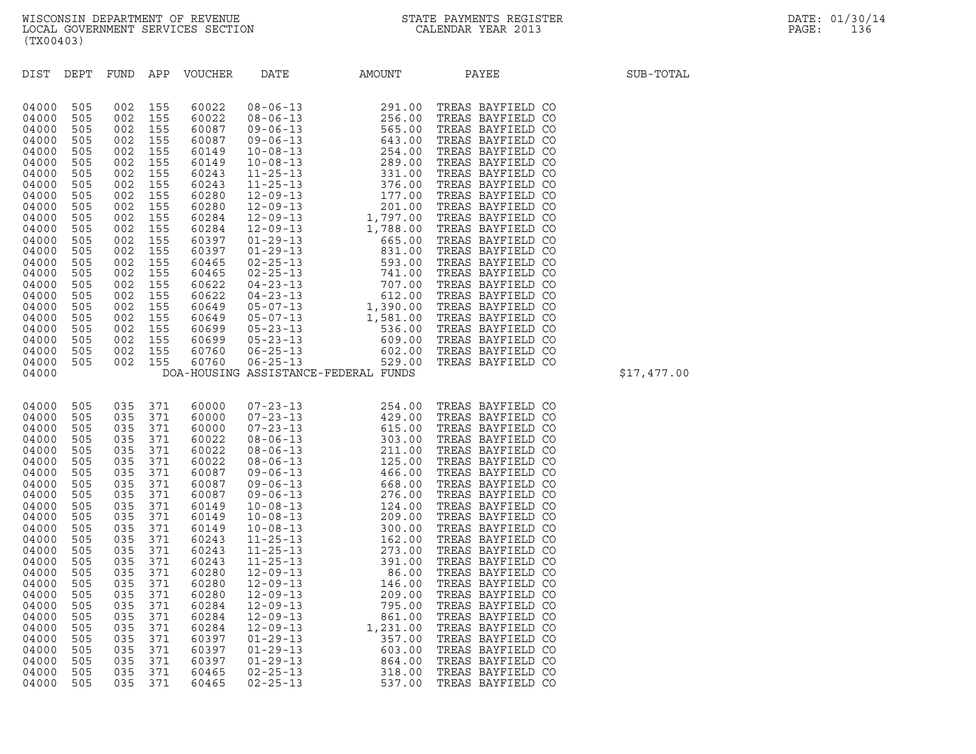| (TX00403)                                                                                                                                                                                                                |                                                                                                                                                                                   |                                                                                                                                                            |                                                                                                                |                                                                                                                                                                                                                                        |                                      |                   |             |
|--------------------------------------------------------------------------------------------------------------------------------------------------------------------------------------------------------------------------|-----------------------------------------------------------------------------------------------------------------------------------------------------------------------------------|------------------------------------------------------------------------------------------------------------------------------------------------------------|----------------------------------------------------------------------------------------------------------------|----------------------------------------------------------------------------------------------------------------------------------------------------------------------------------------------------------------------------------------|--------------------------------------|-------------------|-------------|
|                                                                                                                                                                                                                          |                                                                                                                                                                                   |                                                                                                                                                            |                                                                                                                | DIST DEPT FUND APP VOUCHER                                                                                                                                                                                                             |                                      | DATE AMOUNT PAYEE | SUB-TOTAL   |
| 04000 505<br>04000<br>04000<br>04000<br>04000<br>04000<br>04000<br>04000<br>04000<br>04000<br>04000<br>04000<br>04000<br>04000<br>04000<br>04000<br>04000<br>04000<br>04000<br>04000<br>04000<br>04000<br>04000<br>04000 | 04000 505<br>505<br>505<br>505<br>505<br>505<br>505<br>505<br>505<br>505<br>505<br>505<br>505<br>505<br>505<br>505<br>505<br>505<br>505<br>505<br>505                             |                                                                                                                                                            |                                                                                                                | 505 002 155 60760<br>505 002 155 60760                                                                                                                                                                                                 | DOA-HOUSING ASSISTANCE-FEDERAL FUNDS |                   | \$17,477.00 |
| 04000<br>04000<br>04000<br>04000<br>04000<br>04000<br>04000<br>04000<br>04000<br>04000<br>04000<br>04000<br>04000<br>04000<br>04000<br>04000<br>04000<br>04000<br>04000<br>04000<br>04000                                | 04000 505 035 371<br>04000 505<br>505<br>505<br>505<br>505<br>505<br>505<br>505<br>505<br>505<br>505<br>505<br>505<br>505<br>505<br>505<br>505<br>505<br>505<br>505<br>505<br>505 | 035 371<br>035 371<br>035 371<br>035<br>035 371<br>035<br>035<br>035<br>035<br>035<br>035<br>035<br>035<br>035<br>035 371<br>035 371<br>035 371<br>035 371 | 035 371<br>035 371<br>371<br>371<br>371<br>035 371<br>371<br>371<br>035 371<br>371<br>371<br>371<br>371<br>371 | 60000<br>60000<br>60000<br>60022<br>60022<br>60022<br>60087<br>60087<br>60087<br>60149<br>60149<br>60149<br>60243<br>60243<br>60243<br>60280<br>60280<br>60280<br>60284<br>60284<br>60284<br>60397<br>60397<br>04000 505 035 371 60397 |                                      |                   |             |

04000 505 035 371 60284 12-09-13 1,231.00 TREAS BAYFIELD CO<br>04000 505 035 371 60397 01-29-13 357.00 TREAS BAYFIELD CO<br>04000 505 035 371 60397 01-29-13 664.00 TREAS BAYFIELD CO<br>04000 505 035 371 60465 02-25-13 318.00 TREAS 04000 505 035 371 60397 01-29-13 357.00 TREAS BAYFIELD CO<br>04000 505 035 371 60397 01-29-13 603.00 TREAS BAYFIELD CO<br>04000 505 035 371 60465 02-25-13 864.00 TREAS BAYFIELD CO<br>04000 505 035 371 60465 02-25-13 537.00 TREAS BA 04000 505 035 371 60397 01-29-13 603.00 TREAS BAYFIELD CO<br>04000 505 035 371 60397 01-29-13 864.00 TREAS BAYFIELD CO<br>04000 505 035 371 60465 02-25-13 318.00 TREAS BAYFIELD CO<br>04000 505 035 371 60465 02-25-13 537.00 TREAS BA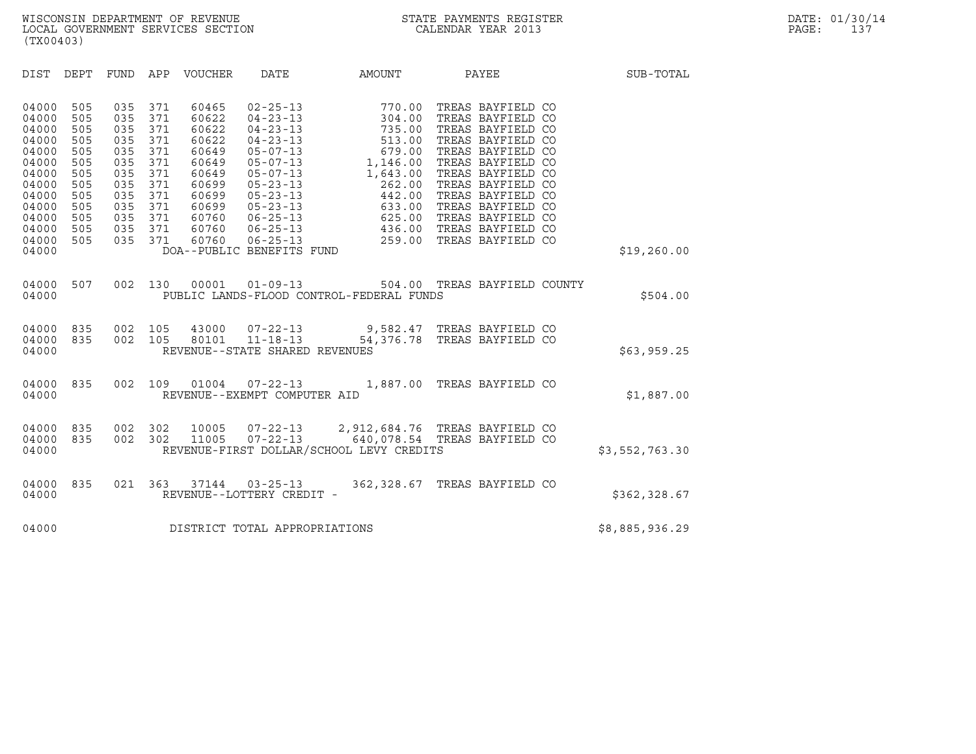| (TX00403)                                                                                                                                                                                                                                                                                                                                                                                                   |                                                                                                                                                                                                                                                                                                                                                                                          |                                                                                                                                                              |                                                                                                                                                                                                                                                                               |                |
|-------------------------------------------------------------------------------------------------------------------------------------------------------------------------------------------------------------------------------------------------------------------------------------------------------------------------------------------------------------------------------------------------------------|------------------------------------------------------------------------------------------------------------------------------------------------------------------------------------------------------------------------------------------------------------------------------------------------------------------------------------------------------------------------------------------|--------------------------------------------------------------------------------------------------------------------------------------------------------------|-------------------------------------------------------------------------------------------------------------------------------------------------------------------------------------------------------------------------------------------------------------------------------|----------------|
| APP<br>DIST<br>DEPT<br><b>FUND</b>                                                                                                                                                                                                                                                                                                                                                                          | VOUCHER DATE                                                                                                                                                                                                                                                                                                                                                                             | <b>AMOUNT</b>                                                                                                                                                | PAYEE                                                                                                                                                                                                                                                                         | SUB-TOTAL      |
| 04000<br>505<br>035<br>371<br>371<br>04000<br>505<br>035<br>04000<br>371<br>505<br>035<br>04000<br>505<br>035<br>371<br>04000<br>505<br>371<br>035<br>04000<br>371<br>505<br>035<br>04000<br>505<br>035<br>371<br>04000<br>505<br>035<br>371<br>04000<br>505<br>035<br>371<br>04000<br>371<br>505<br>035<br>04000<br>505<br>035<br>371<br>04000<br>505<br>035<br>371<br>505<br>04000<br>035<br>371<br>04000 | 60465<br>$02 - 25 - 13$<br>$04 - 23 - 13$<br>60622<br>60622<br>$04 - 23 - 13$<br>60622<br>$04 - 23 - 13$<br>60649<br>$05 - 07 - 13$<br>60649<br>$05 - 07 - 13$<br>60649<br>$05 - 07 - 13$<br>60699<br>$05 - 23 - 13$<br>60699<br>$05 - 23 - 13$<br>60699<br>$05 - 23 - 13$<br>60760<br>$06 - 25 - 13$<br>60760<br>$06 - 25 - 13$<br>60760<br>$06 - 25 - 13$<br>DOA--PUBLIC BENEFITS FUND | 770.00<br>304.00<br>735.00<br>513.00<br>679.00<br>679.00<br>1,146.00<br>1,643.00<br>1,643.00<br>262.00<br>442.00<br>$633.00$<br>$625.00$<br>436.00<br>259.00 | TREAS BAYFIELD CO<br>TREAS BAYFIELD CO<br>TREAS BAYFIELD CO<br>TREAS BAYFIELD CO<br>TREAS BAYFIELD CO<br>TREAS BAYFIELD CO<br>TREAS BAYFIELD CO<br>TREAS BAYFIELD CO<br>TREAS BAYFIELD CO<br>TREAS BAYFIELD CO<br>TREAS BAYFIELD CO<br>TREAS BAYFIELD CO<br>TREAS BAYFIELD CO | \$19,260.00    |
| 507<br>002<br>04000<br>130<br>04000                                                                                                                                                                                                                                                                                                                                                                         | 00001<br>PUBLIC LANDS-FLOOD CONTROL-FEDERAL FUNDS                                                                                                                                                                                                                                                                                                                                        |                                                                                                                                                              | 01-09-13 504.00 TREAS BAYFIELD COUNTY                                                                                                                                                                                                                                         | \$504.00       |
| 04000<br>835<br>002<br>105<br>04000<br>835<br>002<br>105<br>04000                                                                                                                                                                                                                                                                                                                                           | 43000<br>80101<br>REVENUE--STATE SHARED REVENUES                                                                                                                                                                                                                                                                                                                                         |                                                                                                                                                              | 07-22-13 9,582.47 TREAS BAYFIELD CO<br>11-18-13 54,376.78 TREAS BAYFIELD CO                                                                                                                                                                                                   | \$63,959.25    |
| 835<br>002<br>109<br>04000<br>04000                                                                                                                                                                                                                                                                                                                                                                         | 01004<br>$07 - 22 - 13$<br>REVENUE--EXEMPT COMPUTER AID                                                                                                                                                                                                                                                                                                                                  |                                                                                                                                                              | 1,887.00 TREAS BAYFIELD CO                                                                                                                                                                                                                                                    | \$1,887.00     |
| 835<br>002<br>04000<br>302<br>302<br>835<br>002<br>04000<br>04000                                                                                                                                                                                                                                                                                                                                           | 10005<br>07-22-13<br>11005<br>$07 - 22 - 13$<br>REVENUE-FIRST DOLLAR/SCHOOL LEVY CREDITS                                                                                                                                                                                                                                                                                                 |                                                                                                                                                              | 2,912,684.76 TREAS BAYFIELD CO<br>640,078.54 TREAS BAYFIELD CO                                                                                                                                                                                                                | \$3,552,763.30 |
| 04000<br>835<br>021<br>363<br>04000                                                                                                                                                                                                                                                                                                                                                                         | 37144<br>$03 - 25 - 13$<br>REVENUE--LOTTERY CREDIT -                                                                                                                                                                                                                                                                                                                                     |                                                                                                                                                              | 362,328.67 TREAS BAYFIELD CO                                                                                                                                                                                                                                                  | \$362,328.67   |
| 04000                                                                                                                                                                                                                                                                                                                                                                                                       | DISTRICT TOTAL APPROPRIATIONS                                                                                                                                                                                                                                                                                                                                                            |                                                                                                                                                              |                                                                                                                                                                                                                                                                               | \$8,885,936.29 |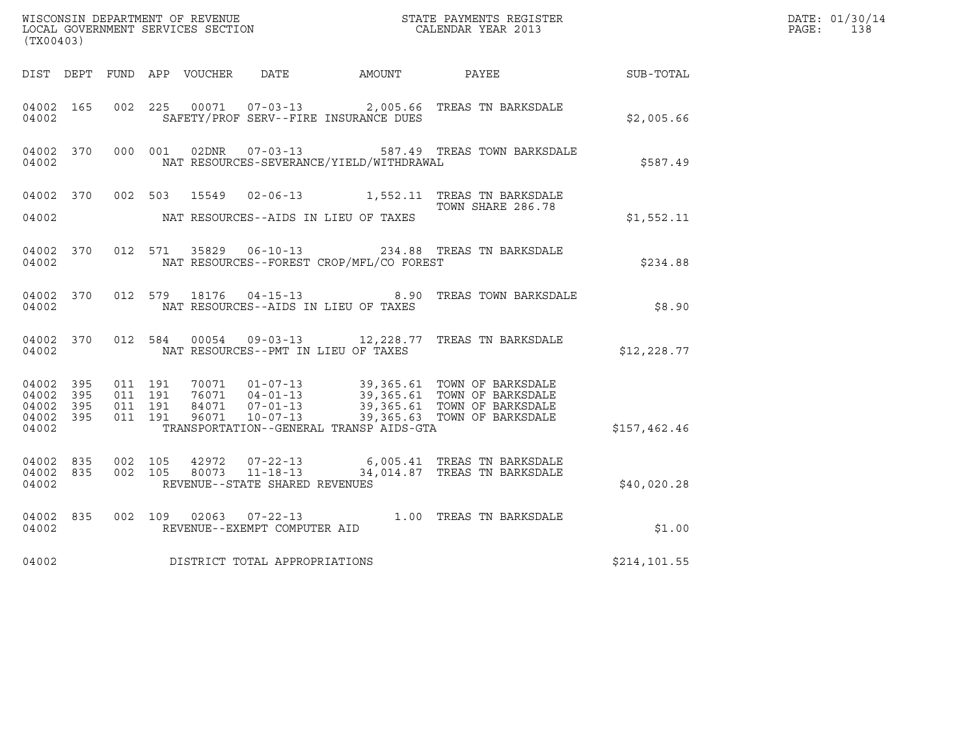| (TX00403)                                             |           |                               |         |                         |                                                  |                                              | WISCONSIN DEPARTMENT OF REVENUE<br>LOCAL GOVERNMENT SERVICES SECTION<br>CALENDAR YEAR 2013                                                                                     |                  | DATE: 01/30/14<br>$\mathtt{PAGE:}$<br>138 |
|-------------------------------------------------------|-----------|-------------------------------|---------|-------------------------|--------------------------------------------------|----------------------------------------------|--------------------------------------------------------------------------------------------------------------------------------------------------------------------------------|------------------|-------------------------------------------|
|                                                       |           |                               |         |                         |                                                  | DIST DEPT FUND APP VOUCHER DATE AMOUNT PAYEE |                                                                                                                                                                                | <b>SUB-TOTAL</b> |                                           |
| 04002 165<br>04002                                    |           | 002 225                       |         |                         |                                                  | SAFETY/PROF SERV--FIRE INSURANCE DUES        | 00071  07-03-13  2,005.66  TREAS TN BARKSDALE                                                                                                                                  | \$2,005.66       |                                           |
| 04002 370<br>04002                                    |           |                               | 000 001 |                         |                                                  | NAT RESOURCES-SEVERANCE/YIELD/WITHDRAWAL     | 02DNR  07-03-13  587.49 TREAS TOWN BARKSDALE                                                                                                                                   | \$587.49         |                                           |
| 04002                                                 |           |                               |         | 04002 370 002 503 15549 |                                                  | NAT RESOURCES--AIDS IN LIEU OF TAXES         | 02-06-13 1,552.11 TREAS TN BARKSDALE<br>TOWN SHARE 286.78                                                                                                                      | \$1,552.11       |                                           |
| 04002                                                 | 04002 370 |                               |         |                         |                                                  | NAT RESOURCES--FOREST CROP/MFL/CO FOREST     | 012 571 35829 06-10-13 234.88 TREAS TN BARKSDALE                                                                                                                               | \$234.88         |                                           |
| 04002 370<br>04002                                    |           |                               |         | 012 579 18176           |                                                  | NAT RESOURCES--AIDS IN LIEU OF TAXES         | 04-15-13 8.90 TREAS TOWN BARKSDALE                                                                                                                                             | \$8.90           |                                           |
| 04002                                                 | 04002 370 |                               | 012 584 |                         |                                                  | NAT RESOURCES--PMT IN LIEU OF TAXES          | 00054  09-03-13  12, 228.77  TREAS TN BARKSDALE                                                                                                                                | \$12, 228.77     |                                           |
| 04002 395<br>04002<br>04002 395<br>04002 395<br>04002 | 395       | 011 191<br>011 191<br>011 191 | 011 191 |                         | 96071 10-07-13                                   | TRANSPORTATION--GENERAL TRANSP AIDS-GTA      | 70071  01-07-13  39,365.61  TOWN OF BARKSDALE<br>76071  04-01-13  39,365.61  TOWN OF BARKSDALE<br>84071  07-01-13  39,365.61  TOWN OF BARKSDALE<br>39,365.63 TOWN OF BARKSDALE | \$157,462.46     |                                           |
| 04002 835<br>04002 835<br>04002                       |           | 002 105<br>002 105            |         | 42972<br>80073          | $11 - 18 - 13$<br>REVENUE--STATE SHARED REVENUES |                                              | 07-22-13 6,005.41 TREAS TN BARKSDALE<br>34,014.87 TREAS TN BARKSDALE                                                                                                           | \$40,020.28      |                                           |
| 04002 835<br>04002                                    |           |                               |         |                         | REVENUE--EXEMPT COMPUTER AID                     |                                              | 002 109 02063 07-22-13 1.00 TREAS TN BARKSDALE                                                                                                                                 | \$1.00           |                                           |
| 04002                                                 |           |                               |         |                         | DISTRICT TOTAL APPROPRIATIONS                    |                                              |                                                                                                                                                                                | \$214, 101.55    |                                           |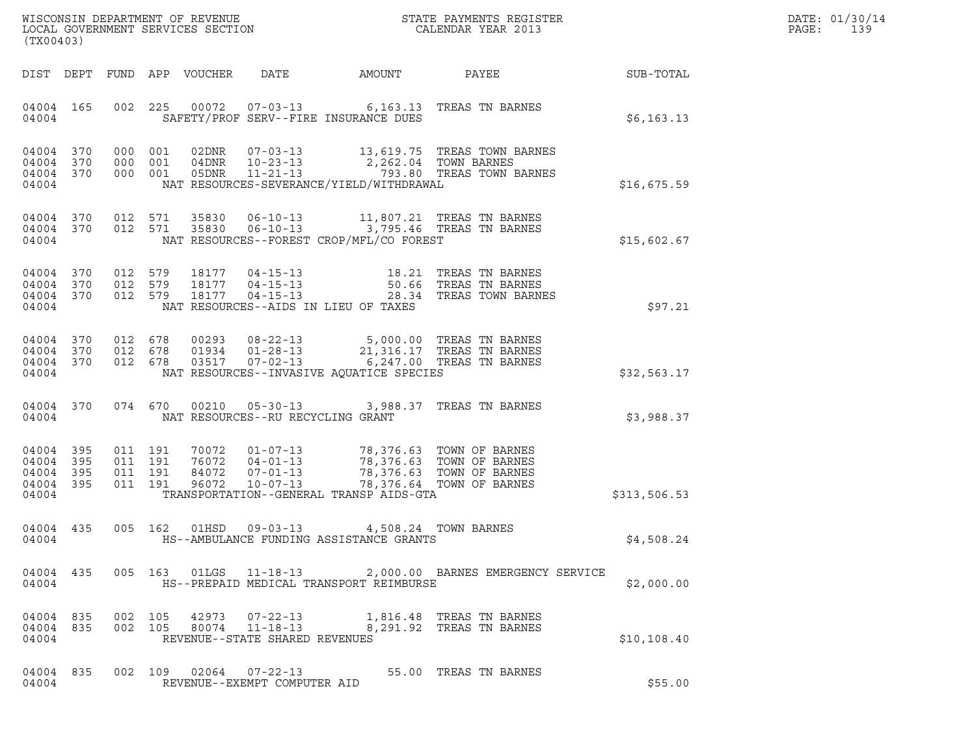|       | DATE: 01/30/14 |
|-------|----------------|
| PAGE: | 139            |

| (TX00403)                                         |                  |                                          |                            |                                                          |                                                                                                                                                                 |                                                                                                                     |              | DATE: 01/30/14<br>PAGE:<br>139 |
|---------------------------------------------------|------------------|------------------------------------------|----------------------------|----------------------------------------------------------|-----------------------------------------------------------------------------------------------------------------------------------------------------------------|---------------------------------------------------------------------------------------------------------------------|--------------|--------------------------------|
|                                                   |                  |                                          | DIST DEPT FUND APP VOUCHER | DATE                                                     | AMOUNT                                                                                                                                                          | PAYEE                                                                                                               | SUB-TOTAL    |                                |
| 04004 165<br>04004                                |                  |                                          |                            |                                                          | SAFETY/PROF SERV--FIRE INSURANCE DUES                                                                                                                           | 002 225 00072 07-03-13 6,163.13 TREAS TN BARNES                                                                     | \$6,163.13   |                                |
| 04004 370<br>04004<br>04004                       | 370<br>04004 370 | 000 001<br>000 001<br>000 001            | 05DNR                      | $11 - 21 - 13$                                           | 04DNR  10-23-13  2,262.04  TOWN BARNES<br>NAT RESOURCES-SEVERANCE/YIELD/WITHDRAWAL                                                                              | 02DNR  07-03-13  13,619.75  TREAS TOWN BARNES<br>793.80 TREAS TOWN BARNES                                           | \$16,675.59  |                                |
| 04004 370<br>04004                                | 04004 370        | 012 571<br>012 571                       | 35830<br>35830             | $06 - 10 - 13$<br>$06 - 10 - 13$                         | NAT RESOURCES--FOREST CROP/MFL/CO FOREST                                                                                                                        | 11,807.21 TREAS TN BARNES<br>3,795.46 TREAS TN BARNES                                                               | \$15,602.67  |                                |
| 04004 370<br>04004 370<br>04004 370<br>04004      |                  | 012 579<br>012 579<br>012 579            |                            | 18177   04-15-13<br>NAT RESOURCES--AIDS IN LIEU OF TAXES |                                                                                                                                                                 | 18177   04-15-13   18.21   TREAS TN BARNES<br>18177   04-15-13   50.66   TREAS TN BARNES<br>28.34 TREAS TOWN BARNES | \$97.21      |                                |
| 04004<br>04004 370<br>04004                       | 370<br>04004 370 | 012 678<br>012 678<br>012 678            | 03517                      | 01934   01-28-13<br>$07 - 02 - 13$                       | NAT RESOURCES--INVASIVE AQUATICE SPECIES                                                                                                                        | 00293 08-22-13 5,000.00 TREAS TN BARNES<br>21,316.17 TREAS TN BARNES<br>$6,247.00$ TREAS TN BARNES                  | \$32,563.17  |                                |
| 04004                                             | 04004 370        | 074 670                                  |                            | NAT RESOURCES--RU RECYCLING GRANT                        |                                                                                                                                                                 | 00210  05-30-13  3,988.37  TREAS TN BARNES                                                                          | \$3,988.37   |                                |
| 04004<br>04004 395<br>04004<br>04004 395<br>04004 | 395<br>395       | 011 191<br>011 191<br>011 191<br>011 191 | 84072<br>96072             | $07 - 01 - 13$<br>$10 - 07 - 13$                         | 70072  01-07-13  78,376.63  TOWN OF BARNES<br>76072  04-01-13  78,376.63  TOWN OF BARNES<br>78,376.63 TOWN OF BARNES<br>TRANSPORTATION--GENERAL TRANSP AIDS-GTA | 78,376.64 TOWN OF BARNES                                                                                            | \$313,506.53 |                                |
| 04004 435<br>04004                                |                  | 005 162                                  | 01HSD                      | $09 - 03 - 13$                                           | HS--AMBULANCE FUNDING ASSISTANCE GRANTS                                                                                                                         | 4,508.24 TOWN BARNES                                                                                                | \$4,508.24   |                                |
| 04004                                             |                  |                                          |                            |                                                          | HS--PREPAID MEDICAL TRANSPORT REIMBURSE                                                                                                                         | 04004 435 005 163 01LGS 11-18-13 2,000.00 BARNES EMERGENCY SERVICE                                                  | \$2,000.00   |                                |
| 04004 835<br>04004                                | 04004 835        | 002 105                                  | 002 105                    | REVENUE--STATE SHARED REVENUES                           |                                                                                                                                                                 | 80074    11-18-13    6,291.92    TREAS TN BARNES                                                                    | \$10,108.40  |                                |
| 04004 835<br>04004                                |                  |                                          |                            | REVENUE--EXEMPT COMPUTER AID                             |                                                                                                                                                                 | 002 109 02064 07-22-13 55.00 TREAS TN BARNES                                                                        | \$55.00      |                                |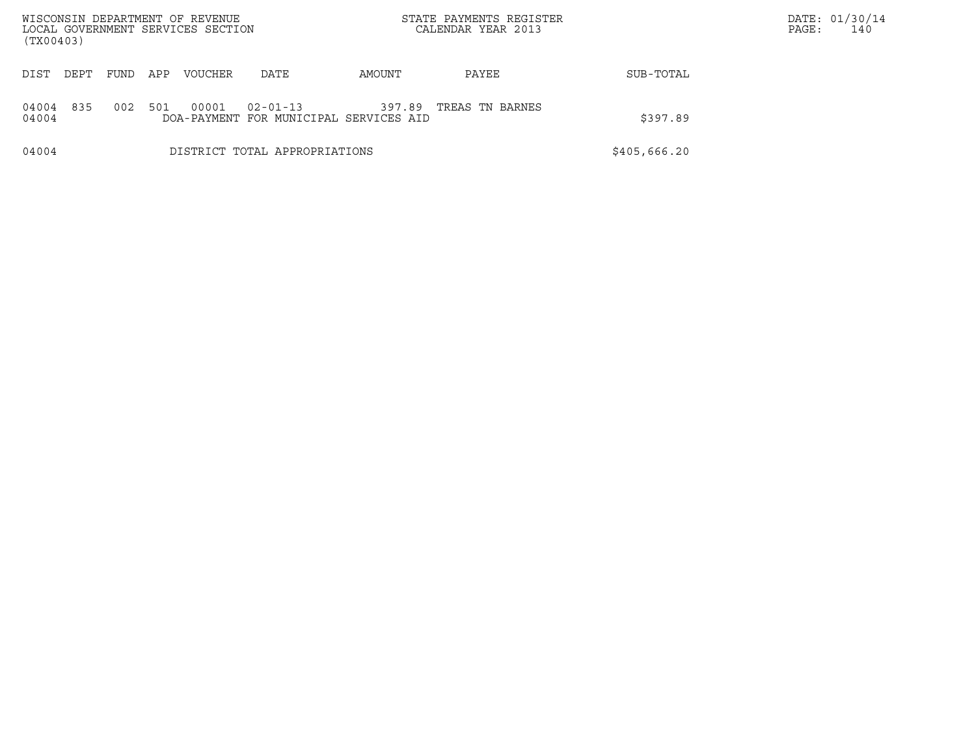| WISCONSIN DEPARTMENT OF REVENUE<br>LOCAL GOVERNMENT SERVICES SECTION<br>(TX00403) |      |      |     |                |                                                          |        | STATE PAYMENTS REGISTER<br>CALENDAR YEAR 2013 |              | DATE: 01/30/14<br>140<br>PAGE: |
|-----------------------------------------------------------------------------------|------|------|-----|----------------|----------------------------------------------------------|--------|-----------------------------------------------|--------------|--------------------------------|
| DIST                                                                              | DEPT | FUND | APP | <b>VOUCHER</b> | DATE                                                     | AMOUNT | PAYEE                                         | SUB-TOTAL    |                                |
| 04004<br>04004                                                                    | 835  | 002  | 501 | 00001          | $02 - 01 - 13$<br>DOA-PAYMENT FOR MUNICIPAL SERVICES AID | 397.89 | TREAS TN BARNES                               | \$397.89     |                                |
| 04004                                                                             |      |      |     |                | DISTRICT TOTAL APPROPRIATIONS                            |        |                                               | \$405,666.20 |                                |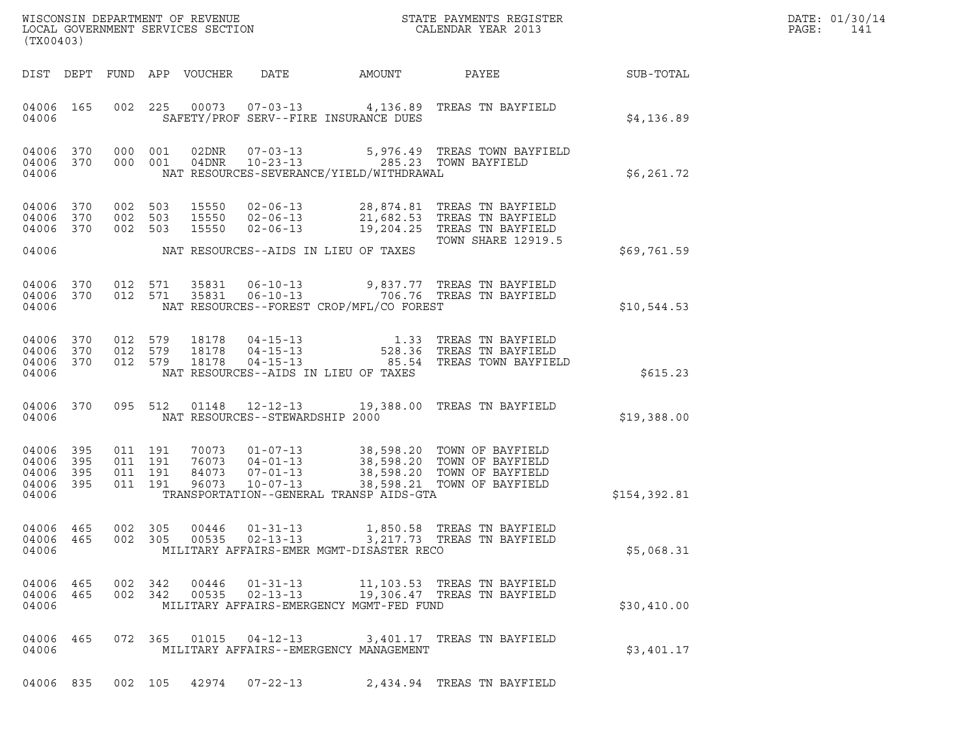|       | DATE: 01/30/14 |
|-------|----------------|
| PAGE: | 141            |

| (TX00403)                                             |           |                                          |                            |                                                                                                                   |                                                                                                               |                                                                                                                                 |              | DATE: 01/30/14<br>PAGE:<br>141 |
|-------------------------------------------------------|-----------|------------------------------------------|----------------------------|-------------------------------------------------------------------------------------------------------------------|---------------------------------------------------------------------------------------------------------------|---------------------------------------------------------------------------------------------------------------------------------|--------------|--------------------------------|
|                                                       |           |                                          | DIST DEPT FUND APP VOUCHER | DATE                                                                                                              | AMOUNT                                                                                                        | PAYEE                                                                                                                           | SUB-TOTAL    |                                |
| 04006 165<br>04006                                    |           |                                          | 002 225                    |                                                                                                                   | SAFETY/PROF SERV--FIRE INSURANCE DUES                                                                         | 00073  07-03-13  4,136.89  TREAS TN BAYFIELD                                                                                    | \$4,136.89   |                                |
| 04006 370<br>04006 370<br>04006                       |           | 000 001                                  | 000 001                    | 02DNR<br>04DNR                                                                                                    | 07-03-13 5,976.49 TREAS TOWN BAY<br>10-23-13 285.23 TOWN BAYFIELD<br>NAT RESOURCES-SEVERANCE/YIELD/WITHDRAWAL | 5,976.49 TREAS TOWN BAYFIELD                                                                                                    | \$6,261.72   |                                |
| 04006<br>04006 370<br>04006 370                       | 370       | 002<br>002 503<br>002 503                | 503                        | 15550<br>15550<br>$02 - 06 - 13$<br>$02 - 06 - 13$<br>15550                                                       |                                                                                                               | 02-06-13 28,874.81 TREAS TN BAYFIELD<br>21,682.53 TREAS TN BAYFIELD<br>19,204.25 TREAS TN BAYFIELD<br><b>TOWN SHARE 12919.5</b> |              |                                |
| 04006                                                 |           |                                          |                            | NAT RESOURCES--AIDS IN LIEU OF TAXES                                                                              |                                                                                                               |                                                                                                                                 | \$69,761.59  |                                |
| 04006 370<br>04006 370<br>04006                       |           |                                          | 012 571<br>012 571         |                                                                                                                   | NAT RESOURCES--FOREST CROP/MFL/CO FOREST                                                                      | 35831   06-10-13   9,837.77   TREAS TN BAYFIELD<br>35831   06-10-13   706.76   TREAS TN BAYFIELD                                | \$10,544.53  |                                |
| 04006<br>04006 370<br>04006 370<br>04006              | 370       | 012 579<br>012 579<br>012 579            |                            | 18178<br>$04 - 15 - 13$<br>04 - 15 - 13<br>04 - 15 - 13<br>18178<br>18178<br>NAT RESOURCES--AIDS IN LIEU OF TAXES |                                                                                                               | 1.33 TREAS TN BAYFIELD<br>528.36 TREAS TN BAYFIELD<br>85.54 TREAS TOWN BAYFIELD                                                 | \$615.23     |                                |
| 04006 370<br>04006                                    |           | 095 512                                  |                            | 01148<br>12-12-13<br>NAT RESOURCES--STEWARDSHIP 2000                                                              |                                                                                                               | 19,388.00 TREAS TN BAYFIELD                                                                                                     | \$19,388.00  |                                |
| 04006 395<br>04006 395<br>04006<br>04006 395<br>04006 | 395       | 011 191<br>011 191<br>011 191<br>011 191 |                            | 70073<br>$01 - 07 - 13$<br>76073 04-01-13<br>84073<br>$07 - 01 - 13$<br>96073<br>$10 - 07 - 13$                   | TRANSPORTATION--GENERAL TRANSP AIDS-GTA                                                                       | 38,598.20 TOWN OF BAYFIELD<br>38,598.20 TOWN OF BAYFIELD<br>38,598.20 TOWN OF BAYFIELD<br>38,598.21 TOWN OF BAYFIELD            | \$154,392.81 |                                |
| 04006 465<br>04006                                    | 04006 465 | 002 305                                  |                            | 00446<br>$01 - 31 - 13$                                                                                           | MILITARY AFFAIRS-EMER MGMT-DISASTER RECO                                                                      | 1,850.58 TREAS TN BAYFIELD                                                                                                      | \$5,068.31   |                                |
| 04006 465<br>04006 465<br>04006                       |           | 002 342                                  | 002 342                    | 00535 02-13-13                                                                                                    | MILITARY AFFAIRS-EMERGENCY MGMT-FED FUND                                                                      | 00446  01-31-13   11,103.53   TREAS TN BAYFIELD<br>19,306.47 TREAS TN BAYFIELD                                                  | \$30,410.00  |                                |
| 04006 465<br>04006                                    |           |                                          |                            | 072 365 01015 04-12-13                                                                                            | MILITARY AFFAIRS--EMERGENCY MANAGEMENT                                                                        | 3,401.17   TREAS TN BAYFIELD                                                                                                    | \$3,401.17   |                                |
| 04006 835                                             |           |                                          |                            | 002 105 42974 07-22-13                                                                                            |                                                                                                               | 2,434.94 TREAS TN BAYFIELD                                                                                                      |              |                                |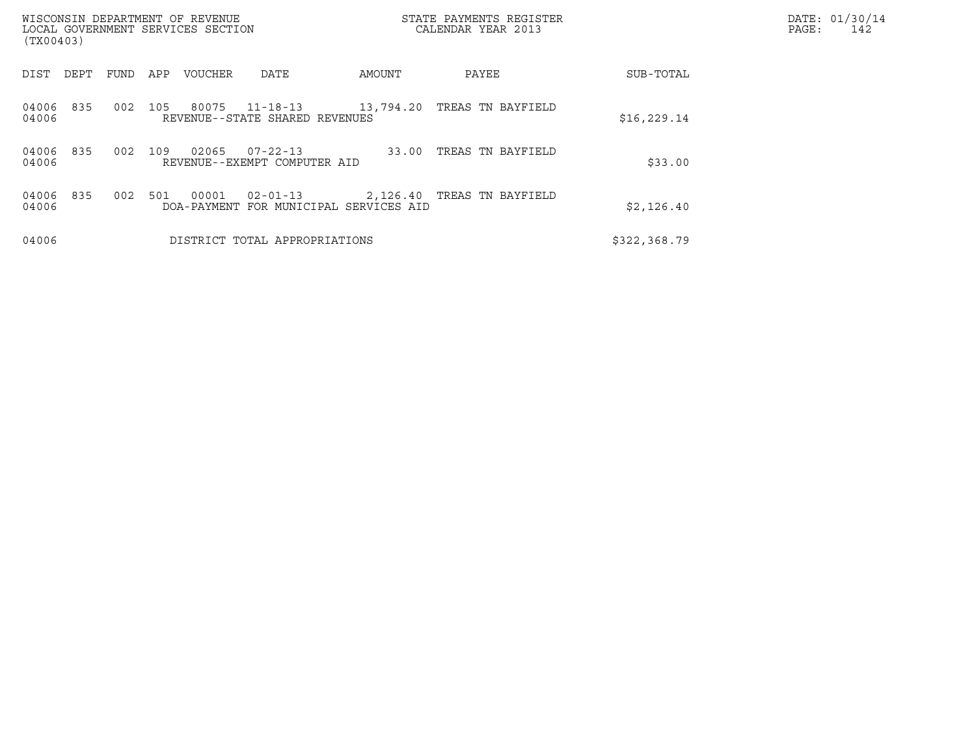| (TX00403)             | WISCONSIN DEPARTMENT OF REVENUE<br>LOCAL GOVERNMENT SERVICES SECTION |     |                      |                                              |           | STATE PAYMENTS REGISTER<br>CALENDAR YEAR 2013 |              | DATE: 01/30/14<br>PAGE:<br>142 |
|-----------------------|----------------------------------------------------------------------|-----|----------------------|----------------------------------------------|-----------|-----------------------------------------------|--------------|--------------------------------|
| DIST<br>DEPT          | FUND                                                                 | APP | VOUCHER              | DATE                                         | AMOUNT    | PAYEE                                         | SUB-TOTAL    |                                |
| 04006<br>835<br>04006 | 002                                                                  | 105 | 80075                | 11-18-13<br>REVENUE--STATE SHARED REVENUES   | 13,794.20 | TREAS TN BAYFIELD                             | \$16, 229.14 |                                |
| 04006<br>835<br>04006 | 002                                                                  | 109 | 02065                | 07-22-13<br>REVENUE--EXEMPT COMPUTER AID     | 33.00     | TREAS TN BAYFIELD                             | \$33.00      |                                |
| 835<br>04006<br>04006 | 002                                                                  | 501 | 00001<br>DOA-PAYMENT | $02 - 01 - 13$<br>FOR MUNICIPAL SERVICES AID |           | 2,126.40 TREAS TN BAYFIELD                    | \$2,126.40   |                                |
| 04006                 |                                                                      |     |                      | DISTRICT TOTAL APPROPRIATIONS                |           |                                               | \$322,368.79 |                                |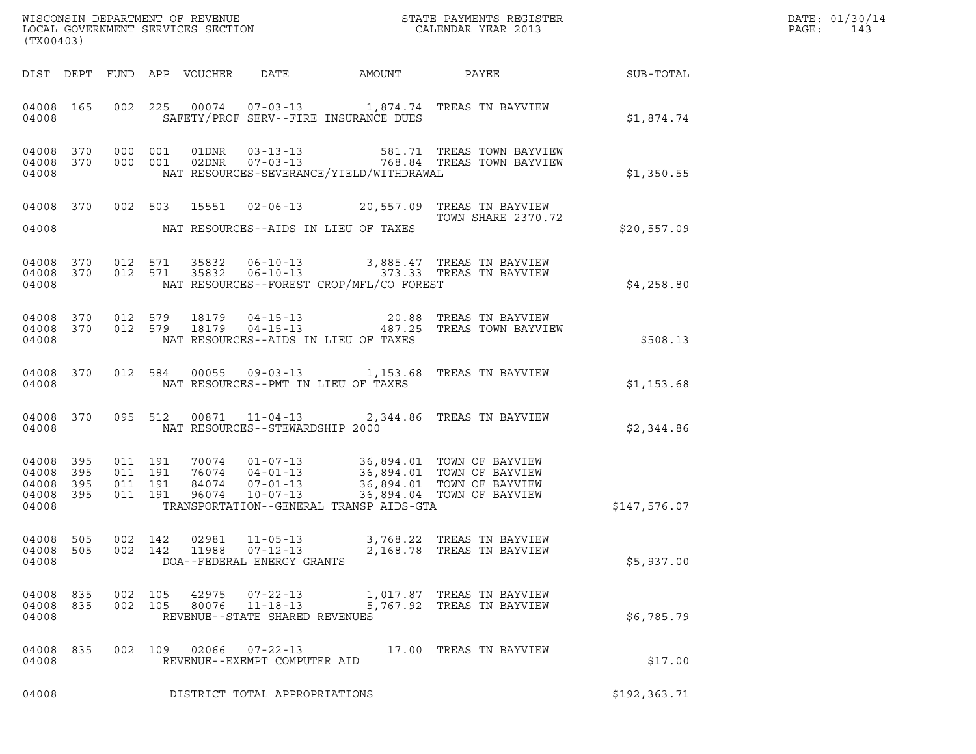|       | DATE: 01/30/14 |
|-------|----------------|
| PAGF: | 143            |

| (TX00403)                                                 |           |                   |                                          |                |                                                                    |                                          |                                                                                                                                                                                          |              | DATE: 01/30/14<br>$\mathtt{PAGE:}$<br>143 |
|-----------------------------------------------------------|-----------|-------------------|------------------------------------------|----------------|--------------------------------------------------------------------|------------------------------------------|------------------------------------------------------------------------------------------------------------------------------------------------------------------------------------------|--------------|-------------------------------------------|
|                                                           |           |                   |                                          |                |                                                                    |                                          | DIST DEPT FUND APP VOUCHER DATE AMOUNT PAYEE                                                                                                                                             | SUB-TOTAL    |                                           |
| 04008 165<br>04008                                        |           |                   |                                          |                |                                                                    | SAFETY/PROF SERV--FIRE INSURANCE DUES    | 002 225 00074 07-03-13 1,874.74 TREAS TN BAYVIEW                                                                                                                                         | \$1,874.74   |                                           |
| 04008                                                     | 04008 370 | 04008 370 000 001 | 000 001                                  |                |                                                                    | NAT RESOURCES-SEVERANCE/YIELD/WITHDRAWAL |                                                                                                                                                                                          | \$1,350.55   |                                           |
| 04008                                                     |           |                   |                                          |                |                                                                    | NAT RESOURCES--AIDS IN LIEU OF TAXES     | 04008 370 002 503 15551 02-06-13 20,557.09 TREAS TN BAYVIEW<br>TOWN SHARE 2370.72                                                                                                        | \$20,557.09  |                                           |
| 04008                                                     |           |                   |                                          |                |                                                                    | NAT RESOURCES--FOREST CROP/MFL/CO FOREST | 04008 370 012 571 35832 06-10-13 3,885.47 TREAS TN BAYVIEW<br>04008 370 012 571 35832 06-10-13 373.33 TREAS TN BAYVIEW                                                                   | \$4,258.80   |                                           |
| 04008                                                     |           |                   |                                          |                |                                                                    | NAT RESOURCES--AIDS IN LIEU OF TAXES     | 04008 370 012 579 18179 04-15-13 20.88 TREAS TN BAYVIEW<br>04008 370 012 579 18179 04-15-13 487.25 TREAS TOWN BAYVIEW                                                                    | \$508.13     |                                           |
| 04008                                                     | 04008 370 |                   |                                          |                |                                                                    | NAT RESOURCES--PMT IN LIEU OF TAXES      | 012 584 00055 09-03-13 1,153.68 TREAS TN BAYVIEW                                                                                                                                         | \$1,153.68   |                                           |
| 04008                                                     | 04008 370 |                   |                                          |                |                                                                    | NAT RESOURCES--STEWARDSHIP 2000          | 095 512 00871 11-04-13 2,344.86 TREAS TN BAYVIEW                                                                                                                                         | \$2,344.86   |                                           |
| 04008 395<br>04008 395<br>04008 395<br>04008 395<br>04008 |           |                   | 011 191<br>011 191<br>011 191<br>011 191 |                |                                                                    | TRANSPORTATION--GENERAL TRANSP AIDS-GTA  | 70074  01-07-13  36,894.01  TOWN OF BAYVIEW<br>76074  04-01-13  36,894.01  TOWN OF BAYVIEW<br>84074  07-01-13  36,894.01  TOWN OF BAYVIEW<br>96074  10-07-13  36,894.04  TOWN OF BAYVIEW | \$147,576.07 |                                           |
| 04008 505<br>04008 505<br>04008                           |           |                   | 002 142<br>002 142                       | 02981<br>11988 | $11 - 05 - 13$<br>$07 - 12 - 13$<br>DOA--FEDERAL ENERGY GRANTS     |                                          | 3,768.22 TREAS TN BAYVIEW<br>2,168.78 TREAS TN BAYVIEW                                                                                                                                   | \$5,937.00   |                                           |
| 04008 835<br>04008 835<br>04008                           |           |                   | 002 105<br>002 105                       | 42975<br>80076 | $07 - 22 - 13$<br>$11 - 18 - 13$<br>REVENUE--STATE SHARED REVENUES | 5,767.92                                 | 1,017.87 TREAS TN BAYVIEW<br>TREAS TN BAYVIEW                                                                                                                                            | \$6,785.79   |                                           |
| 04008 835<br>04008                                        |           |                   | 002 109                                  |                | 02066 07-22-13<br>REVENUE--EXEMPT COMPUTER AID                     |                                          | 17.00 TREAS TN BAYVIEW                                                                                                                                                                   | \$17.00      |                                           |
| 04008                                                     |           |                   |                                          |                | DISTRICT TOTAL APPROPRIATIONS                                      |                                          |                                                                                                                                                                                          | \$192,363.71 |                                           |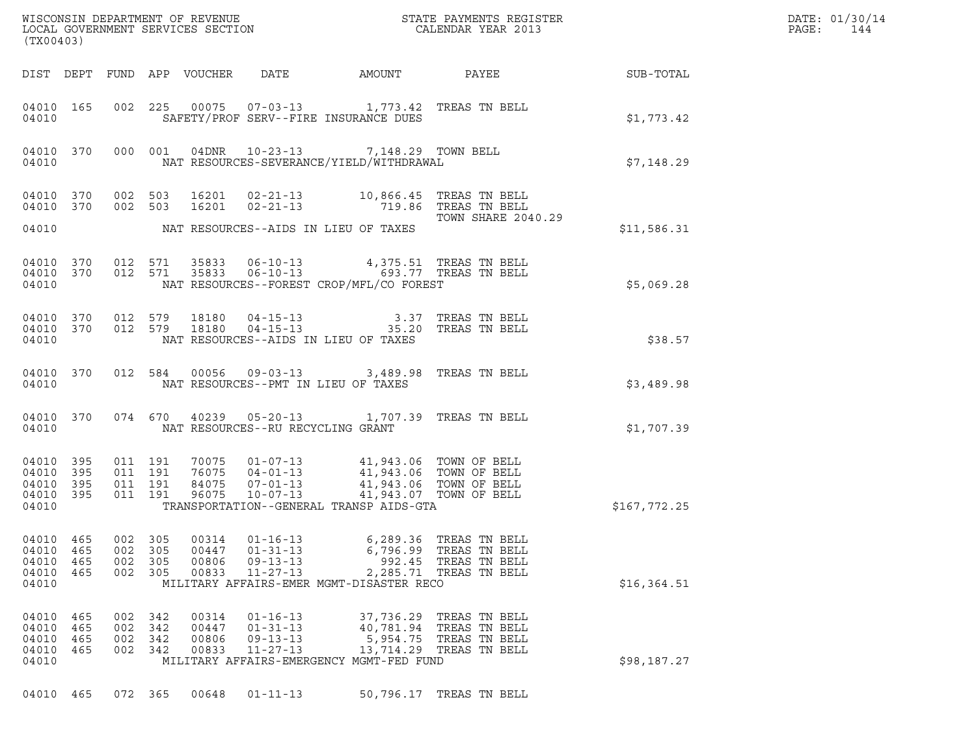| ${\tt WISCOONSIM} \begin{tabular}{lcccc} DEPARTMENT OF REVENUE & & & & & & \begin{tabular}{l} \bf STATE \end{tabular} \end{tabular} \begin{tabular}{lcccc} \bf RTATE \end{tabular} \end{tabular} \begin{tabular}{lcccc} \bf RTATE \end{tabular} \end{tabular} \begin{tabular}{lcccc} \bf RTATE \end{tabular} \end{tabular} \begin{tabular}{lcccc} \bf RTATE \end{tabular} \end{tabular} \begin{tabular}{lcccc} \bf RTATE \end{tabular} \end{tabular} \begin{tabular}{lcccc} \bf RTATE \end{tabular} \end{tabular} \begin{tabular}{lcccc} \bf RTATE \end{$<br>(TX00403) |              | DATE: 01/30/14<br>PAGE:<br>144 |
|------------------------------------------------------------------------------------------------------------------------------------------------------------------------------------------------------------------------------------------------------------------------------------------------------------------------------------------------------------------------------------------------------------------------------------------------------------------------------------------------------------------------------------------------------------------------|--------------|--------------------------------|
| DIST DEPT FUND APP VOUCHER DATE AMOUNT<br>PAYEE                                                                                                                                                                                                                                                                                                                                                                                                                                                                                                                        | SUB-TOTAL    |                                |
| 002 225 00075 07-03-13 1,773.42 TREAS TN BELL<br>04010 165<br>SAFETY/PROF SERV--FIRE INSURANCE DUES<br>04010                                                                                                                                                                                                                                                                                                                                                                                                                                                           | \$1,773.42   |                                |
| 000 001 04DNR 10-23-13 7,148.29 TOWN BELL<br>04010 370<br>NAT RESOURCES-SEVERANCE/YIELD/WITHDRAWAL<br>04010                                                                                                                                                                                                                                                                                                                                                                                                                                                            | \$7,148.29   |                                |
| 002 503 16201 02-21-13 10,866.45 TREAS TN BELL<br>002 503 16201 02-21-13 719.86 TREAS TN BELL<br>04010 370<br>04010 370<br>TOWN SHARE 2040.29<br>04010 NAT RESOURCES--AIDS IN LIEU OF TAXES                                                                                                                                                                                                                                                                                                                                                                            | \$11,586.31  |                                |
| 04010 370 012 571 35833 06-10-13 4,375.51 TREAS TN BELL 04010 370 012 571 35833 06-10-13 693.77 TREAS TN BELL<br>NAT RESOURCES--FOREST CROP/MFL/CO FOREST<br>04010                                                                                                                                                                                                                                                                                                                                                                                                     | \$5,069.28   |                                |
| $\begin{array}{cccccccc} 04\,01\,0 & 3\,7\,0 & 0\,12 & 5\,7\,9 & 18\,18\,0 & 04\,0\,15\,0 & 1 & 3\,13 & 7 & \text{TREAS TN BELL} \\ 04\,01\,0 & 3\,7\,0 & 0\,12 & 5\,7\,9 & 18\,18\,0 & 04\,0\,15\,0 & 1 & 3 & 3 & 3 & 3 & 3 & 7 & \text{TREAS TN BELL} \end{array}$<br>NAT RESOURCES--AIDS IN LIEU OF TAXES<br>04010                                                                                                                                                                                                                                                  | \$38.57      |                                |
| 012 584 00056 09-03-13 3,489.98 TREAS TN BELL<br>04010 370<br>NAT RESOURCES--PMT IN LIEU OF TAXES<br>04010                                                                                                                                                                                                                                                                                                                                                                                                                                                             | \$3,489.98   |                                |
| 074 670 40239 05-20-13 1,707.39 TREAS TN BELL<br>04010 370<br>NAT RESOURCES--RU RECYCLING GRANT<br>04010                                                                                                                                                                                                                                                                                                                                                                                                                                                               | \$1,707.39   |                                |
| 70075  01-07-13  41,943.06  TOWN OF BELL<br>76075  04-01-13  41,943.06  TOWN OF BELL<br>84075  07-01-13  41,943.06  TOWN OF BELL<br>96075  10-07-13  41,943.07  TOWN OF BELL<br>04010 395<br>011 191<br>04010 395<br>011 191<br>011 191<br>04010 395<br>011 191 96075<br>04010 395<br>TRANSPORTATION--GENERAL TRANSP AIDS-GTA<br>04010                                                                                                                                                                                                                                 | \$167,772.25 |                                |
| 04010<br>002 305<br>$01 - 16 - 13$<br>465<br>00314<br>6,289.36<br>TREAS TN BELL<br>04010 465<br>002<br>305<br>00447<br>$01 - 31 - 13$<br>6,796.99<br>TREAS TN BELL<br>$09 - 13 - 13$<br>992.45 TREAS TN BELL<br>04010<br>465<br>002<br>305<br>00806<br>$11 - 27 - 13$<br>04010 465<br>002 305<br>00833<br>2,285.71 TREAS TN BELL<br>04010<br>MILITARY AFFAIRS-EMER MGMT-DISASTER RECO                                                                                                                                                                                  | \$16,364.51  |                                |
| 04010 465<br>002 342<br>00314<br>$01 - 16 - 13$<br>37,736.29 TREAS TN BELL<br>04010<br>465<br>002<br>342<br>00447<br>$01 - 31 - 13$<br>40,781.94 TREAS TN BELL<br>04010 465<br>002<br>342<br>00806<br>$09 - 13 - 13$<br>5,954.75 TREAS TN BELL<br>04010 465<br>002 342<br>00833<br>$11 - 27 - 13$<br>13,714.29 TREAS TN BELL<br>04010<br>MILITARY AFFAIRS-EMERGENCY MGMT-FED FUND                                                                                                                                                                                      | \$98,187.27  |                                |
| 50,796.17 TREAS TN BELL<br>04010 465<br>072 365<br>00648<br>$01 - 11 - 13$                                                                                                                                                                                                                                                                                                                                                                                                                                                                                             |              |                                |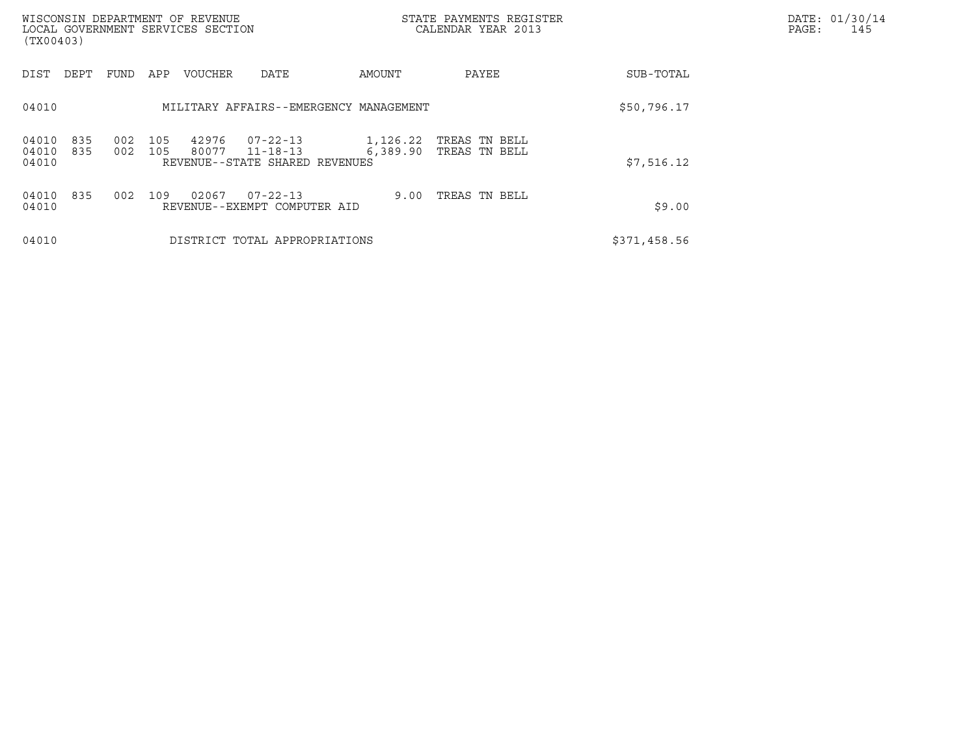| WISCONSIN DEPARTMENT OF REVENUE<br>LOCAL GOVERNMENT SERVICES SECTION<br>(TX00403) |                                                                          |                      | STATE PAYMENTS REGISTER<br>CALENDAR YEAR 2013 |              | DATE: 01/30/14<br>PAGE:<br>145 |
|-----------------------------------------------------------------------------------|--------------------------------------------------------------------------|----------------------|-----------------------------------------------|--------------|--------------------------------|
| DIST<br>DEPT<br>FUND<br>APP                                                       | <b>VOUCHER</b><br>DATE                                                   | AMOUNT               | PAYEE                                         | SUB-TOTAL    |                                |
| 04010                                                                             | MILITARY AFFAIRS--EMERGENCY MANAGEMENT                                   |                      |                                               | \$50,796.17  |                                |
| 002<br>105<br>04010<br>835<br>04010<br>002<br>105<br>835<br>04010                 | 07-22-13<br>42976<br>80077<br>11-18-13<br>REVENUE--STATE SHARED REVENUES | 1,126.22<br>6,389.90 | TREAS TN BELL<br>TREAS TN BELL                | \$7,516.12   |                                |
| 04010<br>835<br>002<br>109<br>04010                                               | 02067<br>$07 - 22 - 13$<br>REVENUE--EXEMPT COMPUTER AID                  | 9.00                 | TREAS TN BELL                                 | \$9.00       |                                |
| 04010                                                                             | DISTRICT TOTAL APPROPRIATIONS                                            |                      |                                               | \$371,458.56 |                                |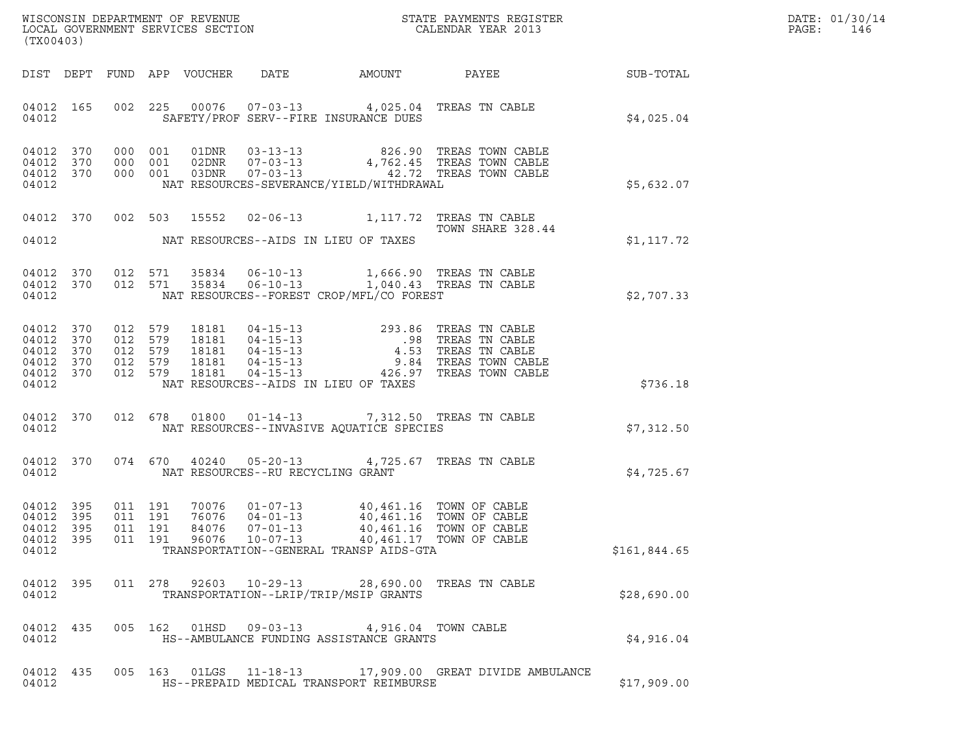| DATE: | 01/30/14 |
|-------|----------|
| PAGE: | 146      |

| (TX00403)                                                                 |                                                                                                                                                                                                                                                                                                                                                                                                            | R            | DATE: 01/30/14<br>PAGE:<br>146 |
|---------------------------------------------------------------------------|------------------------------------------------------------------------------------------------------------------------------------------------------------------------------------------------------------------------------------------------------------------------------------------------------------------------------------------------------------------------------------------------------------|--------------|--------------------------------|
|                                                                           |                                                                                                                                                                                                                                                                                                                                                                                                            |              |                                |
| 04012                                                                     | 04012 165 002 225 00076 07-03-13 4,025.04 TREAS TN CABLE<br>SAFETY/PROF SERV--FIRE INSURANCE DUES                                                                                                                                                                                                                                                                                                          | \$4,025.04   |                                |
| 04012                                                                     | $\begin{array}{cccccccc} 04\,012 & 370 & 000 & 001 & 01\,0\,0\,01 & 0 & 01 & 0 & 01\\ 04\,012 & 370 & 000 & 001 & 02\,0\,01 & 0 & 0 & 0 & 0\\ 04\,012 & 370 & 000 & 001 & 0 & 0 & 0 & 0\\ 04\,012 & 370 & 000 & 0 & 0 & 0 & 0 & 0 & 0\\ \end{array} \hspace{0.5in} \begin{array}{c} 0.4 & 0.1 & 0 & 0 & 0 &$<br>NAT RESOURCES-SEVERANCE/YIELD/WITHDRAWAL                                                   | \$5,632.07   |                                |
|                                                                           | 04012 370 002 503 15552 02-06-13 1,117.72 TREAS TN CABLE<br>TOWN SHARE 328.44                                                                                                                                                                                                                                                                                                                              |              |                                |
|                                                                           | 04012 NAT RESOURCES--AIDS IN LIEU OF TAXES                                                                                                                                                                                                                                                                                                                                                                 | \$1,117.72   |                                |
| 04012                                                                     | 04012 370 012 571 35834 06-10-13 1,666.90 TREAS TN CABLE 04012 370 012 571 35834 06-10-13 1,040.43 TREAS TN CABLE<br>NAT RESOURCES--FOREST CROP/MFL/CO FOREST                                                                                                                                                                                                                                              | \$2,707.33   |                                |
| 04012 370<br>04012<br>370<br>04012 370<br>04012 370<br>04012 370<br>04012 | 012 579 18181 04-15-13 293.86 TREAS TN CABLE<br>012 579 18181 04-15-13 .98 TREAS TN CABLE<br>012 579 18181 04-15-13 4.53 TREAS TN CABLE<br>012 579 18181 04-15-13 9.84 TREAS TOWN CABLE<br>012 579 18181 04-15-13  426.97 TREAS TOW<br>NAT RESOURCES--AIDS IN LIEU OF TAXES                                                                                                                                | \$736.18     |                                |
| 04012                                                                     | 04012 370 012 678 01800 01-14-13 7,312.50 TREAS TN CABLE<br>NAT RESOURCES--INVASIVE AQUATICE SPECIES                                                                                                                                                                                                                                                                                                       | \$7,312.50   |                                |
| 04012                                                                     | 04012 370 074 670 40240 05-20-13 4,725.67 TREAS TN CABLE<br>NAT RESOURCES--RU RECYCLING GRANT                                                                                                                                                                                                                                                                                                              | \$4,725.67   |                                |
| 04012 395<br>395<br>04012<br>04012 395<br>04012                           | $\begin{array}{cccc} 011 & 191 & 70076 & 01\texttt{-}07\texttt{-}13 & 40,461.16 & \texttt{TOWN OF CABLE} \\ 011 & 191 & 76076 & 04\texttt{-}01\texttt{-}13 & 40,461.16 & \texttt{TOWN OF CABLE} \\ 011 & 191 & 84076 & 07\texttt{-}01\texttt{-}13 & 40,461.16 & \texttt{TOWN OF CABLE} \end{array}$<br>04012 395 011 191 96076 10-07-13 40,461.17 TOWN OF CABLE<br>TRANSPORTATION--GENERAL TRANSP AIDS-GTA | \$161,844.65 |                                |
| 04012 395<br>04012                                                        | 011  278  92603  10-29-13  28,690.00 TREAS TN CABLE<br>TRANSPORTATION--LRIP/TRIP/MSIP GRANTS                                                                                                                                                                                                                                                                                                               | \$28,690.00  |                                |
| 04012 435<br>04012                                                        | 005 162 01HSD 09-03-13 4,916.04 TOWN CABLE<br>HS--AMBULANCE FUNDING ASSISTANCE GRANTS                                                                                                                                                                                                                                                                                                                      | \$4,916.04   |                                |
| 04012 435<br>04012                                                        | 005  163  01LGS  11-18-13  17,909.00  GREAT DIVIDE AMBULANCE<br>HS--PREPAID MEDICAL TRANSPORT REIMBURSE                                                                                                                                                                                                                                                                                                    | \$17,909.00  |                                |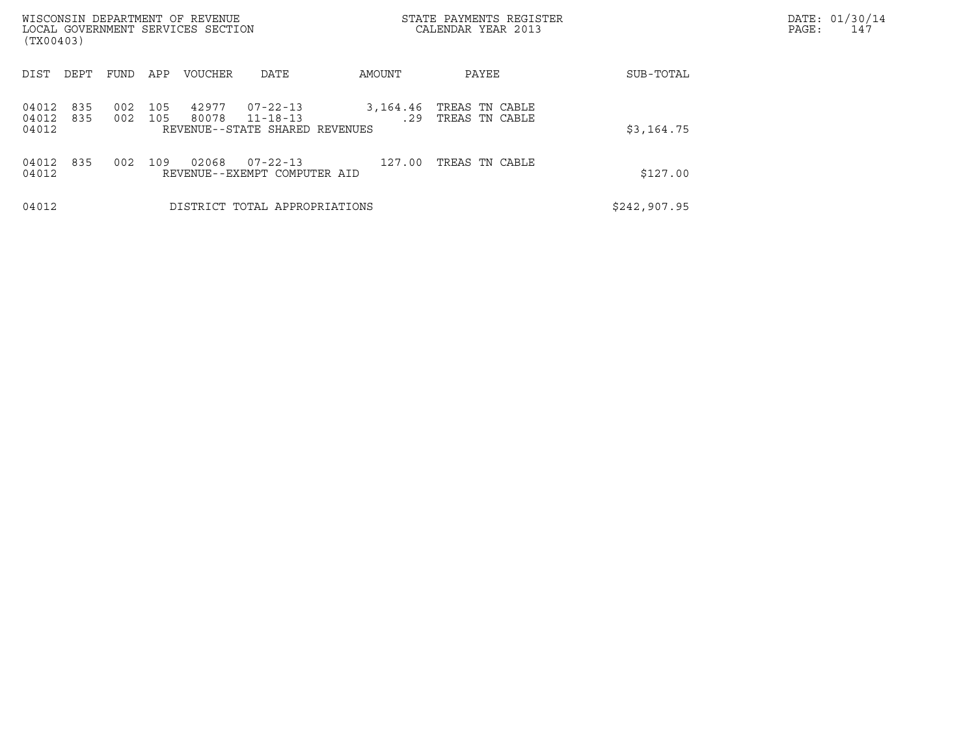| WISCONSIN DEPARTMENT OF REVENUE<br>LOCAL GOVERNMENT SERVICES SECTION<br>(TX00403) |            |            |                |                                                        |                 | STATE PAYMENTS REGISTER<br>CALENDAR YEAR 2013 |              | DATE: 01/30/14<br>PAGE:<br>147 |
|-----------------------------------------------------------------------------------|------------|------------|----------------|--------------------------------------------------------|-----------------|-----------------------------------------------|--------------|--------------------------------|
| DIST<br>DEPT                                                                      | FUND       | APP        | <b>VOUCHER</b> | DATE                                                   | AMOUNT          | PAYEE                                         | SUB-TOTAL    |                                |
| 835<br>04012<br>04012<br>835<br>04012                                             | 002<br>002 | 105<br>105 | 42977<br>80078 | 07-22-13<br>11-18-13<br>REVENUE--STATE SHARED REVENUES | 3,164.46<br>.29 | TREAS TN CABLE<br>TREAS TN CABLE              | \$3,164.75   |                                |
| 835<br>04012<br>04012                                                             | 002        | 109        | 02068          | $07 - 22 - 13$<br>REVENUE--EXEMPT COMPUTER AID         | 127.00          | TREAS TN CABLE                                | \$127.00     |                                |
| 04012                                                                             |            |            |                | DISTRICT TOTAL APPROPRIATIONS                          |                 |                                               | \$242,907.95 |                                |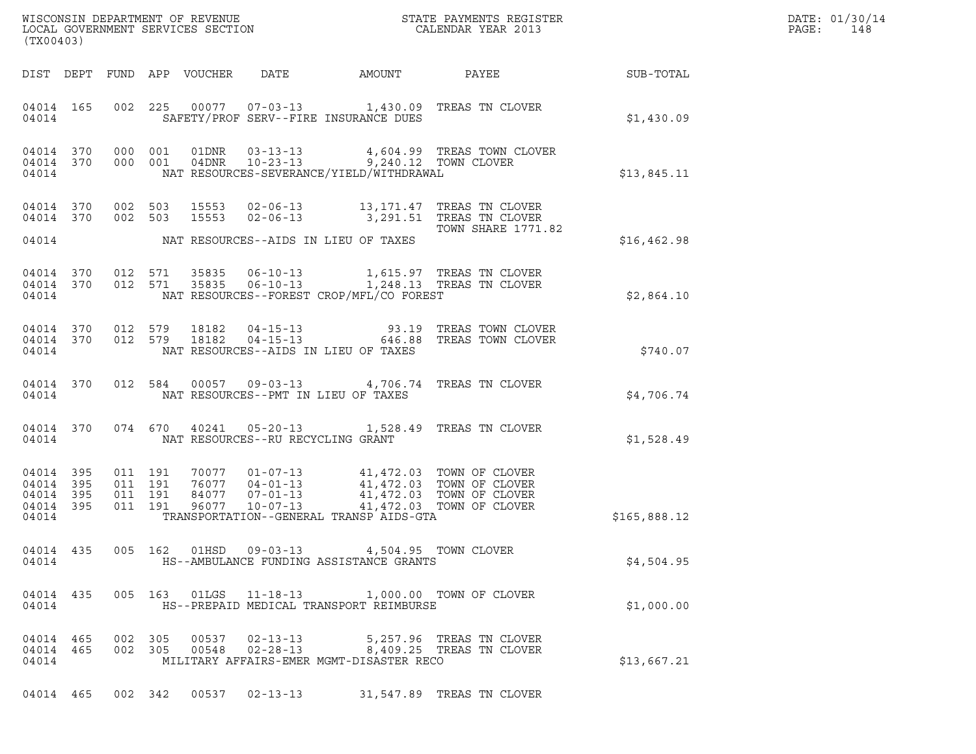| DATE: | 01/30/14 |
|-------|----------|
| PAGE: | 148      |

| (TX00403)                                                 |  |                                          |                |                                  |                                                                                        | % WISCONSIN DEPARTMENT OF REVENUE $$\tt STATE~PAYMEMTS~REGISTER~LOCAL~GOVERNMENT~SERVICES~SECTION~CALENDAR~YEAR~2013$                                                                |              | DATE: 01/30/14<br>PAGE:<br>148 |
|-----------------------------------------------------------|--|------------------------------------------|----------------|----------------------------------|----------------------------------------------------------------------------------------|--------------------------------------------------------------------------------------------------------------------------------------------------------------------------------------|--------------|--------------------------------|
|                                                           |  |                                          |                |                                  |                                                                                        |                                                                                                                                                                                      |              |                                |
| 04014 165<br>04014                                        |  |                                          |                |                                  | SAFETY/PROF SERV--FIRE INSURANCE DUES                                                  | 002 225 00077 07-03-13 1,430.09 TREAS TN CLOVER                                                                                                                                      | \$1,430.09   |                                |
| 04014 370<br>04014 370<br>04014                           |  |                                          |                |                                  | NAT RESOURCES-SEVERANCE/YIELD/WITHDRAWAL                                               | 000 001 01DNR 03-13-13 4,604.99 TREAS TOWN CLOVER<br>000 001 04DNR 10-23-13 9,240.12 TOWN CLOVER                                                                                     | \$13,845.11  |                                |
| 04014 370<br>04014 370                                    |  |                                          |                |                                  | 04014 NAT RESOURCES--AIDS IN LIEU OF TAXES                                             | 002 503 15553 02-06-13 13,171.47 TREAS TN CLOVER<br>002 503 15553 02-06-13 3,291.51 TREAS TN CLOVER<br><b>TOWN SHARE 1771.82</b>                                                     | \$16, 462.98 |                                |
|                                                           |  |                                          |                |                                  |                                                                                        |                                                                                                                                                                                      |              |                                |
| 04014 370<br>04014 370<br>04014                           |  |                                          |                |                                  | NAT RESOURCES--FOREST CROP/MFL/CO FOREST                                               | 012 571 35835 06-10-13 1,615.97 TREAS TN CLOVER<br>012 571 35835 06-10-13 1,248.13 TREAS TN CLOVER                                                                                   | \$2,864.10   |                                |
| 04014 370<br>04014 370<br>04014                           |  |                                          |                |                                  | NAT RESOURCES--AIDS IN LIEU OF TAXES                                                   | 012 579 18182 04-15-13 93.19 TREAS TOWN CLOVER<br>012 579 18182 04-15-13 646.88 TREAS TOWN CLOVER                                                                                    | \$740.07     |                                |
| 04014 370<br>04014                                        |  |                                          |                |                                  | NAT RESOURCES--PMT IN LIEU OF TAXES                                                    | 012 584 00057 09-03-13 4,706.74 TREAS TN CLOVER                                                                                                                                      | \$4,706.74   |                                |
| 04014 370                                                 |  |                                          |                |                                  | 04014 NAT RESOURCES--RU RECYCLING GRANT                                                | 074 670 40241 05-20-13 1,528.49 TREAS TN CLOVER                                                                                                                                      | \$1,528.49   |                                |
| 04014 395<br>04014 395<br>04014 395<br>04014 395<br>04014 |  | 011 191<br>011 191<br>011 191<br>011 191 |                |                                  | TRANSPORTATION--GENERAL TRANSP AIDS-GTA                                                | 70077  01-07-13  41,472.03  TOWN OF CLOVER<br>76077  04-01-13  41,472.03  TOWN OF CLOVER<br>84077  07-01-13  41,472.03  TOWN OF CLOVER<br>96077  10-07-13  41,472.03  TOWN OF CLOVER | \$165,888.12 |                                |
| 04014 435<br>04014                                        |  |                                          |                |                                  | 005 162 01HSD 09-03-13 4,504.95 TOWN CLOVER<br>HS--AMBULANCE FUNDING ASSISTANCE GRANTS |                                                                                                                                                                                      | \$4,504.95   |                                |
| 04014 435<br>04014                                        |  |                                          |                | 005 163 01LGS 11-18-13           | HS--PREPAID MEDICAL TRANSPORT REIMBURSE                                                | 1,000.00 TOWN OF CLOVER                                                                                                                                                              | \$1,000.00   |                                |
| 04014 465<br>04014 465<br>04014                           |  | 002 305<br>002 305                       | 00537<br>00548 | $02 - 13 - 13$<br>$02 - 28 - 13$ | MILITARY AFFAIRS-EMER MGMT-DISASTER RECO                                               | 5,257.96 TREAS TN CLOVER<br>8,409.25 TREAS TN CLOVER                                                                                                                                 | \$13,667.21  |                                |
| 04014 465                                                 |  | 002 342                                  |                |                                  |                                                                                        | 00537  02-13-13  31,547.89  TREAS TN CLOVER                                                                                                                                          |              |                                |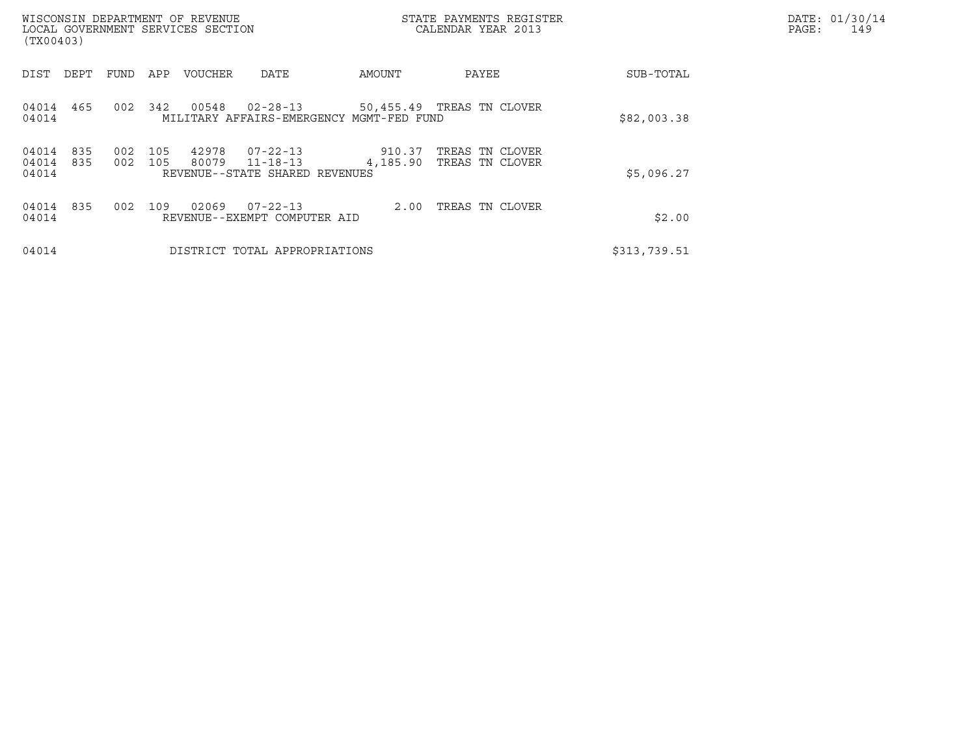| WISCONSIN DEPARTMENT OF REVENUE<br>LOCAL GOVERNMENT SERVICES SECTION<br>(TX00403) |            |            |                |                                                                    |                    | STATE PAYMENTS REGISTER<br>CALENDAR YEAR 2013 |              | DATE: 01/30/14<br>PAGE:<br>149 |
|-----------------------------------------------------------------------------------|------------|------------|----------------|--------------------------------------------------------------------|--------------------|-----------------------------------------------|--------------|--------------------------------|
| DIST<br>DEPT                                                                      | FUND       | APP        | <b>VOUCHER</b> | DATE                                                               | AMOUNT             | PAYEE                                         | SUB-TOTAL    |                                |
| 04014<br>465<br>04014                                                             | 002        | 342        | 00548          | $02 - 28 - 13$<br>MILITARY AFFAIRS-EMERGENCY MGMT-FED FUND         |                    | 50,455.49 TREAS TN CLOVER                     | \$82,003.38  |                                |
| 04014<br>835<br>04014<br>835<br>04014                                             | 002<br>002 | 105<br>105 | 42978<br>80079 | $07 - 22 - 13$<br>$11 - 18 - 13$<br>REVENUE--STATE SHARED REVENUES | 910.37<br>4,185.90 | TREAS TN CLOVER<br>TREAS TN CLOVER            | \$5,096.27   |                                |
| 04014<br>835<br>04014                                                             | 002        | 109        | 02069          | 07-22-13<br>REVENUE--EXEMPT COMPUTER AID                           | 2.00               | TREAS TN CLOVER                               | \$2.00       |                                |
| 04014                                                                             |            |            |                | DISTRICT TOTAL APPROPRIATIONS                                      |                    |                                               | \$313,739.51 |                                |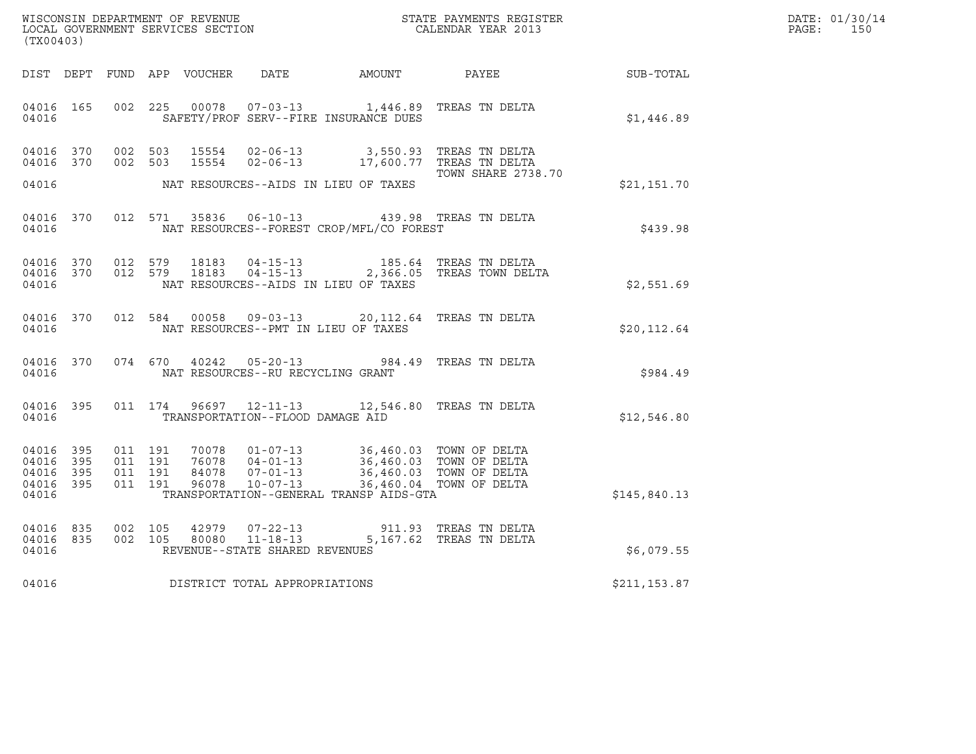| (TX00403)                                                 | %WISCONSIN DEPARTMENT OF REVENUE $$\tt STATE~PAYMENTS~REGISTER$ LOCAL GOVERNMENT SERVICES SECTION $$\tt CALENDAR~YEAR~2013$$                                                                                                                                                                                                                                                                                                                     |                           |              | DATE: 01/30/14<br>PAGE: 150 |
|-----------------------------------------------------------|--------------------------------------------------------------------------------------------------------------------------------------------------------------------------------------------------------------------------------------------------------------------------------------------------------------------------------------------------------------------------------------------------------------------------------------------------|---------------------------|--------------|-----------------------------|
|                                                           | DIST DEPT FUND APP VOUCHER DATE AMOUNT PAYEE SUB-TOTAL                                                                                                                                                                                                                                                                                                                                                                                           |                           |              |                             |
| 04016 165<br>04016                                        | 002 225 00078 07-03-13 1,446.89 TREAS TN DELTA<br>SAFETY/PROF SERV--FIRE INSURANCE DUES                                                                                                                                                                                                                                                                                                                                                          |                           | \$1,446.89   |                             |
| 04016 370<br>04016 370                                    | 002 503 15554 02-06-13 3,550.93 TREAS TN DELTA<br>002 503 15554 02-06-13 17,600.77 TREAS TN DELTA<br>NAT RESOURCES--AIDS IN LIEU OF TAXES                                                                                                                                                                                                                                                                                                        | <b>TOWN SHARE 2738.70</b> |              |                             |
| 04016                                                     |                                                                                                                                                                                                                                                                                                                                                                                                                                                  |                           | \$21,151.70  |                             |
| 04016                                                     | 04016 370 012 571 35836 06-10-13 439.98 TREAS TN DELTA<br>NAT RESOURCES--FOREST CROP/MFL/CO FOREST                                                                                                                                                                                                                                                                                                                                               |                           | \$439.98     |                             |
| 04016 370<br>04016 370<br>04016                           | 012 579 18183 04-15-13 185.64 TREAS TN DELTA<br>012 579 18183 04-15-13 2,366.05 TREAS TOWN DELTA<br>NAT RESOURCES--AIDS IN LIEU OF TAXES                                                                                                                                                                                                                                                                                                         |                           | \$2,551.69   |                             |
| 04016                                                     | 04016 370 012 584 00058 09-03-13 20,112.64 TREAS TN DELTA<br>NAT RESOURCES--PMT IN LIEU OF TAXES                                                                                                                                                                                                                                                                                                                                                 |                           | \$20, 112.64 |                             |
| 04016                                                     | 04016 370 074 670 40242 05-20-13 984.49 TREAS TN DELTA<br>NAT RESOURCES--RU RECYCLING GRANT                                                                                                                                                                                                                                                                                                                                                      |                           | \$984.49     |                             |
| 04016 395<br>04016                                        | 011 174 96697 12-11-13 12,546.80 TREAS TN DELTA<br>TRANSPORTATION--FLOOD DAMAGE AID                                                                                                                                                                                                                                                                                                                                                              |                           | \$12,546.80  |                             |
| 04016 395<br>04016 395<br>04016 395<br>04016 395<br>04016 | $\begin{array}{cccc} 011 & 191 & 70078 & 01\texttt{-}07\texttt{-}13 \\ 011 & 191 & 76078 & 04\texttt{-}01\texttt{-}13 \\ 011 & 191 & 84078 & 07\texttt{-}01\texttt{-}13 \\ \end{array} \qquad \begin{array}{c} 36,460.03 & \texttt{TOWN OF DELTA} \\ 36,460.03 & \texttt{TOWN OF DELTA} \\ 36,460.03 & \texttt{TOWN OF DELTA} \\ \end{array}$<br>96078  10-07-13  36,460.04  TOWN OF DELTA<br>011 191<br>TRANSPORTATION--GENERAL TRANSP AIDS-GTA |                           | \$145,840.13 |                             |
| 04016 835<br>04016 835<br>04016                           | $\begin{array}{cccc} 002 & 105 & 42979 & 07\texttt{-}22\texttt{-}13 \\ 002 & 105 & 80080 & 11\texttt{-}18\texttt{-}13 & 5,167.62 \end{array} \quad \begin{array}{cccc} \texttt{TERS} & \texttt{TN} & \texttt{DELTA} \\ \texttt{S,167.62} & \texttt{TREAS} & \texttt{TN} & \texttt{DELTA} \end{array}$<br>REVENUE--STATE SHARED REVENUES                                                                                                          |                           | \$6,079.55   |                             |
|                                                           | 04016 DISTRICT TOTAL APPROPRIATIONS                                                                                                                                                                                                                                                                                                                                                                                                              |                           | \$211,153.87 |                             |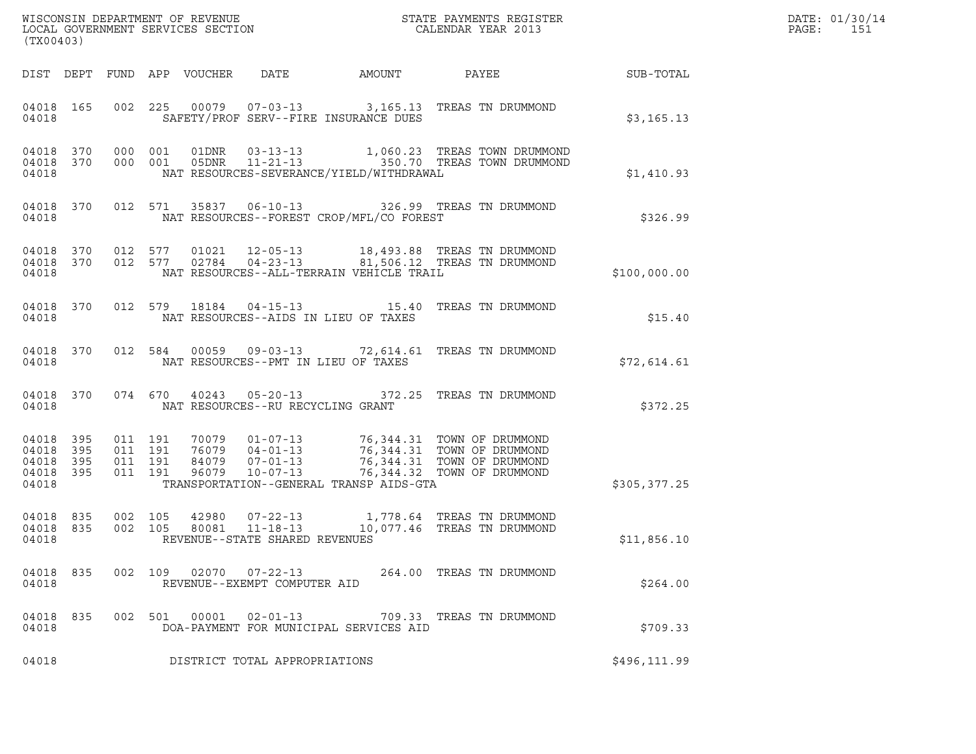| (TX00403)                                 |                          |         |         |                                 |                                                        |                                          |                                                                                                                                                                                                                  |              | DATE: 01/30/14<br>$\mathtt{PAGE}$ :<br>151 |
|-------------------------------------------|--------------------------|---------|---------|---------------------------------|--------------------------------------------------------|------------------------------------------|------------------------------------------------------------------------------------------------------------------------------------------------------------------------------------------------------------------|--------------|--------------------------------------------|
|                                           |                          |         |         | DIST DEPT FUND APP VOUCHER DATE |                                                        | AMOUNT PAYEE                             |                                                                                                                                                                                                                  | SUB-TOTAL    |                                            |
| 04018 165<br>04018                        |                          |         |         |                                 |                                                        | SAFETY/PROF SERV--FIRE INSURANCE DUES    | 002  225  00079  07-03-13  3,165.13  TREAS TN DRUMMOND                                                                                                                                                           | \$3,165.13   |                                            |
| 04018                                     |                          |         |         |                                 |                                                        | NAT RESOURCES-SEVERANCE/YIELD/WITHDRAWAL | 04018 370 000 001 01DNR 03-13-13 1,060.23 TREAS TOWN DRUMMOND 04018 370 000 001 05DNR 11-21-13 350.70 TREAS TOWN DRUMMOND                                                                                        | \$1,410.93   |                                            |
| 04018                                     |                          |         |         |                                 |                                                        | NAT RESOURCES--FOREST CROP/MFL/CO FOREST | 04018 370 012 571 35837 06-10-13 326.99 TREAS TN DRUMMOND                                                                                                                                                        | \$326.99     |                                            |
| 04018<br>04018<br>04018                   |                          |         |         |                                 |                                                        | NAT RESOURCES--ALL-TERRAIN VEHICLE TRAIL | 370 012 577 01021 12-05-13 18,493.88 TREAS TNDRUMMOND<br>370 012 577 02784 04-23-13 81,506.12 TREAS TNDRUMMOND                                                                                                   | \$100,000.00 |                                            |
| 04018                                     |                          |         |         |                                 |                                                        | NAT RESOURCES--AIDS IN LIEU OF TAXES     | 04018 370 012 579 18184 04-15-13 15.40 TREAS TN DRUMMOND                                                                                                                                                         | \$15.40      |                                            |
| 04018                                     |                          |         |         |                                 |                                                        | NAT RESOURCES--PMT IN LIEU OF TAXES      | 04018 370 012 584 00059 09-03-13 72,614.61 TREAS TN DRUMMOND                                                                                                                                                     | \$72,614.61  |                                            |
| 04018                                     |                          |         |         |                                 | NAT RESOURCES--RU RECYCLING GRANT                      |                                          | 04018 370 074 670 40243 05-20-13 372.25 TREAS TN DRUMMOND                                                                                                                                                        | \$372.25     |                                            |
| 04018<br>04018<br>04018<br>04018<br>04018 | 395<br>395<br>395<br>395 | 011 191 |         |                                 |                                                        | TRANSPORTATION--GENERAL TRANSP AIDS-GTA  | 011 191 70079 01-07-13 76,344.31 TOWN OF DRUMMOND<br>011 191 76079 04-01-13 76,344.31 TOWN OF DRUMMOND<br>011 191 96079 10-07-13 76,344.31 TOWN OF DRUMMOND<br>011 191 96079 10-07-13 76,344.32 TOWN OF DRUMMOND | \$305,377.25 |                                            |
| 04018 835<br>04018 835<br>04018           |                          |         | 002 105 |                                 | 80081 11-18-13<br>REVENUE--STATE SHARED REVENUES       |                                          | 002 105 42980 07-22-13 1,778.64 TREAS TN DRUMMOND<br>10,077.46 TREAS TN DRUMMOND                                                                                                                                 | \$11,856.10  |                                            |
| 04018 835<br>04018                        |                          |         |         |                                 | 002 109 02070 07-22-13<br>REVENUE--EXEMPT COMPUTER AID |                                          | 264.00 TREAS TN DRUMMOND                                                                                                                                                                                         | \$264.00     |                                            |
| 04018 835<br>04018                        |                          |         |         |                                 |                                                        | DOA-PAYMENT FOR MUNICIPAL SERVICES AID   | 002 501 00001 02-01-13 709.33 TREAS TN DRUMMOND                                                                                                                                                                  | \$709.33     |                                            |
| 04018                                     |                          |         |         |                                 | DISTRICT TOTAL APPROPRIATIONS                          |                                          |                                                                                                                                                                                                                  | \$496,111.99 |                                            |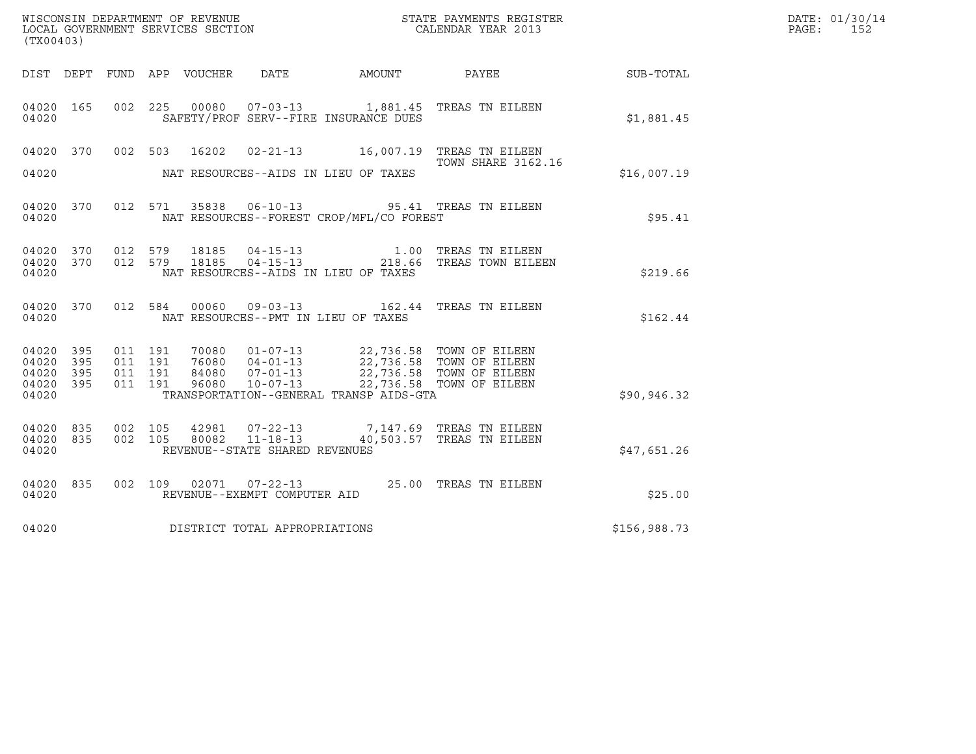| ${\tt WISCOONSIM\ DEPARTMENT\ OF\ REVENUE}\ {\tt LOCALENDAR\ VERA}$ LOCAL GOVERNMENT SERVICES SECTION ${\tt LOCALENDAR\ VERAR\ 2013}$<br>(TX00403) |                     |                               |         |                |                                                  |                                          |                                                                                                                                                                                      |              | DATE: 01/30/14<br>PAGE:<br>152 |
|----------------------------------------------------------------------------------------------------------------------------------------------------|---------------------|-------------------------------|---------|----------------|--------------------------------------------------|------------------------------------------|--------------------------------------------------------------------------------------------------------------------------------------------------------------------------------------|--------------|--------------------------------|
|                                                                                                                                                    |                     |                               |         |                |                                                  |                                          |                                                                                                                                                                                      | SUB-TOTAL    |                                |
| 04020 165<br>04020                                                                                                                                 |                     |                               |         |                |                                                  | SAFETY/PROF SERV--FIRE INSURANCE DUES    | 002 225 00080 07-03-13 1,881.45 TREAS TN EILEEN                                                                                                                                      | \$1,881.45   |                                |
| 04020 370<br>04020                                                                                                                                 |                     |                               | 002 503 | 16202          |                                                  | NAT RESOURCES--AIDS IN LIEU OF TAXES     | <b>TOWN SHARE 3162.16</b>                                                                                                                                                            | \$16,007.19  |                                |
| 04020 370<br>04020                                                                                                                                 |                     |                               |         |                |                                                  | NAT RESOURCES--FOREST CROP/MFL/CO FOREST | 012 571 35838 06-10-13 95.41 TREAS TN EILEEN                                                                                                                                         | \$95.41      |                                |
| 04020 370 012 579<br>04020 370<br>04020                                                                                                            |                     | 012 579                       |         |                |                                                  | NAT RESOURCES--AIDS IN LIEU OF TAXES     |                                                                                                                                                                                      | \$219.66     |                                |
| 04020 370<br>04020                                                                                                                                 |                     |                               |         |                |                                                  | NAT RESOURCES--PMT IN LIEU OF TAXES      | 012 584 00060 09-03-13 162.44 TREAS TN EILEEN                                                                                                                                        | \$162.44     |                                |
| 04020 395<br>04020<br>04020<br>04020<br>04020                                                                                                      | - 395<br>395<br>395 | 011 191<br>011 191<br>011 191 | 011 191 |                |                                                  | TRANSPORTATION--GENERAL TRANSP AIDS-GTA  | 70080  01-07-13  22,736.58  TOWN OF EILEEN<br>76080  04-01-13  22,736.58  TOWN OF EILEEN<br>84080  07-01-13  22,736.58  TOWN OF EILEEN<br>96080  10-07-13  22,736.58  TOWN OF EILEEN | \$90, 946.32 |                                |
| 04020 835<br>04020 835<br>04020                                                                                                                    |                     | 002 105<br>002 105            |         | 42981<br>80082 | $11 - 18 - 13$<br>REVENUE--STATE SHARED REVENUES |                                          | 07-22-13 7,147.69 TREAS TN EILEEN<br>40,503.57 TREAS TN EILEEN                                                                                                                       | \$47,651.26  |                                |
| 04020 835<br>04020                                                                                                                                 |                     |                               |         |                | REVENUE--EXEMPT COMPUTER AID                     |                                          | 002 109 02071 07-22-13 25.00 TREAS TN EILEEN                                                                                                                                         | \$25.00      |                                |
| 04020                                                                                                                                              |                     |                               |         |                | DISTRICT TOTAL APPROPRIATIONS                    |                                          |                                                                                                                                                                                      | \$156,988.73 |                                |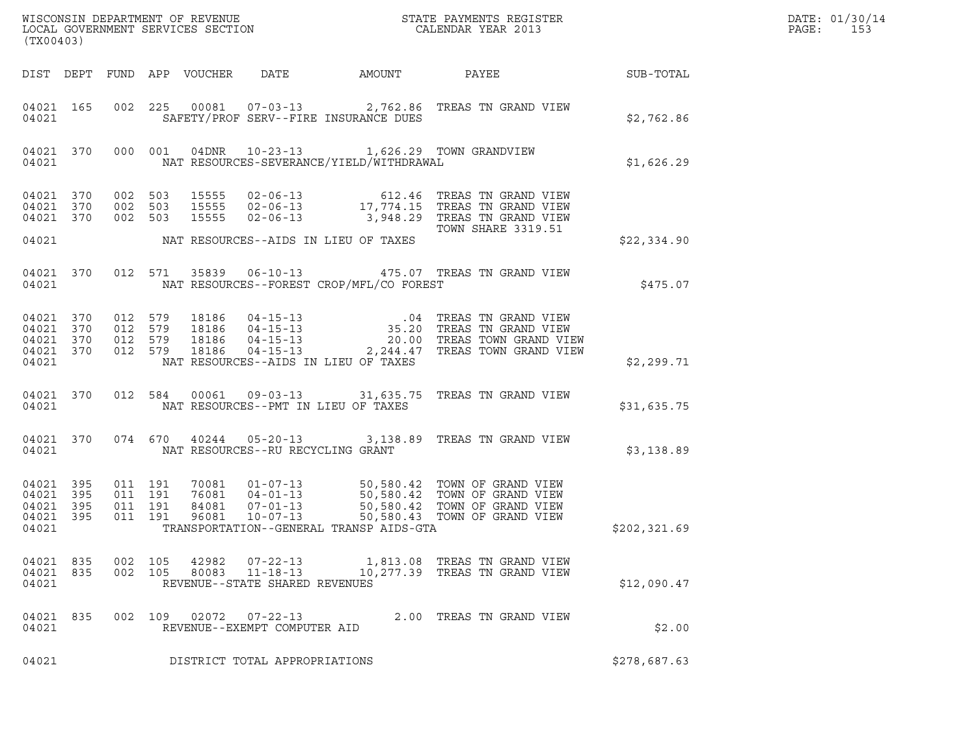| ${\tt WISCOONSIM} \begin{tabular}{lcccc} DEPARTMENT OF REVENUE & & & & & & \begin{tabular}{l} \bf STATE} & \bf PAYMENTS \textit{ REGISTER} \\ \hline \textit{LOCAL GOVERNMENT} & \textit{SEVICES} & \textit{SECTION} \end{tabular} & & & & & \begin{tabular}{l} \bf CALENDAR \textit{ YEAR} \end{tabular} \end{tabular}$<br>(TX00403) |            |                               |                                          |                                          |                                                  |                                                                                                      |                                                                                                                                                                                                      |                  | DATE: 01/30/14<br>PAGE:<br>153 |
|---------------------------------------------------------------------------------------------------------------------------------------------------------------------------------------------------------------------------------------------------------------------------------------------------------------------------------------|------------|-------------------------------|------------------------------------------|------------------------------------------|--------------------------------------------------|------------------------------------------------------------------------------------------------------|------------------------------------------------------------------------------------------------------------------------------------------------------------------------------------------------------|------------------|--------------------------------|
|                                                                                                                                                                                                                                                                                                                                       |            |                               |                                          | DIST DEPT FUND APP VOUCHER               |                                                  | DATE AMOUNT PAYEE                                                                                    |                                                                                                                                                                                                      | <b>SUB-TOTAL</b> |                                |
| 04021 165<br>04021                                                                                                                                                                                                                                                                                                                    |            |                               |                                          |                                          |                                                  | SAFETY/PROF SERV--FIRE INSURANCE DUES                                                                | 002 225 00081 07-03-13 2,762.86 TREAS TN GRAND VIEW                                                                                                                                                  | \$2,762.86       |                                |
| 04021                                                                                                                                                                                                                                                                                                                                 |            |                               |                                          |                                          |                                                  | 04021 370 000 001 04DNR 10-23-13 1,626.29 TOWN GRANDVIEW<br>NAT RESOURCES-SEVERANCE/YIELD/WITHDRAWAL |                                                                                                                                                                                                      | \$1,626.29       |                                |
| 04021 370<br>04021 370<br>04021 370                                                                                                                                                                                                                                                                                                   |            | 002 503<br>002 503<br>002 503 |                                          | 15555<br>15555<br>15555                  |                                                  |                                                                                                      | 02-06-13 612.46 TREAS TN GRAND VIEW<br>02-06-13 17,774.15 TREAS TN GRAND VIEW<br>02-06-13 3,948.29 TREAS TN GRAND VIEW<br>TOWN SHARE 3319.51                                                         |                  |                                |
| 04021                                                                                                                                                                                                                                                                                                                                 |            |                               |                                          |                                          |                                                  | NAT RESOURCES--AIDS IN LIEU OF TAXES                                                                 |                                                                                                                                                                                                      | \$22,334.90      |                                |
| 04021                                                                                                                                                                                                                                                                                                                                 | 04021 370  |                               |                                          |                                          |                                                  | NAT RESOURCES--FOREST CROP/MFL/CO FOREST                                                             | 012 571 35839 06-10-13 475.07 TREAS TN GRAND VIEW                                                                                                                                                    | \$475.07         |                                |
| 04021 370<br>04021 370<br>04021 370<br>04021 370<br>04021                                                                                                                                                                                                                                                                             |            | 012 579<br>012 579            | 012 579                                  | 18186<br>18186<br>18186<br>012 579 18186 |                                                  | NAT RESOURCES--AIDS IN LIEU OF TAXES                                                                 | 04-15-13 04 TREAS TN GRAND VIEW<br>04-15-13 35.20 TREAS TN GRAND VIEW<br>04-15-13 20.00 TREAS TOWN GRAND VIEW<br>04-15-13 2,244.47 TREAS TOWN GRAND VIEW                                             | \$2,299.71       |                                |
| 04021                                                                                                                                                                                                                                                                                                                                 |            |                               |                                          |                                          |                                                  | NAT RESOURCES--PMT IN LIEU OF TAXES                                                                  | 04021 370 012 584 00061 09-03-13 31,635.75 TREAS TN GRAND VIEW                                                                                                                                       | \$31,635.75      |                                |
|                                                                                                                                                                                                                                                                                                                                       | 04021      |                               |                                          |                                          | NAT RESOURCES--RU RECYCLING GRANT                |                                                                                                      | 04021 370 074 670 40244 05-20-13 3,138.89 TREAS TN GRAND VIEW                                                                                                                                        | \$3,138.89       |                                |
| 04021 395<br>04021<br>04021 395<br>04021 395<br>04021                                                                                                                                                                                                                                                                                 | 395        |                               | 011 191<br>011 191<br>011 191<br>011 191 |                                          |                                                  | TRANSPORTATION--GENERAL TRANSP AIDS-GTA                                                              | 70081  01-07-13  50,580.42  TOWN OF GRAND VIEW<br>76081  04-01-13  50,580.42  TOWN OF GRAND VIEW<br>84081  07-01-13  50,580.42  TOWN OF GRAND VIEW<br>96081  10-07-13  50,580.43  TOWN OF GRAND VIEW | \$202, 321.69    |                                |
| 04021<br>04021<br>04021                                                                                                                                                                                                                                                                                                               | 835<br>835 |                               | 002 105<br>002 105                       | 42982<br>80083                           | $11 - 18 - 13$<br>REVENUE--STATE SHARED REVENUES |                                                                                                      | 07-22-13 1,813.08 TREAS TN GRAND VIEW<br>10,277.39 TREAS TN GRAND VIEW                                                                                                                               | \$12,090.47      |                                |
| 04021 835<br>04021                                                                                                                                                                                                                                                                                                                    |            |                               | 002 109                                  | 02072                                    | $07 - 22 - 13$<br>REVENUE--EXEMPT COMPUTER AID   |                                                                                                      | 2.00 TREAS TN GRAND VIEW                                                                                                                                                                             | \$2.00           |                                |
| 04021                                                                                                                                                                                                                                                                                                                                 |            |                               |                                          |                                          | DISTRICT TOTAL APPROPRIATIONS                    |                                                                                                      |                                                                                                                                                                                                      | \$278,687.63     |                                |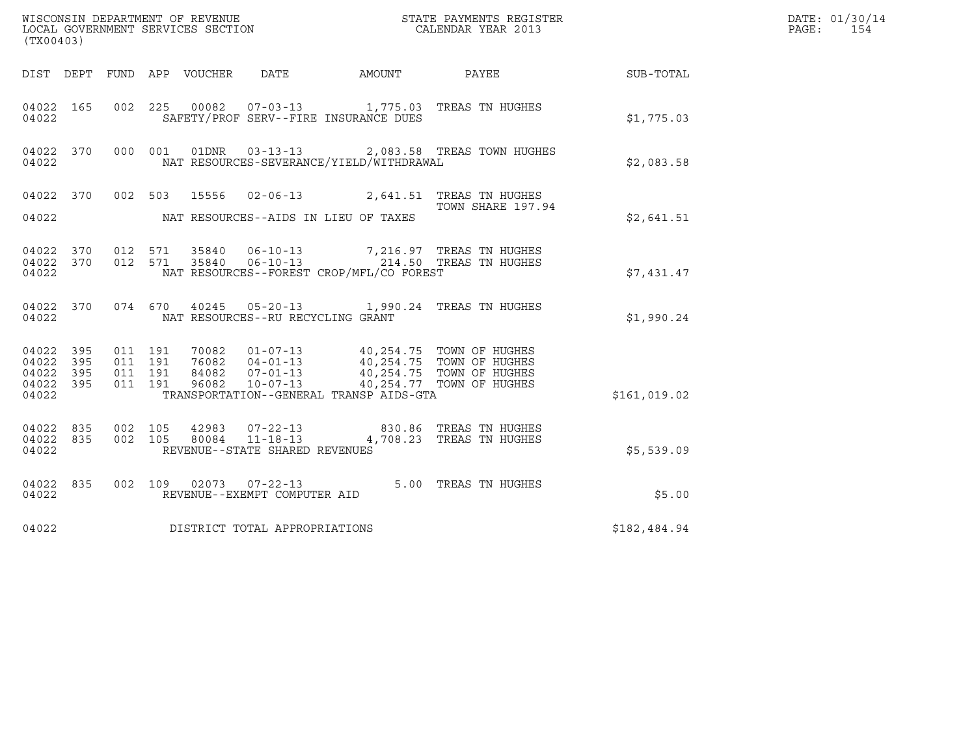| (TX00403)                                             |     |                               |         |                |                                                        |                                          |                                                                      |                 | DATE: 01/30/14<br>PAGE:<br>154 |
|-------------------------------------------------------|-----|-------------------------------|---------|----------------|--------------------------------------------------------|------------------------------------------|----------------------------------------------------------------------|-----------------|--------------------------------|
|                                                       |     |                               |         |                |                                                        | DIST DEPT FUND APP VOUCHER DATE AMOUNT   |                                                                      | PAYEE SUB-TOTAL |                                |
| 04022 165<br>04022                                    |     |                               |         |                |                                                        | SAFETY/PROF SERV--FIRE INSURANCE DUES    | 002 225 00082 07-03-13 1,775.03 TREAS TN HUGHES                      | \$1,775.03      |                                |
| 04022 370<br>04022                                    |     | 000 001                       |         |                |                                                        | NAT RESOURCES-SEVERANCE/YIELD/WITHDRAWAL | 01DNR  03-13-13  2,083.58  TREAS  TOWN HUGHES                        | \$2,083.58      |                                |
| 04022 370<br>04022                                    |     |                               |         |                |                                                        | NAT RESOURCES--AIDS IN LIEU OF TAXES     | 002 503 15556 02-06-13 2,641.51 TREAS TN HUGHES<br>TOWN SHARE 197.94 | \$2,641.51      |                                |
| 04022 370 012 571<br>04022 370<br>04022               |     | 012 571                       |         | 35840          | 35840 06-10-13                                         | NAT RESOURCES--FOREST CROP/MFL/CO FOREST | 7,216.97 TREAS TN HUGHES<br>06-10-13 214.50 TREAS TN HUGHES          | \$7,431.47      |                                |
| 04022 370<br>04022                                    |     |                               |         |                | NAT RESOURCES--RU RECYCLING GRANT                      |                                          | 074 670 40245 05-20-13 1,990.24 TREAS TN HUGHES                      | \$1,990.24      |                                |
| 04022 395<br>04022 395<br>04022<br>04022 395<br>04022 | 395 | 011 191<br>011 191<br>011 191 | 011 191 |                |                                                        | TRANSPORTATION--GENERAL TRANSP AIDS-GTA  |                                                                      | \$161,019.02    |                                |
| 04022 835<br>04022 835<br>04022                       |     | 002 105<br>002 105            |         | 42983<br>80084 | $11 - 18 - 13$<br>REVENUE--STATE SHARED REVENUES       |                                          | 07-22-13 830.86 TREAS TN HUGHES<br>4,708.23 TREAS TN HUGHES          | \$5,539.09      |                                |
| 04022 835<br>04022                                    |     |                               |         |                | 002 109 02073 07-22-13<br>REVENUE--EXEMPT COMPUTER AID |                                          | 5.00 TREAS TN HUGHES                                                 | \$5.00          |                                |
| 04022                                                 |     |                               |         |                | DISTRICT TOTAL APPROPRIATIONS                          |                                          |                                                                      | \$182,484.94    |                                |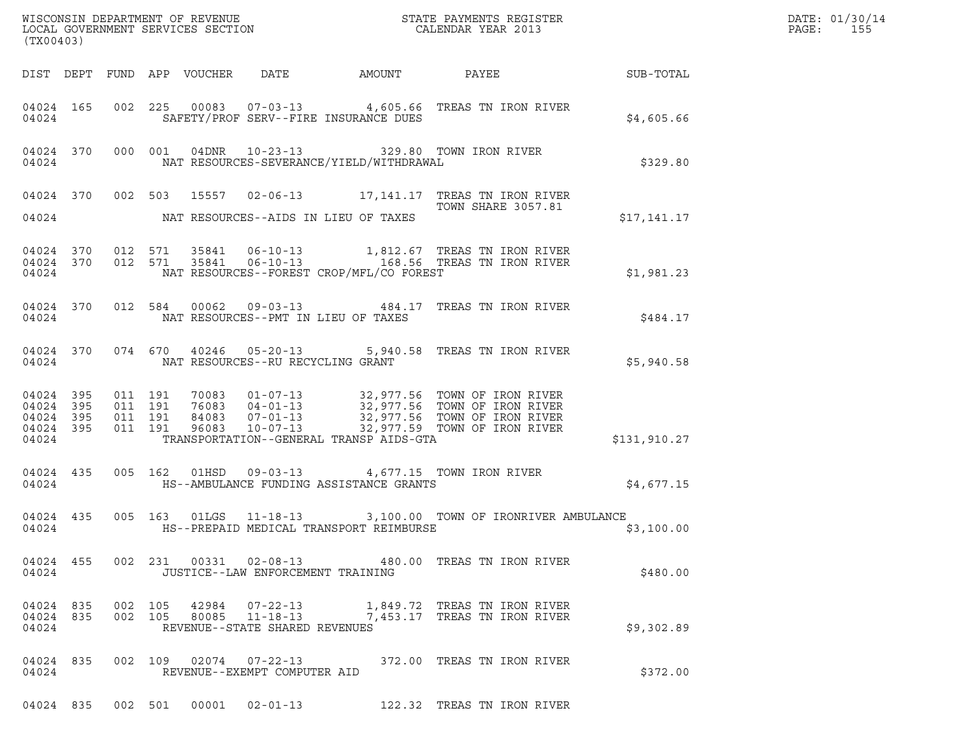| (TX00403)                                                 | WISCONSIN DEPARTMENT OF REVENUE<br>LOCAL GOVERNMENT SERVICES SECTION FOR THE SERVICES OF CALENDAR YEAR 2013                                                                                                                                                         | R            | DATE: 01/30/14<br>$\mathtt{PAGE}$ :<br>155 |
|-----------------------------------------------------------|---------------------------------------------------------------------------------------------------------------------------------------------------------------------------------------------------------------------------------------------------------------------|--------------|--------------------------------------------|
|                                                           | DIST DEPT FUND APP VOUCHER DATE AMOUNT PAYEE SUB-TOTAL                                                                                                                                                                                                              |              |                                            |
| 04024                                                     | 04024 165 002 225 00083 07-03-13 4,605.66 TREAS TN IRON RIVER<br>SAFETY/PROF SERV--FIRE INSURANCE DUES                                                                                                                                                              | \$4,605.66   |                                            |
|                                                           | 04024 370 000 001 04DNR 10-23-13 329.80 TOWN IRON RIVER<br>04024 NAT RESOURCES-SEVERANCE/YIELD/WITHDRAWAL                                                                                                                                                           | \$329.80     |                                            |
|                                                           | 04024 370 002 503 15557 02-06-13 17,141.17 TREAS TN IRON RIVER<br><b>TOWN SHARE 3057.81</b><br>04024 NAT RESOURCES--AIDS IN LIEU OF TAXES                                                                                                                           | \$17,141.17  |                                            |
|                                                           | $\begin{array}{cccccccc} 04024 & 370 & 012 & 571 & 35841 & 06-10-13 & & 1,812.67 & \text{TREAS TN IRON RIVER} \\ 04024 & 370 & 012 & 571 & 35841 & 06-10-13 & & 168.56 & \text{TREAS TN IRON RIVER} \end{array}$<br>04024 NAT RESOURCES--FOREST CROP/MFL/CO FOREST  | \$1,981.23   |                                            |
|                                                           | 04024 370 012 584 00062 09-03-13 484.17 TREAS TN IRON RIVER<br>04024 NAT RESOURCES--PMT IN LIEU OF TAXES                                                                                                                                                            | \$484.17     |                                            |
|                                                           | 04024 370 074 670 40246 05-20-13 5,940.58 TREAS TN IRON RIVER<br>04024 NAT RESOURCES--RU RECYCLING GRANT                                                                                                                                                            | \$5,940.58   |                                            |
| 04024 395<br>04024 395<br>04024 395<br>04024 395<br>04024 | 011 191 70083 01-07-13 32,977.56 TOWN OF IRON RIVER<br>011 191 76083 04-01-13 32,977.56 TOWN OF IRON RIVER<br>011 191 84083 07-01-13 32,977.56 TOWN OF IRON RIVER<br>011 191 96083 10-07-13 32,977.59 TOWN OF IRON RIVER<br>TRANSPORTATION--GENERAL TRANSP AIDS-GTA | \$131,910.27 |                                            |
|                                                           | 04024 435 005 162 01HSD 09-03-13 4,677.15 TOWN IRON RIVER                                                                                                                                                                                                           | \$4,677.15   |                                            |
|                                                           | 04024 435 005 163 01LGS 11-18-13 3,100.00 TOWN OF IRONRIVER AMBULANCE<br>04024 HS--PREPAID MEDICAL TRANSPORT REIMBURSE                                                                                                                                              | \$3,100.00   |                                            |
| 04024                                                     | 04024 455 002 231 00331 02-08-13 480.00 TREAS TN IRON RIVER<br>JUSTICE--LAW ENFORCEMENT TRAINING                                                                                                                                                                    | \$480.00     |                                            |
| 04024 835<br>04024 835<br>04024                           | 002 105 42984 07-22-13 1,849.72 TREAS TN IRON RIVER<br>002 105 80085 11-18-13 7,453.17 TREAS TN IRON RIVER<br>REVENUE--STATE SHARED REVENUES                                                                                                                        | \$9,302.89   |                                            |
| 04024 835<br>04024                                        | 002 109 02074 07-22-13 372.00 TREAS TN IRON RIVER<br>REVENUE--EXEMPT COMPUTER AID                                                                                                                                                                                   | \$372.00     |                                            |
|                                                           | 04024 835 002 501 00001 02-01-13<br>122.32 TREAS TN IRON RIVER                                                                                                                                                                                                      |              |                                            |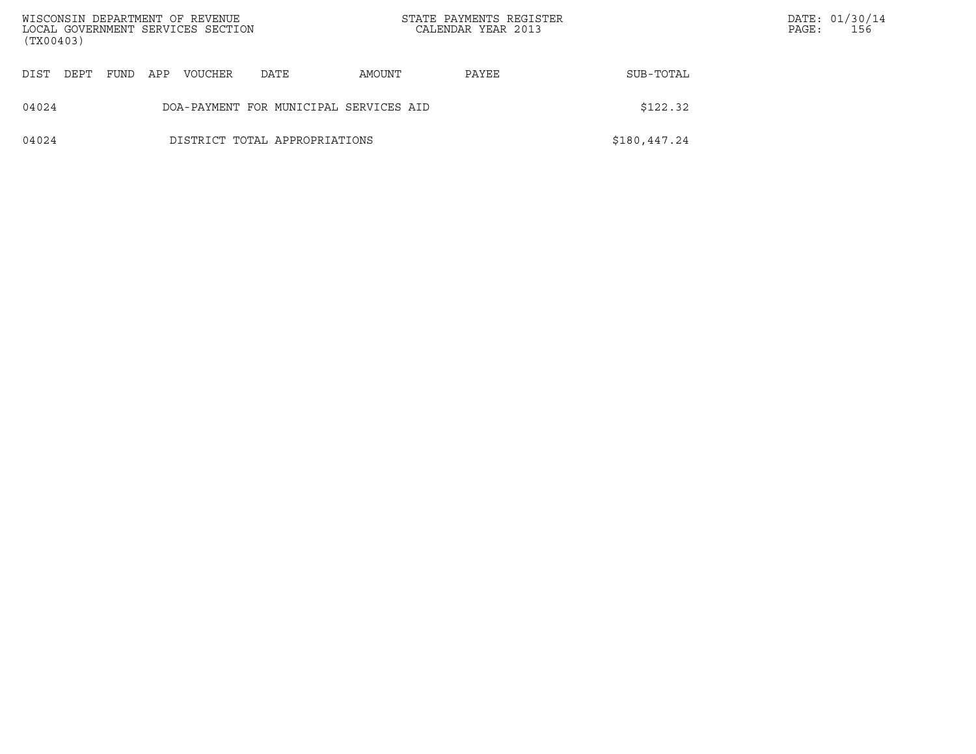| WISCONSIN DEPARTMENT OF REVENUE<br>LOCAL GOVERNMENT SERVICES SECTION<br>(TX00403) |      |      |     |                |                                        |        | STATE PAYMENTS REGISTER<br>CALENDAR YEAR 2013 |              | PAGE: | DATE: 01/30/14<br>156 |
|-----------------------------------------------------------------------------------|------|------|-----|----------------|----------------------------------------|--------|-----------------------------------------------|--------------|-------|-----------------------|
| DIST                                                                              | DEPT | FUND | APP | <b>VOUCHER</b> | DATE                                   | AMOUNT | PAYEE                                         | SUB-TOTAL    |       |                       |
| 04024                                                                             |      |      |     |                | DOA-PAYMENT FOR MUNICIPAL SERVICES AID |        |                                               | \$122.32     |       |                       |
| 04024                                                                             |      |      |     |                | DISTRICT TOTAL APPROPRIATIONS          |        |                                               | \$180,447.24 |       |                       |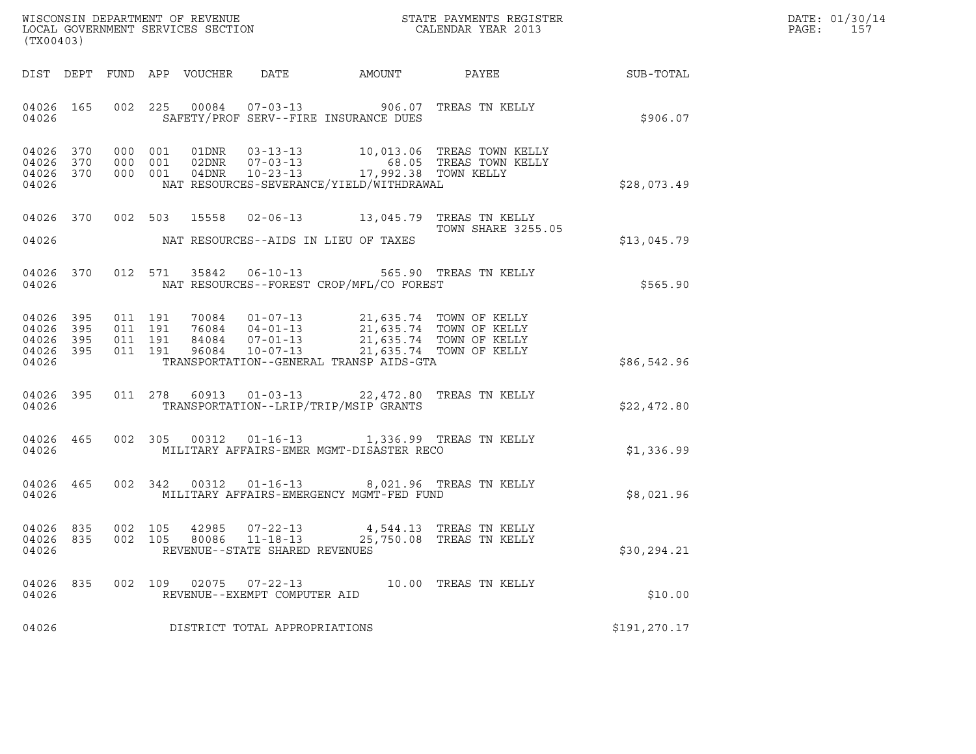|       | DATE: 01/30/14 |
|-------|----------------|
| PAGE: | 157            |

| (TX00403)                                                 |                                                                                                                                                                                                                                                                                                                                                                                                |                 | DATE: 01/30/14<br>PAGE:<br>157 |
|-----------------------------------------------------------|------------------------------------------------------------------------------------------------------------------------------------------------------------------------------------------------------------------------------------------------------------------------------------------------------------------------------------------------------------------------------------------------|-----------------|--------------------------------|
|                                                           | DIST DEPT FUND APP VOUCHER DATE AMOUNT                                                                                                                                                                                                                                                                                                                                                         | PAYEE SUB-TOTAL |                                |
| 04026 165<br>04026                                        | 002 225 00084 07-03-13 906.07 TREAS TN KELLY<br>SAFETY/PROF SERV--FIRE INSURANCE DUES                                                                                                                                                                                                                                                                                                          | \$906.07        |                                |
| 04026 370<br>04026 370<br>04026 370<br>04026              | 000 001 01DNR 03-13-13 10,013.06 TREAS TOWN KELLY<br>000 001 02DNR 07-03-13 68.05 TREAS TOWN KELLY<br>000 001 04DNR 10-23-13 17,992.38 TOWN KELLY<br>NAT RESOURCES-SEVERANCE/YIELD/WITHDRAWAL                                                                                                                                                                                                  | \$28,073.49     |                                |
| 04026 370                                                 | 002 503 15558 02-06-13 13,045.79 TREAS TN KELLY<br><b>TOWN SHARE 3255.05</b>                                                                                                                                                                                                                                                                                                                   | \$13,045.79     |                                |
| 04026 370<br>04026                                        | 012 571 35842 06-10-13 565.90 TREAS TN KELLY<br>NAT RESOURCES--FOREST CROP/MFL/CO FOREST                                                                                                                                                                                                                                                                                                       | \$565.90        |                                |
| 04026 395<br>04026 395<br>04026 395<br>04026 395<br>04026 | $\begin{array}{cccccc} 011 & 191 & 70084 & 01\texttt{-}07\texttt{-}13 & 21,635.74 & \texttt{TOWN OF KELLY} \\ 011 & 191 & 76084 & 04\texttt{-}01\texttt{-}13 & 21,635.74 & \texttt{TOWN OF KELLY} \\ 011 & 191 & 84084 & 07\texttt{-}01\texttt{-}13 & 21,635.74 & \texttt{TOWN OF KELLY} \\ 011 & 191 & 96084 & 10\texttt{-}07\texttt{-}13 & 21,63$<br>TRANSPORTATION--GENERAL TRANSP AIDS-GTA | \$86,542.96     |                                |
| 04026                                                     | 04026 395 011 278 60913 01-03-13 22,472.80 TREAS TN KELLY<br>TRANSPORTATION--LRIP/TRIP/MSIP GRANTS                                                                                                                                                                                                                                                                                             | \$22,472.80     |                                |
| 04026                                                     | 04026 465 002 305 00312 01-16-13 1,336.99 TREAS TN KELLY<br>MILITARY AFFAIRS-EMER MGMT-DISASTER RECO                                                                                                                                                                                                                                                                                           | \$1,336.99      |                                |
| 04026                                                     | 04026 465 002 342 00312 01-16-13 8,021.96 TREAS TN KELLY<br>MILITARY AFFAIRS-EMERGENCY MGMT-FED FUND                                                                                                                                                                                                                                                                                           | \$8,021.96      |                                |
| 04026 835<br>04026 835<br>04026                           | 002 105 42985 07-22-13 4,544.13 TREAS TN KELLY<br>002  105  80086  11-18-13  25,750.08  TREAS TN KELLY<br>REVENUE--STATE SHARED REVENUES                                                                                                                                                                                                                                                       | \$30, 294.21    |                                |
| 04026 835<br>04026                                        | 002 109 02075 07-22-13<br>10.00 TREAS TN KELLY<br>REVENUE--EXEMPT COMPUTER AID                                                                                                                                                                                                                                                                                                                 | \$10.00         |                                |
| 04026                                                     | DISTRICT TOTAL APPROPRIATIONS                                                                                                                                                                                                                                                                                                                                                                  | \$191,270.17    |                                |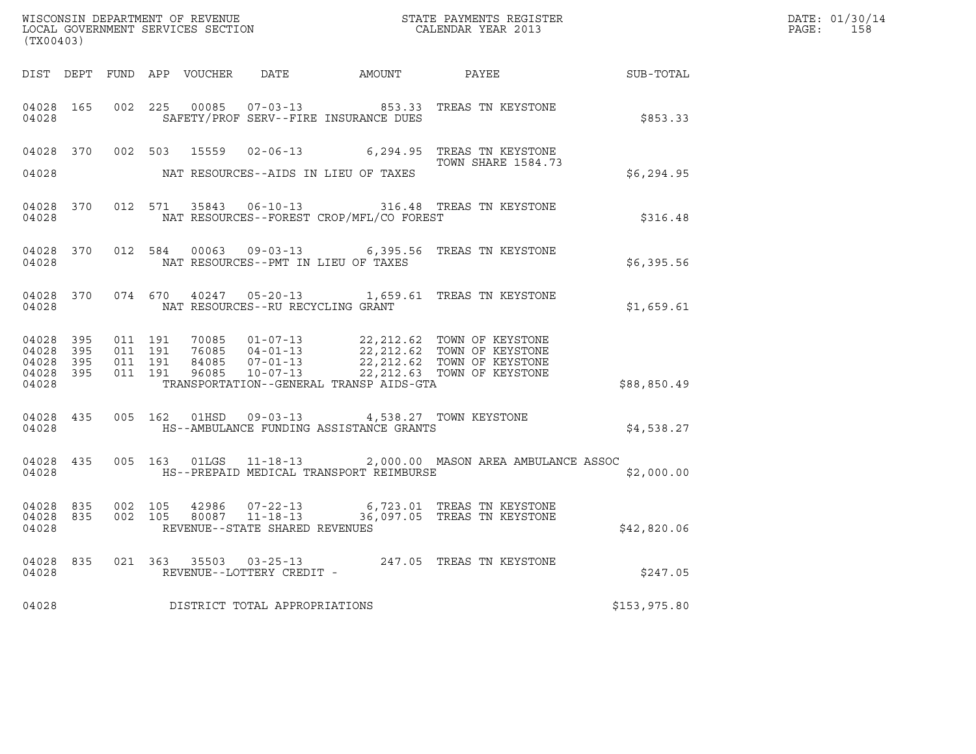| (TX00403)                                     |                   |                    |  | WISCONSIN DEPARTMENT OF REVENUE<br>LOCAL GOVERNMENT SERVICES SECTION |                                                                                               | STATE PAYMENTS REGISTER<br>CALENDAR YEAR 2013                                                                                                                                                               |              | DATE: 01/30/14<br>PAGE: 158 |
|-----------------------------------------------|-------------------|--------------------|--|----------------------------------------------------------------------|-----------------------------------------------------------------------------------------------|-------------------------------------------------------------------------------------------------------------------------------------------------------------------------------------------------------------|--------------|-----------------------------|
|                                               |                   |                    |  |                                                                      |                                                                                               |                                                                                                                                                                                                             |              |                             |
| 04028                                         | 04028 165         |                    |  |                                                                      | SAFETY/PROF SERV--FIRE INSURANCE DUES                                                         | 002 225 00085 07-03-13 853.33 TREAS TN KEYSTONE                                                                                                                                                             | \$853.33     |                             |
|                                               |                   |                    |  |                                                                      |                                                                                               | 04028 370 002 503 15559 02-06-13 6,294.95 TREAS TN KEYSTONE<br>TOWN SHARE 1584.73                                                                                                                           |              |                             |
| 04028                                         |                   |                    |  |                                                                      | NAT RESOURCES--AIDS IN LIEU OF TAXES                                                          |                                                                                                                                                                                                             | \$6,294.95   |                             |
|                                               | 04028             |                    |  |                                                                      | NAT RESOURCES--FOREST CROP/MFL/CO FOREST                                                      | 04028 370 012 571 35843 06-10-13 316.48 TREAS TN KEYSTONE                                                                                                                                                   | \$316.48     |                             |
| 04028                                         |                   |                    |  |                                                                      | NAT RESOURCES--PMT IN LIEU OF TAXES                                                           | 04028 370 012 584 00063 09-03-13 6,395.56 TREAS TN KEYSTONE                                                                                                                                                 | \$6,395.56   |                             |
| 04028                                         |                   |                    |  | NAT RESOURCES--RU RECYCLING GRANT                                    |                                                                                               | 04028 370 074 670 40247 05-20-13 1,659.61 TREAS TN KEYSTONE                                                                                                                                                 | \$1,659.61   |                             |
| 04028 395<br>04028<br>04028<br>04028<br>04028 | 395<br>395<br>395 | 011 191<br>011 191 |  |                                                                      | TRANSPORTATION--GENERAL TRANSP AIDS-GTA                                                       |                                                                                                                                                                                                             | \$88,850.49  |                             |
| 04028                                         | 04028 435         |                    |  |                                                                      | 005  162  01HSD  09-03-13  4,538.27  TOWN KEYSTONE<br>HS--AMBULANCE FUNDING ASSISTANCE GRANTS |                                                                                                                                                                                                             | \$4,538.27   |                             |
| 04028                                         |                   |                    |  |                                                                      | HS--PREPAID MEDICAL TRANSPORT REIMBURSE                                                       | 04028 435 005 163 01LGS 11-18-13 2,000.00 MASON AREA AMBULANCE ASSOC                                                                                                                                        | \$2,000.00   |                             |
| 04028                                         |                   |                    |  | REVENUE--STATE SHARED REVENUES                                       |                                                                                               | $\begin{array}{cccccccc} 04028 & 835 & 002 & 105 & 42986 & 07-22-13 & 6,723.01 & \text{TREAS TN KEYSTONE} \\ 04028 & 835 & 002 & 105 & 80087 & 11-18-13 & 36,097.05 & \text{TREAS TN KEYSTONE} \end{array}$ | \$42,820.06  |                             |
| 04028                                         |                   |                    |  | REVENUE--LOTTERY CREDIT -                                            |                                                                                               | 04028 835 021 363 35503 03-25-13 247.05 TREAS TN KEYSTONE                                                                                                                                                   | \$247.05     |                             |
| 04028                                         |                   |                    |  | DISTRICT TOTAL APPROPRIATIONS                                        |                                                                                               |                                                                                                                                                                                                             | \$153,975.80 |                             |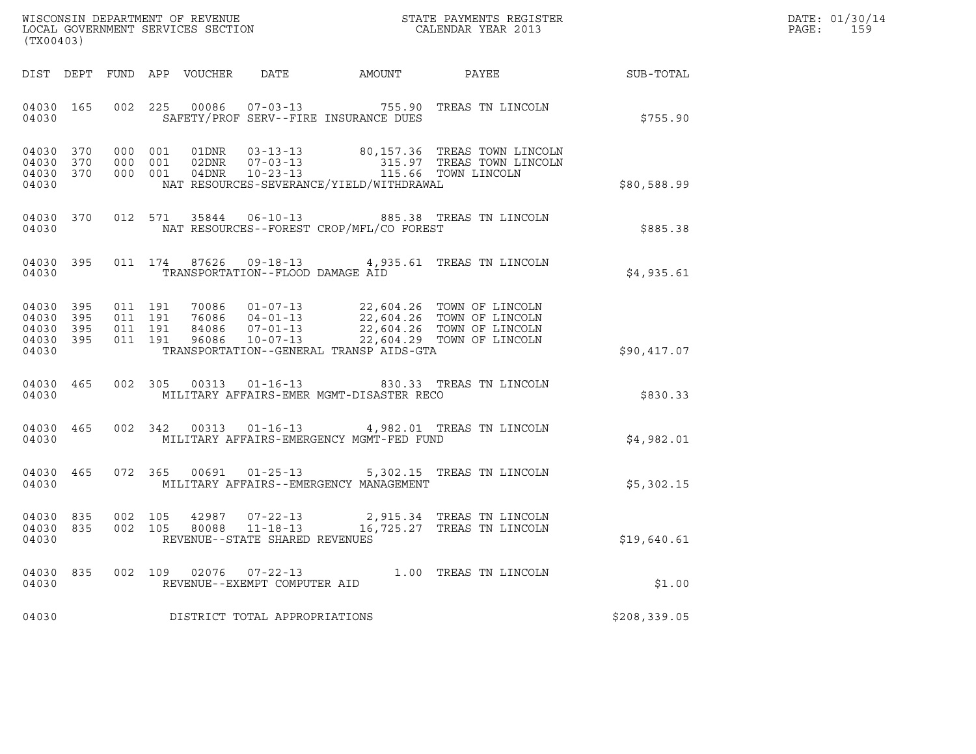| WISCONSIN DEPARTMENT OF REVENUE   | STATE PAYMENTS REGISTER | DATE: 01/30/14 |
|-----------------------------------|-------------------------|----------------|
| LOCAL GOVERNMENT SERVICES SECTION | CALENDAR YEAR 2013      | PAGE:          |

| WISCONSIN DEPARTMENT OF REVENUE<br>LOCAL GOVERNMENT SERVICES SECTION FOR THE STATE PAYMENTS REGISTER<br>(TX00403) |                                                                                                                                               |               | DATE: 01/30/14<br>$\mathtt{PAGE}$ :<br>159 |
|-------------------------------------------------------------------------------------------------------------------|-----------------------------------------------------------------------------------------------------------------------------------------------|---------------|--------------------------------------------|
| DIST DEPT FUND APP VOUCHER DATE AMOUNT PAYEE                                                                      |                                                                                                                                               | SUB-TOTAL     |                                            |
| 04030 165<br>SAFETY/PROF SERV--FIRE INSURANCE DUES<br>04030                                                       | 002 225 00086 07-03-13 755.90 TREAS TN LINCOLN                                                                                                | \$755.90      |                                            |
| 04030 370<br>000 001<br>04030 370<br>000 001<br>04030 370<br>000 001<br>04030                                     | 01DNR  03-13-13  80,157.36 TREAS TOWN LINCOLN<br>315.97 TREAS TOWN LINCOLN<br>115.66 TOWN LINCOLN<br>NAT RESOURCES-SEVERANCE/YIELD/WITHDRAWAL | \$80,588.99   |                                            |
| 04030 370<br>04030                                                                                                | 012 571 35844 06-10-13 885.38 TREAS TN LINCOLN<br>NAT RESOURCES--FOREST CROP/MFL/CO FOREST                                                    | \$885.38      |                                            |
| 04030 395<br>04030<br>TRANSPORTATION--FLOOD DAMAGE AID                                                            | 011 174 87626 09-18-13 4,935.61 TREAS TN LINCOLN                                                                                              | \$4,935.61    |                                            |
| 04030 395<br>04030 395<br>04030 395<br>04030 395<br>TRANSPORTATION--GENERAL TRANSP AIDS-GTA<br>04030              |                                                                                                                                               | \$90,417.07   |                                            |
| 04030 465<br>04030                                                                                                | 002 305 00313 01-16-13 830.33 TREAS TN LINCOLN<br>MILITARY AFFAIRS-EMER MGMT-DISASTER RECO                                                    | \$830.33      |                                            |
| 04030 465<br>04030                                                                                                | 002 342 00313 01-16-13 4,982.01 TREAS TN LINCOLN<br>MILITARY AFFAIRS-EMERGENCY MGMT-FED FUND                                                  | \$4,982.01    |                                            |
| 04030 465<br>04030<br>MILITARY AFFAIRS--EMERGENCY MANAGEMENT                                                      | 072 365 00691 01-25-13 5,302.15 TREAS TN LINCOLN                                                                                              | \$5,302.15    |                                            |
| 04030 835<br>002 105<br>002 105<br>04030 835<br>04030<br>REVENUE--STATE SHARED REVENUES                           | 42987  07-22-13  2,915.34  TREAS TN LINCOLN  80088  11-18-13   16,725.27  TREAS TN LINCOLN                                                    | \$19,640.61   |                                            |
| 04030<br>835<br>04030<br>REVENUE--EXEMPT COMPUTER AID                                                             | 002 109 02076 07-22-13 1.00 TREAS TN LINCOLN                                                                                                  | \$1.00        |                                            |
| DISTRICT TOTAL APPROPRIATIONS<br>04030                                                                            |                                                                                                                                               | \$208, 339.05 |                                            |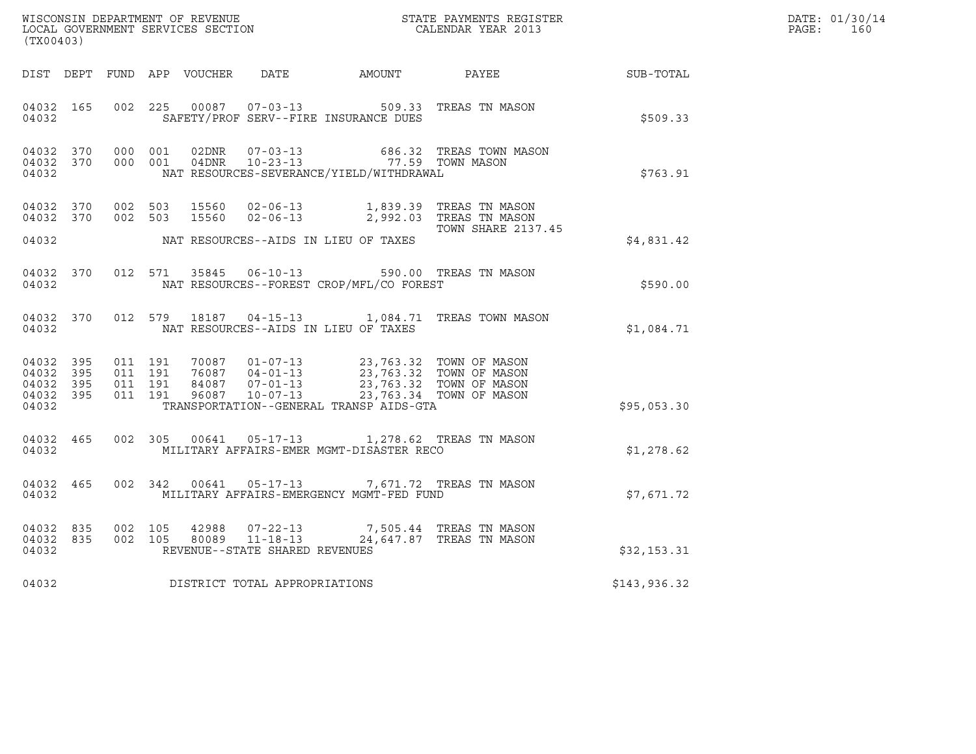| (TX00403)                                    |                        |                              |                               |       |                                |                                                                                                                                                                                                                             | $\tt WISCONSIM DEPARTMENT OF REVENUE$ $\tt WISCONSIM EN THE RAYMENTS REGISTERLOCAL GOVERNMENT SERVICES SECTION CALENDAR YEAR 2013$ |              | DATE: 01/30/14<br>PAGE:<br>160 |
|----------------------------------------------|------------------------|------------------------------|-------------------------------|-------|--------------------------------|-----------------------------------------------------------------------------------------------------------------------------------------------------------------------------------------------------------------------------|------------------------------------------------------------------------------------------------------------------------------------|--------------|--------------------------------|
|                                              |                        |                              |                               |       |                                |                                                                                                                                                                                                                             | DIST DEPT FUND APP VOUCHER DATE AMOUNT PAYEE THE SUB-TOTAL                                                                         |              |                                |
| 04032 165<br>04032                           |                        | 002 225                      |                               |       |                                | SAFETY/PROF SERV--FIRE INSURANCE DUES                                                                                                                                                                                       | 00087  07-03-13  509.33  TREAS TN MASON                                                                                            | \$509.33     |                                |
| 04032                                        | 04032 370<br>04032 370 | 000 001                      | 000 001                       | 02DNR | $07 - 03 - 13$                 | 04DNR  10-23-13  77.59 TOWN MASON<br>NAT RESOURCES-SEVERANCE/YIELD/WITHDRAWAL                                                                                                                                               | 686.32 TREAS TOWN MASON                                                                                                            | \$763.91     |                                |
| 04032 370<br>04032                           |                        | 04032 370 002 503<br>002 503 |                               |       |                                | NAT RESOURCES--AIDS IN LIEU OF TAXES                                                                                                                                                                                        | 15560  02-06-13   1,839.39   TREAS TN MASON<br>15560  02-06-13   2,992.03   TREAS TN MASON<br>TOWN SHARE 2137.45                   | \$4,831.42   |                                |
| 04032                                        | 04032 370              |                              |                               |       |                                | NAT RESOURCES--FOREST CROP/MFL/CO FOREST                                                                                                                                                                                    | 012 571 35845 06-10-13 590.00 TREAS TN MASON                                                                                       | \$590.00     |                                |
| 04032                                        |                        |                              |                               |       |                                | NAT RESOURCES--AIDS IN LIEU OF TAXES                                                                                                                                                                                        | 04032 370 012 579 18187 04-15-13 1,084.71 TREAS TOWN MASON                                                                         | \$1.084.71   |                                |
| 04032 395<br>04032 395<br>04032 395<br>04032 | 04032 395              | 011 191                      | 011 191<br>011 191<br>011 191 |       |                                | 70087  01-07-13  23,763.32  TOWN OF MASON<br>76087  04-01-13  23,763.32  TOWN OF MASON<br>84087  07-01-13  23,763.32  TOWN OF MASON<br>96087  10-07-13  23,763.34  TOWN OF MASON<br>TRANSPORTATION--GENERAL TRANSP AIDS-GTA |                                                                                                                                    | \$95,053.30  |                                |
| 04032 465<br>04032                           |                        | 002 305                      |                               |       |                                | MILITARY AFFAIRS-EMER MGMT-DISASTER RECO                                                                                                                                                                                    | 00641  05-17-13  1,278.62  TREAS TN MASON                                                                                          | \$1,278.62   |                                |
| 04032                                        | 04032 465              |                              |                               |       |                                | MILITARY AFFAIRS-EMERGENCY MGMT-FED FUND                                                                                                                                                                                    | 002 342 00641 05-17-13 7,671.72 TREAS TN MASON                                                                                     | \$7,671.72   |                                |
| 04032                                        | 04032 835<br>04032 835 | 002 105<br>002 105           |                               |       | REVENUE--STATE SHARED REVENUES |                                                                                                                                                                                                                             | $42988$ $07-22-13$ 7,505.44 TREAS TN MASON<br>80089 11-18-13 24,647.87 TREAS TN MASON                                              | \$32,153.31  |                                |
| 04032                                        |                        |                              |                               |       | DISTRICT TOTAL APPROPRIATIONS  |                                                                                                                                                                                                                             |                                                                                                                                    | \$143,936.32 |                                |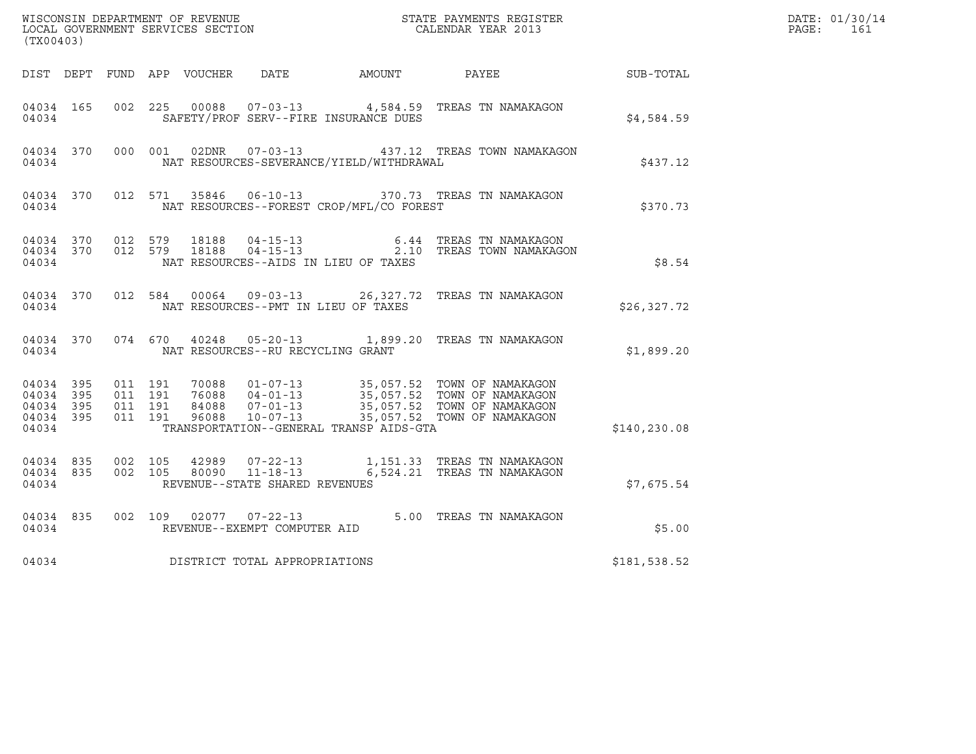| (TX00403)          |           |                                                              |         |                                  |                                                             |                                              | $\tt WISCONSIM DEPARTMENT OF REVENUE$ $\tt TOCAL BINDAR YEAR$ 2013 $\tt COALENDAR YEAR$ 2013                                                                                                     |               | DATE: 01/30/14<br>PAGE:<br>161 |
|--------------------|-----------|--------------------------------------------------------------|---------|----------------------------------|-------------------------------------------------------------|----------------------------------------------|--------------------------------------------------------------------------------------------------------------------------------------------------------------------------------------------------|---------------|--------------------------------|
|                    |           |                                                              |         |                                  |                                                             | DIST DEPT FUND APP VOUCHER DATE AMOUNT PAYEE |                                                                                                                                                                                                  | SUB-TOTAL     |                                |
| 04034 165<br>04034 |           |                                                              |         | 002 225 00088                    |                                                             | SAFETY/PROF SERV--FIRE INSURANCE DUES        | 07-03-13 4,584.59 TREAS TN NAMAKAGON                                                                                                                                                             | \$4,584.59    |                                |
| 04034              | 04034 370 |                                                              | 000 001 |                                  |                                                             | NAT RESOURCES-SEVERANCE/YIELD/WITHDRAWAL     | 02DNR  07-03-13  437.12 TREAS TOWN NAMAKAGON                                                                                                                                                     | \$437.12      |                                |
| 04034              |           |                                                              |         |                                  |                                                             | NAT RESOURCES--FOREST CROP/MFL/CO FOREST     | 04034 370 012 571 35846 06-10-13 370.73 TREAS TN NAMAKAGON                                                                                                                                       | \$370.73      |                                |
| 04034              |           | 04034 370 012 579                                            |         | 18188<br>04034 370 012 579 18188 |                                                             | NAT RESOURCES--AIDS IN LIEU OF TAXES         | 04-15-13 6.44 TREAS TN NAMAKAGON<br>04-15-13 2.10 TREAS TOWN NAMAKAGO<br>2.10 TREAS TOWN NAMAKAGON                                                                                               | \$8.54        |                                |
| 04034              | 04034 370 |                                                              | 012 584 |                                  |                                                             | NAT RESOURCES--PMT IN LIEU OF TAXES          | 00064  09-03-13  26,327.72  TREAS TN NAMAKAGON                                                                                                                                                   | \$26, 327.72  |                                |
| 04034              | 04034 370 |                                                              |         |                                  | 074 670 40248 05-20-13<br>NAT RESOURCES--RU RECYCLING GRANT |                                              | 1,899.20 TREAS TN NAMAKAGON                                                                                                                                                                      | \$1,899.20    |                                |
| 04034 395<br>04034 | 04034 395 | 04034 395 011 191<br>011 191<br>04034 395 011 191<br>011 191 |         |                                  |                                                             | TRANSPORTATION--GENERAL TRANSP AIDS-GTA      | 70088  01-07-13  35,057.52  TOWN OF NAMAKAGON<br>76088  04-01-13  35,057.52  TOWN OF NAMAKAGON<br>84088  07-01-13  35,057.52  TOWN OF NAMAKAGON<br>96088  10-07-13  35,057.52  TOWN OF NAMAKAGON | \$140, 230.08 |                                |
| 04034              | 04034 835 | 04034 835 002 105<br>002 105                                 |         | 42989<br>80090                   | REVENUE--STATE SHARED REVENUES                              |                                              | 07-22-13 1,151.33 TREAS TN NAMAKAGON<br>11-18-13 6,524.21 TREAS TN NAMAKAGON                                                                                                                     | \$7,675.54    |                                |
| 04034              | 04034 835 | 002 109                                                      |         |                                  | $02077$ $07 - 22 - 13$<br>REVENUE--EXEMPT COMPUTER AID      |                                              | 5.00 TREAS TN NAMAKAGON                                                                                                                                                                          | \$5.00        |                                |
| 04034              |           |                                                              |         |                                  | DISTRICT TOTAL APPROPRIATIONS                               |                                              |                                                                                                                                                                                                  | \$181,538.52  |                                |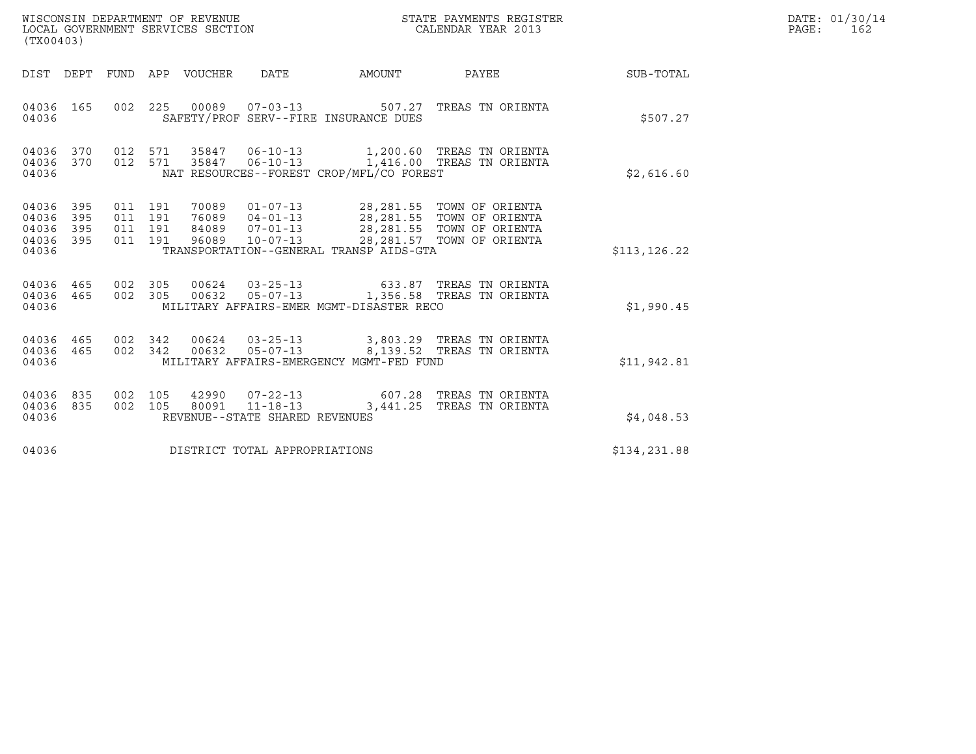| WISCONSIN DEPARTMENT OF REVENUE   | STATE PAYMENTS REGISTER | DATE: 01/30/14 |
|-----------------------------------|-------------------------|----------------|
| LOCAL GOVERNMENT SERVICES SECTION | CALENDAR YEAR 2013      | PAGE :<br>162  |

| WISCONSIN DEPARTMENT OF REVENUE<br>LOCAL GOVERNMENT SERVICES SECTION<br>(TX00403)     | STATE PAYMENTS REGISTER<br>CALENDAR YEAR 2013                                                                                                    |                            |              | DATE: 01/30/14<br>$\mathtt{PAGE:}$<br>162 |
|---------------------------------------------------------------------------------------|--------------------------------------------------------------------------------------------------------------------------------------------------|----------------------------|--------------|-------------------------------------------|
| DIST DEPT FUND APP VOUCHER DATE                                                       | AMOUNT                                                                                                                                           | <b>PAYEE</b> FOR THE PAYEE | SUB-TOTAL    |                                           |
| 04036 165<br>04036                                                                    | 002 225 00089 07-03-13 507.27 TREAS TN ORIENTA<br>SAFETY/PROF SERV--FIRE INSURANCE DUES                                                          |                            | \$507.27     |                                           |
| 04036 370<br>04036 370<br>04036                                                       | 012 571 35847 06-10-13 1,200.60 TREAS TN ORIENTA<br>012 571 35847 06-10-13 1,416.00 TREAS TN ORIENTA<br>NAT RESOURCES--FOREST CROP/MFL/CO FOREST |                            | \$2,616.60   |                                           |
| 04036 395<br>04036<br>395<br>04036<br>395<br>011 191<br>04036 395<br>011 191<br>04036 | 011 191 70089 01-07-13 28,281.55 TOWN OF ORIENTA<br>011 191 76089 04-01-13 28,281.55 TOWN OF ORIENTA<br>TRANSPORTATION--GENERAL TRANSP AIDS-GTA  |                            | \$113,126.22 |                                           |
| 04036 465<br>04036 465<br>04036                                                       | 002 305 00624 03-25-13 633.87 TREAS TN ORIENTA<br>002 305 00632 05-07-13 1,356.58 TREAS TN ORIENTA<br>MILITARY AFFAIRS-EMER MGMT-DISASTER RECO   |                            | \$1,990.45   |                                           |
| 04036 465<br>04036 465<br>04036                                                       | 002 342 00624 03-25-13 3,803.29 TREAS TN ORIENTA<br>002 342 00632 05-07-13 8,139.52 TREAS TN ORIENTA<br>MILITARY AFFAIRS-EMERGENCY MGMT-FED FUND |                            | \$11,942.81  |                                           |
| 04036 835<br>04036 835<br>04036                                                       | 002  105  42990  07-22-13  607.28  TREAS TN ORIENTA<br>002 105 80091 11-18-13 3,441.25 TREAS TN ORIENTA<br>REVENUE--STATE SHARED REVENUES        |                            | \$4,048.53   |                                           |
| DISTRICT TOTAL APPROPRIATIONS<br>04036                                                |                                                                                                                                                  | \$134,231.88               |              |                                           |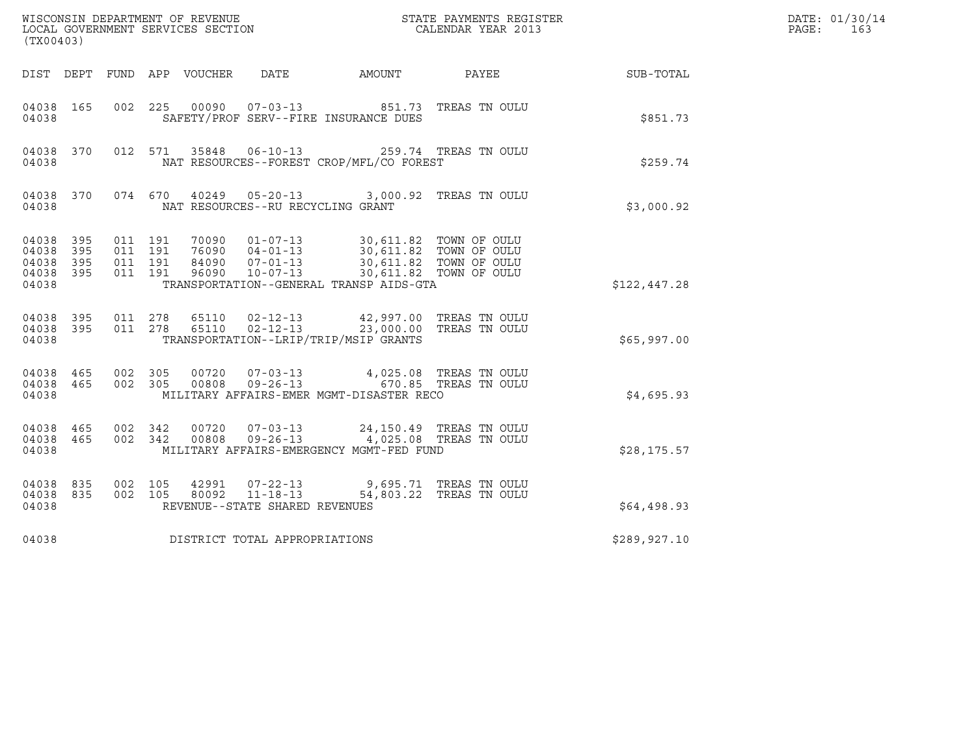| ${\tt WISCOONSIM\ DEPARTMENT\ OF\ REVENUE}\ {\tt LOCALENDAR\ VERA}$ LOCAL GOVERNMENT SERVICES SECTION ${\tt LOCALENDAR\ VERAR\ 2013}$<br>(TX00403) |                   |                                          |  |                                 |                                                                    |                                                                                                                                                                                      |                                                   |              | DATE: 01/30/14<br>PAGE:<br>163 |
|----------------------------------------------------------------------------------------------------------------------------------------------------|-------------------|------------------------------------------|--|---------------------------------|--------------------------------------------------------------------|--------------------------------------------------------------------------------------------------------------------------------------------------------------------------------------|---------------------------------------------------|--------------|--------------------------------|
|                                                                                                                                                    |                   |                                          |  | DIST DEPT FUND APP VOUCHER DATE |                                                                    | AMOUNT                                                                                                                                                                               | <b>PAYEE</b>                                      | SUB-TOTAL    |                                |
| 04038 165<br>04038                                                                                                                                 |                   | 002 225                                  |  |                                 |                                                                    | 00090  07-03-13  851.73  TREAS TN OULU<br>SAFETY/PROF SERV--FIRE INSURANCE DUES                                                                                                      |                                                   | \$851.73     |                                |
| 04038 370<br>04038                                                                                                                                 |                   |                                          |  |                                 | 012 571 35848 06-10-13                                             | NAT RESOURCES--FOREST CROP/MFL/CO FOREST                                                                                                                                             | 259.74 TREAS TN OULU                              | \$259.74     |                                |
| 04038                                                                                                                                              | 04038 370         |                                          |  |                                 | NAT RESOURCES--RU RECYCLING GRANT                                  | 074 670 40249 05-20-13 3,000.92 TREAS TN OULU                                                                                                                                        |                                                   | \$3,000.92   |                                |
| 04038 395<br>04038<br>04038<br>04038<br>04038                                                                                                      | 395<br>395<br>395 | 011 191<br>011 191<br>011 191<br>011 191 |  | 84090<br>96090                  | 76090 04-01-13<br>$10 - 07 - 13$                                   | 70090  01-07-13  30,611.82  TOWN OF OULU<br>04-01-13<br>04-01-13 30,611.82 TOWN OF OULU<br>07-01-13 30.611 82 TOWN OF OULU<br>TRANSPORTATION--GENERAL TRANSP AIDS-GTA                | 30,611.82 TOWN OF OULU                            | \$122,447.28 |                                |
| 04038 395<br>04038<br>04038                                                                                                                        | 395               | 011 278<br>011 278                       |  | 65110<br>65110                  | $02 - 12 - 13$<br>$02 - 12 - 13$                                   | 23,000.00 TREAS TN OULU<br>TRANSPORTATION--LRIP/TRIP/MSIP GRANTS                                                                                                                     | 42,997.00 TREAS TN OULU                           | \$65,997.00  |                                |
| 04038 465<br>04038                                                                                                                                 | 04038 465         | 002 305<br>002 305                       |  |                                 |                                                                    | $\begin{array}{cccc} 00720 & 07-03-13 & 4,025.08 & \text{TREAS TN OULU} \\ 00808 & 09-26-13 & 670.85 & \text{TREAS TN OULU} \end{array}$<br>MILITARY AFFAIRS-EMER MGMT-DISASTER RECO |                                                   | \$4,695.93   |                                |
| 04038<br>04038 465<br>04038                                                                                                                        | 465               | 002 342<br>002 342                       |  | 00720<br>00808                  |                                                                    | 07-03-13 24,150.49 TREAS TN OULU<br>09-26-13 4,025.08 TREAS TN OULU<br>MILITARY AFFAIRS-EMERGENCY MGMT-FED FUND                                                                      |                                                   | \$28, 175.57 |                                |
| 04038<br>04038<br>04038                                                                                                                            | 835<br>835        | 002 105<br>002 105                       |  | 42991<br>80092                  | $07 - 22 - 13$<br>$11 - 18 - 13$<br>REVENUE--STATE SHARED REVENUES |                                                                                                                                                                                      | 9,695.71 TREAS TN OULU<br>54,803.22 TREAS TN OULU | \$64,498.93  |                                |
| 04038                                                                                                                                              |                   |                                          |  |                                 | DISTRICT TOTAL APPROPRIATIONS                                      |                                                                                                                                                                                      |                                                   | \$289,927.10 |                                |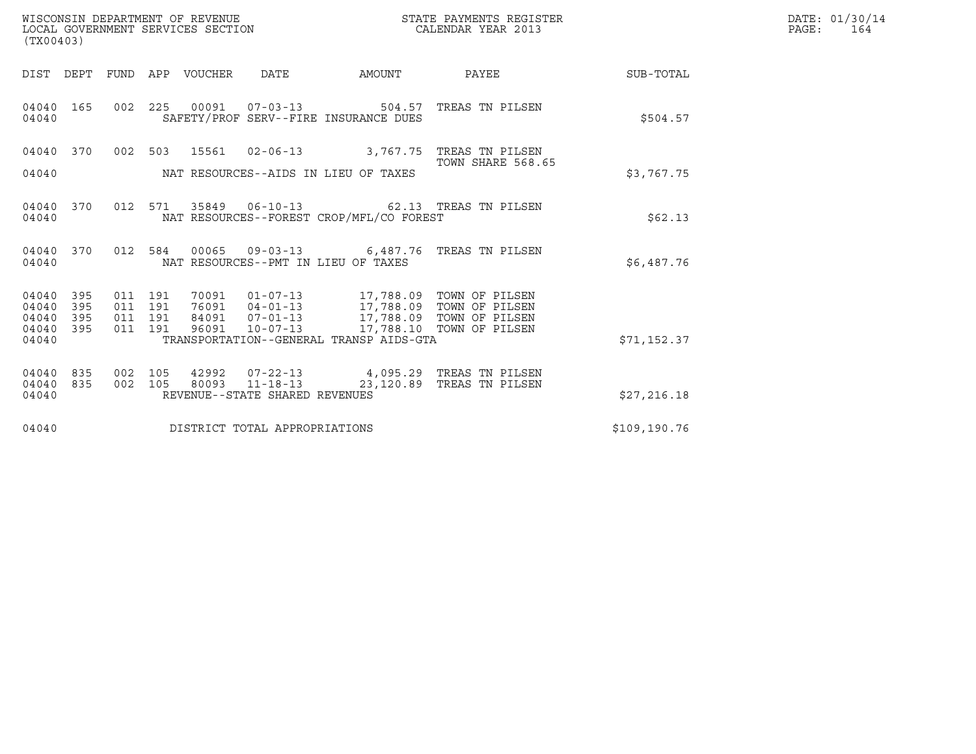| WISCONSIN DEPARTMENT OF REVENUE   | STATE PAYMENTS REGISTER | DATE: 01/30/14 |
|-----------------------------------|-------------------------|----------------|
| LOCAL GOVERNMENT SERVICES SECTION | CALENDAR YEAR 2013      | PAGE :<br>164  |

| (TX00403)                                     |                   |  | WISCONSIN DEPARTMENT OF REVENUE<br>LOCAL GOVERNMENT SERVICES SECTION |                                |                                                                                                                                                                                                                                                     | STATE PAYMENTS REGISTER<br>CALENDAR YEAR 2013                                                       |              | DATE: 01/30/14<br>PAGE:<br>164 |
|-----------------------------------------------|-------------------|--|----------------------------------------------------------------------|--------------------------------|-----------------------------------------------------------------------------------------------------------------------------------------------------------------------------------------------------------------------------------------------------|-----------------------------------------------------------------------------------------------------|--------------|--------------------------------|
|                                               |                   |  |                                                                      |                                |                                                                                                                                                                                                                                                     | DIST DEPT FUND APP VOUCHER DATE AMOUNT PAYEE                                                        | SUB-TOTAL    |                                |
| 04040 165<br>04040                            |                   |  |                                                                      |                                | SAFETY/PROF SERV--FIRE INSURANCE DUES                                                                                                                                                                                                               | 002 225 00091 07-03-13 504.57 TREAS TN PILSEN                                                       | \$504.57     |                                |
| 04040 370<br>04040                            |                   |  |                                                                      |                                | NAT RESOURCES--AIDS IN LIEU OF TAXES                                                                                                                                                                                                                | 002 503 15561 02-06-13 3,767.75 TREAS TN PILSEN<br>TOWN SHARE 568.65                                | \$3.767.75   |                                |
| 04040                                         |                   |  |                                                                      |                                | NAT RESOURCES--FOREST CROP/MFL/CO FOREST                                                                                                                                                                                                            | 04040 370 012 571 35849 06-10-13 62.13 TREAS TN PILSEN                                              | \$62.13      |                                |
| 04040                                         |                   |  |                                                                      |                                | NAT RESOURCES--PMT IN LIEU OF TAXES                                                                                                                                                                                                                 | 04040 370 012 584 00065 09-03-13 6,487.76 TREAS TN PILSEN                                           | \$6,487.76   |                                |
| 04040<br>04040<br>04040<br>04040 395<br>04040 | 395<br>395<br>395 |  |                                                                      |                                | 011 191 70091 01-07-13 17,788.09 TOWN OF PILSEN<br>011 191 76091 04-01-13 17,788.09 TOWN OF PILSEN<br>011 191 84091 07-01-13 17,788.09 TOWN OF PILSEN<br>011 191 96091 10-07-13 17,788.10 TOWN OF PILSEN<br>TRANSPORTATION--GENERAL TRANSP AIDS-GTA |                                                                                                     | \$71,152.37  |                                |
| 04040<br>04040 835<br>04040                   | 835               |  |                                                                      | REVENUE--STATE SHARED REVENUES |                                                                                                                                                                                                                                                     | 002 105 42992 07-22-13 4,095.29 TREAS TN PILSEN<br>002 105 80093 11-18-13 23,120.89 TREAS TN PILSEN | \$27,216.18  |                                |
| 04040                                         |                   |  |                                                                      | DISTRICT TOTAL APPROPRIATIONS  |                                                                                                                                                                                                                                                     |                                                                                                     | \$109,190.76 |                                |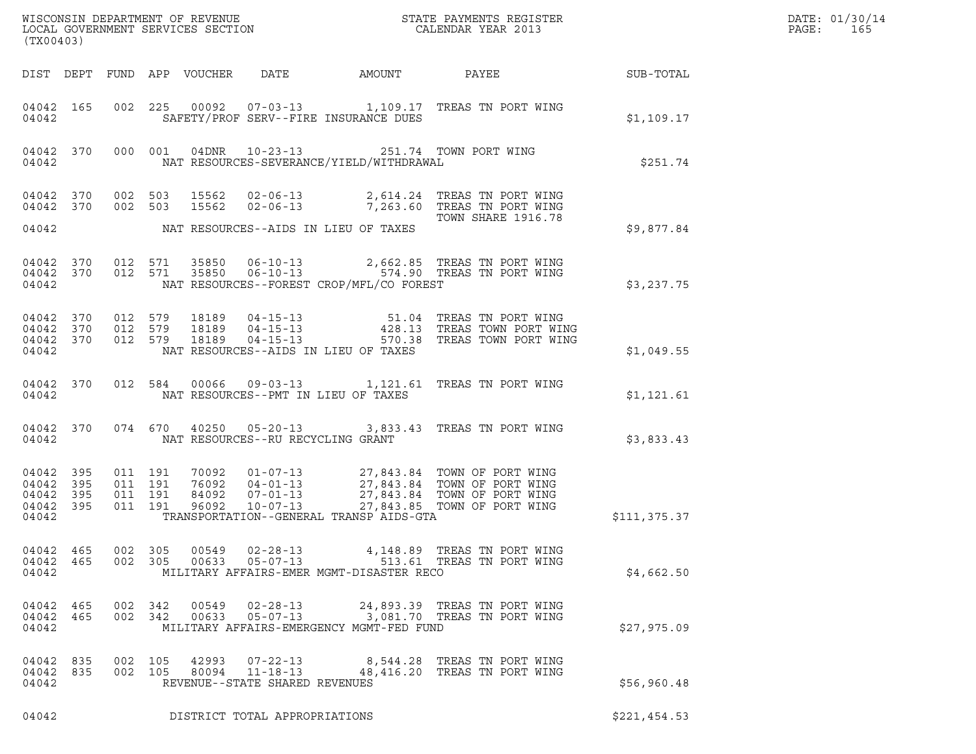| (TX00403)                                         |              |                                                                                                                                                                                                                                                                                                                                                                                                |               | DATE: 01/30/14<br>PAGE:<br>165 |
|---------------------------------------------------|--------------|------------------------------------------------------------------------------------------------------------------------------------------------------------------------------------------------------------------------------------------------------------------------------------------------------------------------------------------------------------------------------------------------|---------------|--------------------------------|
|                                                   |              | DIST DEPT FUND APP VOUCHER DATE AMOUNT PAYEE SUB-TOTAL                                                                                                                                                                                                                                                                                                                                         |               |                                |
| 04042                                             |              | 04042 165 002 225 00092 07-03-13 1,109.17 TREAS TN PORT WING<br>SAFETY/PROF SERV--FIRE INSURANCE DUES                                                                                                                                                                                                                                                                                          | \$1,109.17    |                                |
| 04042                                             |              | 04042 370 000 001 04DNR 10-23-13 251.74 TOWN PORT WING<br>NAT RESOURCES-SEVERANCE/YIELD/WITHDRAWAL                                                                                                                                                                                                                                                                                             | \$251.74      |                                |
| 04042 370<br>04042 370                            |              | 002 503 15562 02-06-13 2,614.24 TREAS TN PORT WING<br>002 503 15562 02-06-13 7,263.60 TREAS TN PORT WING<br>TOWN SHARE 1916.78                                                                                                                                                                                                                                                                 |               |                                |
|                                                   |              | 04042 NAT RESOURCES--AIDS IN LIEU OF TAXES                                                                                                                                                                                                                                                                                                                                                     | \$9,877.84    |                                |
| 04042                                             |              | 04042 370 012 571 35850 06-10-13 2,662.85 TREAS TN PORT WING<br>04042 370 012 571 35850 06-10-13 574.90 TREAS TN PORT WING<br>NAT RESOURCES--FOREST CROP/MFL/CO FOREST                                                                                                                                                                                                                         | \$3,237.75    |                                |
| 04042 370<br>04042 370<br>04042 370<br>04042      |              | 012 579 18189 04-15-13 51.04 TREAS TN PORT WING<br>012 579 18189 04-15-13 428.13 TREAS TOWN PORT WING<br>012 579 18189 04-15-13 570.38 TREAS TOWN PORT WING<br>NAT RESOURCES--AIDS IN LIEU OF TAXES                                                                                                                                                                                            | \$1,049.55    |                                |
| 04042                                             | 04042 370    | 012 584 00066 09-03-13 1,121.61 TREAS TN PORT WING<br>NAT RESOURCES--PMT IN LIEU OF TAXES                                                                                                                                                                                                                                                                                                      | \$1,121.61    |                                |
|                                                   | 04042 370    | 074 670 40250 05-20-13 3,833.43 TREAS TN PORT WING                                                                                                                                                                                                                                                                                                                                             | \$3,833.43    |                                |
| 04042<br>04042 395<br>04042<br>04042 395<br>04042 | 395<br>- 395 | $\begin{array}{cccccccc} 011 & 191 & 70092 & 01\text{--}07\text{--}13 & 27,843.84 & \text{TOWN OF PORT WING} \\ 011 & 191 & 76092 & 04\text{--}01\text{--}13 & 27,843.84 & \text{TOWN OF PORT WING} \\ 011 & 191 & 84092 & 07\text{--}01\text{--}13 & 27,843.84 & \text{TOWN OF PORT WING} \\ 011 & 191 & 96092 & 10\text{--}07\text{--}13 & 27,84$<br>TRANSPORTATION--GENERAL TRANSP AIDS-GTA | \$111, 375.37 |                                |
| 04042 465<br>04042 465<br>04042                   |              | 002 305<br>00549<br>02-28-13 4,148.89 TREAS TN PORT WING<br>05-07-13 513.61 TREAS TN PORT WING<br>00633<br>002 305<br>MILITARY AFFAIRS-EMER MGMT-DISASTER RECO                                                                                                                                                                                                                                 | \$4,662.50    |                                |
| 04042 465<br>04042 465<br>04042                   |              | 002 342<br>00549<br>02-28-13 24,893.39 TREAS TN PORT WING<br>05-07-13 3,081.70 TREAS TN PORT WING<br>002 342 00633<br>MILITARY AFFAIRS-EMERGENCY MGMT-FED FUND                                                                                                                                                                                                                                 | \$27,975.09   |                                |
| 04042 835<br>04042 835<br>04042                   |              | 002 105<br>42993<br>$07 - 22 - 13$<br>8,544.28 TREAS TN PORT WING<br>002 105 80094 11-18-13 48,416.20 TREAS TN PORT WING<br>REVENUE--STATE SHARED REVENUES                                                                                                                                                                                                                                     | \$56,960.48   |                                |
| 04042                                             |              | DISTRICT TOTAL APPROPRIATIONS                                                                                                                                                                                                                                                                                                                                                                  | \$221,454.53  |                                |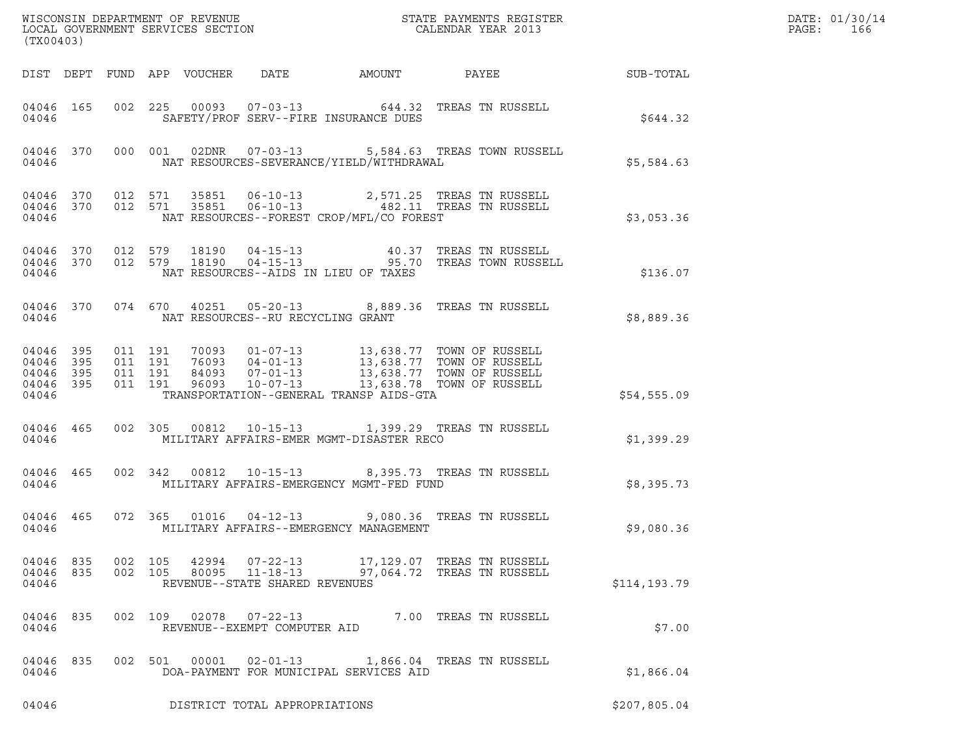| (TX00403)                       |  |                    |               |                                                  |  | WISCONSIN DEPARTMENT OF REVENUE<br>LOCAL GOVERNMENT SERVICES SECTION<br>CALENDAR YEAR 2013                                                                                                                                                                                                                       |              | DATE: 01/30/14<br>PAGE:<br>166 |
|---------------------------------|--|--------------------|---------------|--------------------------------------------------|--|------------------------------------------------------------------------------------------------------------------------------------------------------------------------------------------------------------------------------------------------------------------------------------------------------------------|--------------|--------------------------------|
|                                 |  |                    |               |                                                  |  | DIST DEPT FUND APP VOUCHER DATE AMOUNT PAYEE SUB-TOTAL                                                                                                                                                                                                                                                           |              |                                |
| 04046                           |  |                    |               | SAFETY/PROF SERV--FIRE INSURANCE DUES            |  | 04046 165 002 225 00093 07-03-13 644.32 TREAS TN RUSSELL                                                                                                                                                                                                                                                         | \$644.32     |                                |
|                                 |  |                    |               |                                                  |  | 04046 370 000 001 02DNR 07-03-13 5,584.63 TREAS TOWN RUSSELL<br>04046 NAT RESOURCES-SEVERANCE/YIELD/WITHDRAWAL                                                                                                                                                                                                   | \$5,584.63   |                                |
|                                 |  |                    |               | 04046   NAT RESOURCES--FOREST CROP/MFL/CO FOREST |  | $\begin{array}{cccccccc} 04046 & 370 & 012 & 571 & 35851 & 06-10-13 & & 2,571.25 & \text{TREAS TN RUSSELL} \\ 04046 & 370 & 012 & 571 & 35851 & 06-10-13 & & 482.11 & \text{TREAS TN RUSSELL} \end{array}$                                                                                                       | \$3,053.36   |                                |
|                                 |  |                    |               | 04046   MAT RESOURCES--AIDS IN LIEU OF TAXES     |  | 04046 370 012 579 18190 04-15-13 40.37 TREAS TN RUSSELL 04046 370 012 579 18190 04-15-13 95.70 TREAS TOWN RUSSELL                                                                                                                                                                                                | \$136.07     |                                |
|                                 |  |                    |               | 04046 MAT RESOURCES--RU RECYCLING GRANT          |  | 04046 370 074 670 40251 05-20-13 8,889.36 TREAS TN RUSSELL                                                                                                                                                                                                                                                       | \$8,889.36   |                                |
| 04046                           |  |                    |               | TRANSPORTATION--GENERAL TRANSP AIDS-GTA          |  | $\begin{array}{cccccc} 04046 & 395 & 011 & 191 & 70093 & 01-07-13 & 13,638.77 & \text{TOWN OF RUSSELL} \\ 04046 & 395 & 011 & 191 & 76093 & 04-01-13 & 13,638.77 & \text{TOWN OF RUSSELL} \\ 04046 & 395 & 011 & 191 & 84093 & 07-01-13 & 13,638.77 & \text{TOWN OF RUSSELL} \\ 04046 & 395 & 011 & 191 & 96093$ | \$54,555.09  |                                |
|                                 |  |                    |               |                                                  |  | 04046 465 002 305 00812 10-15-13 1,399.29 TREAS TN RUSSELL<br>04046 MILITARY AFFAIRS-EMER MGMT-DISASTER RECO                                                                                                                                                                                                     | \$1,399.29   |                                |
|                                 |  |                    |               | 04046 MILITARY AFFAIRS-EMERGENCY MGMT-FED FUND   |  | 04046 465 002 342 00812 10-15-13 8,395.73 TREAS TN RUSSELL                                                                                                                                                                                                                                                       | \$8,395.73   |                                |
|                                 |  |                    |               |                                                  |  | 04046 465 072 365 01016 04-12-13 9,080.36 TREAS TN RUSSELL                                                                                                                                                                                                                                                       | \$9,080.36   |                                |
| 04046 835<br>04046 835<br>04046 |  | 002 105<br>002 105 | 80095         | REVENUE--STATE SHARED REVENUES                   |  | 42994  07-22-13   17,129.07   TREAS TN RUSSELL<br>11-18-13 97,064.72 TREAS TN RUSSELL                                                                                                                                                                                                                            | \$114,193.79 |                                |
| 04046 835<br>04046              |  |                    |               | REVENUE--EXEMPT COMPUTER AID                     |  | 002  109  02078  07-22-13  7.00 TREAS TN RUSSELL                                                                                                                                                                                                                                                                 | \$7.00       |                                |
| 04046 835<br>04046              |  |                    | 002 501 00001 | DOA-PAYMENT FOR MUNICIPAL SERVICES AID           |  | 02-01-13 1,866.04 TREAS TN RUSSELL                                                                                                                                                                                                                                                                               | \$1,866.04   |                                |
| 04046                           |  |                    |               | DISTRICT TOTAL APPROPRIATIONS                    |  |                                                                                                                                                                                                                                                                                                                  | \$207,805.04 |                                |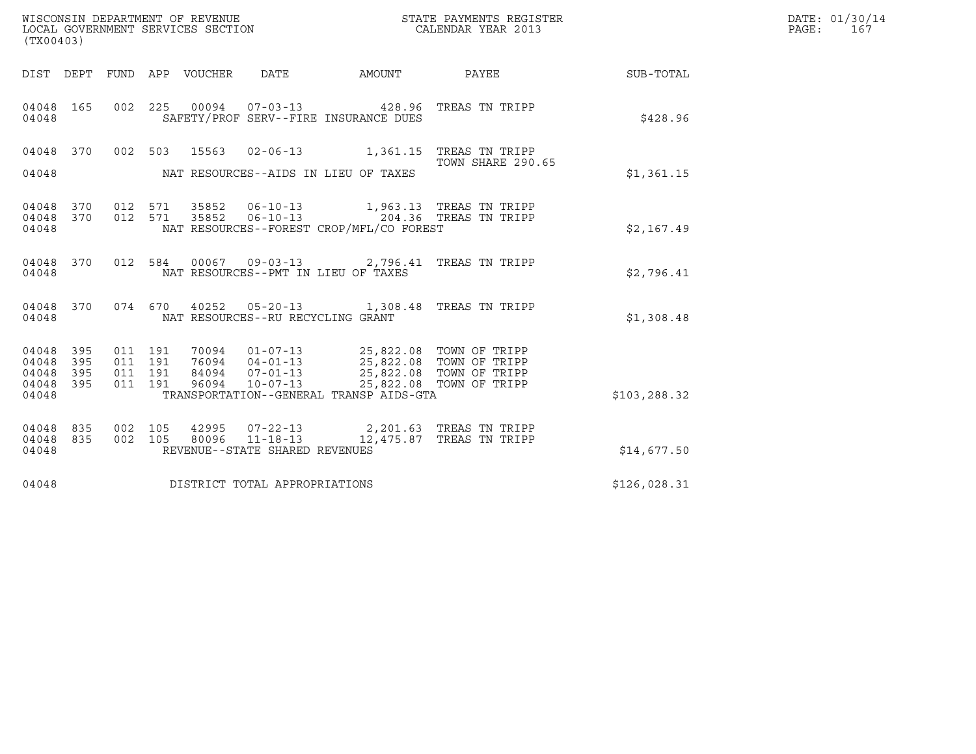| (TX00403)               |            |                    | WISCONSIN DEPARTMENT OF REVENUE<br>LOCAL GOVERNMENT SERVICES SECTION |                                   |                                                                                       | STATE PAYMENTS REGISTER<br>CALENDAR YEAR 2013 |              | DATE: 01/30/14<br>PAGE:<br>167 |
|-------------------------|------------|--------------------|----------------------------------------------------------------------|-----------------------------------|---------------------------------------------------------------------------------------|-----------------------------------------------|--------------|--------------------------------|
|                         |            |                    | DIST DEPT FUND APP VOUCHER                                           | DATE                              | AMOUNT                                                                                | PAYEE                                         | SUB-TOTAL    |                                |
| 04048<br>04048          | 165        |                    |                                                                      |                                   | 002 225 00094 07-03-13 428.96 TREAS TN TRIPP<br>SAFETY/PROF SERV--FIRE INSURANCE DUES |                                               | \$428.96     |                                |
| 04048                   | 370        | 002 503            | 15563                                                                |                                   | 02-06-13 1,361.15 TREAS TN TRIPP                                                      | TOWN SHARE 290.65                             |              |                                |
| 04048                   |            |                    |                                                                      |                                   | NAT RESOURCES--AIDS IN LIEU OF TAXES                                                  |                                               | \$1,361.15   |                                |
| 04048<br>04048<br>04048 | 370<br>370 | 012 571<br>012 571 | 35852                                                                | 35852 06-10-13                    | 06-10-13 204.36 TREAS TN TRIPP<br>NAT RESOURCES--FOREST CROP/MFL/CO FOREST            | 1,963.13 TREAS TN TRIPP                       | \$2,167.49   |                                |
| 04048<br>04048          | 370        | 012 584            |                                                                      |                                   | 00067  09-03-13  2,796.41  TREAS TN TRIPP<br>NAT RESOURCES--PMT IN LIEU OF TAXES      |                                               | \$2,796.41   |                                |
| 04048<br>04048          | 370        | 074 670            |                                                                      | NAT RESOURCES--RU RECYCLING GRANT | 40252  05-20-13  1,308.48  TREAS TN TRIPP                                             |                                               | \$1,308.48   |                                |
| 04048<br>04048          | 395<br>395 | 011 191<br>011 191 | 70094<br>76094                                                       | $01 - 07 - 13$<br>$04 - 01 - 13$  | 25,822.08 TOWN OF TRIPP<br>25,822.08   TOWN OF TRIPP<br>25,822.08   TOWN OF TRIPP     |                                               |              |                                |
| 04048<br>04048<br>04048 | 395<br>395 | 011 191<br>011 191 | 84094<br>96094                                                       | $07 - 01 - 13$                    | 10-07-13 25,822.08 TOWN OF TRIPP<br>TRANSPORTATION--GENERAL TRANSP AIDS-GTA           |                                               | \$103,288.32 |                                |
| 04048<br>04048          | 835<br>835 | 002 105<br>002 105 | 42995<br>80096                                                       |                                   | 07-22-13 2,201.63 TREAS TN TRIPP<br>11-18-13 12,475.87 TREAS TN TRIPP                 |                                               |              |                                |
| 04048                   |            |                    |                                                                      | REVENUE--STATE SHARED REVENUES    |                                                                                       |                                               | \$14,677.50  |                                |
| 04048                   |            |                    |                                                                      | DISTRICT TOTAL APPROPRIATIONS     |                                                                                       |                                               | \$126,028.31 |                                |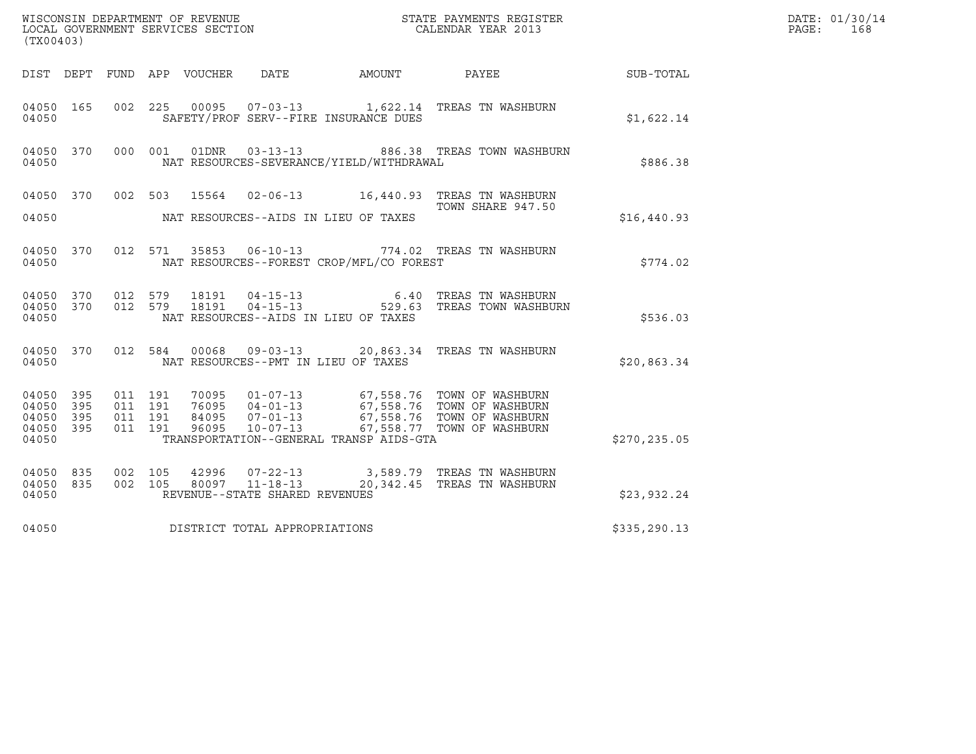| (TX00403)                                         |                               |                                          |         |                                 |                                                  |                                          |                                                                                          |                  | DATE: 01/30/14<br>PAGE:<br>168 |
|---------------------------------------------------|-------------------------------|------------------------------------------|---------|---------------------------------|--------------------------------------------------|------------------------------------------|------------------------------------------------------------------------------------------|------------------|--------------------------------|
|                                                   |                               |                                          |         | DIST DEPT FUND APP VOUCHER DATE |                                                  | AMOUNT                                   | PAYEE                                                                                    | <b>SUB-TOTAL</b> |                                |
| 04050 165<br>04050                                |                               |                                          |         |                                 |                                                  | SAFETY/PROF SERV--FIRE INSURANCE DUES    | 002 225 00095 07-03-13 1,622.14 TREAS TN WASHBURN                                        | \$1,622.14       |                                |
| 04050 370<br>04050                                |                               | 000 001                                  |         |                                 |                                                  | NAT RESOURCES-SEVERANCE/YIELD/WITHDRAWAL | 01DNR  03-13-13  886.38 TREAS TOWN WASHBURN                                              | \$886.38         |                                |
| 04050 370<br>04050                                |                               |                                          |         |                                 |                                                  | NAT RESOURCES--AIDS IN LIEU OF TAXES     | 002 503 15564 02-06-13 16,440.93 TREAS TN WASHBURN<br>TOWN SHARE 947.50                  | \$16,440.93      |                                |
| 04050 370<br>04050                                |                               |                                          |         |                                 |                                                  | NAT RESOURCES--FOREST CROP/MFL/CO FOREST | 012 571 35853 06-10-13 774.02 TREAS TN WASHBURN                                          | \$774.02         |                                |
| 04050 370<br>04050 370<br>04050                   |                               | 012 579<br>012 579                       |         | 18191                           |                                                  | NAT RESOURCES--AIDS IN LIEU OF TAXES     | 18191  04-15-13   6.40 TREAS TN WASHBURN<br>18191  04-15-13   529.63 TREAS TOWN WASHBURN | \$536.03         |                                |
| 04050 370<br>04050                                |                               |                                          | 012 584 |                                 |                                                  | NAT RESOURCES--PMT IN LIEU OF TAXES      | 00068  09-03-13  20,863.34  TREAS TN WASHBURN                                            | \$20,863.34      |                                |
| 04050 395<br>04050<br>04050<br>04050 395<br>04050 | 395<br>395                    | 011 191<br>011 191<br>011 191<br>011 191 |         |                                 |                                                  | TRANSPORTATION--GENERAL TRANSP AIDS-GTA  |                                                                                          | \$270,235.05     |                                |
| 04050 835<br>04050 835<br>04050                   |                               | 002 105<br>002 105                       |         | 42996                           | 80097 11-18-13<br>REVENUE--STATE SHARED REVENUES |                                          | 07-22-13 3,589.79 TREAS TN WASHBURN<br>20,342.45 TREAS TN WASHBURN                       | \$23,932.24      |                                |
| 04050                                             | DISTRICT TOTAL APPROPRIATIONS |                                          |         |                                 |                                                  |                                          |                                                                                          | \$335,290.13     |                                |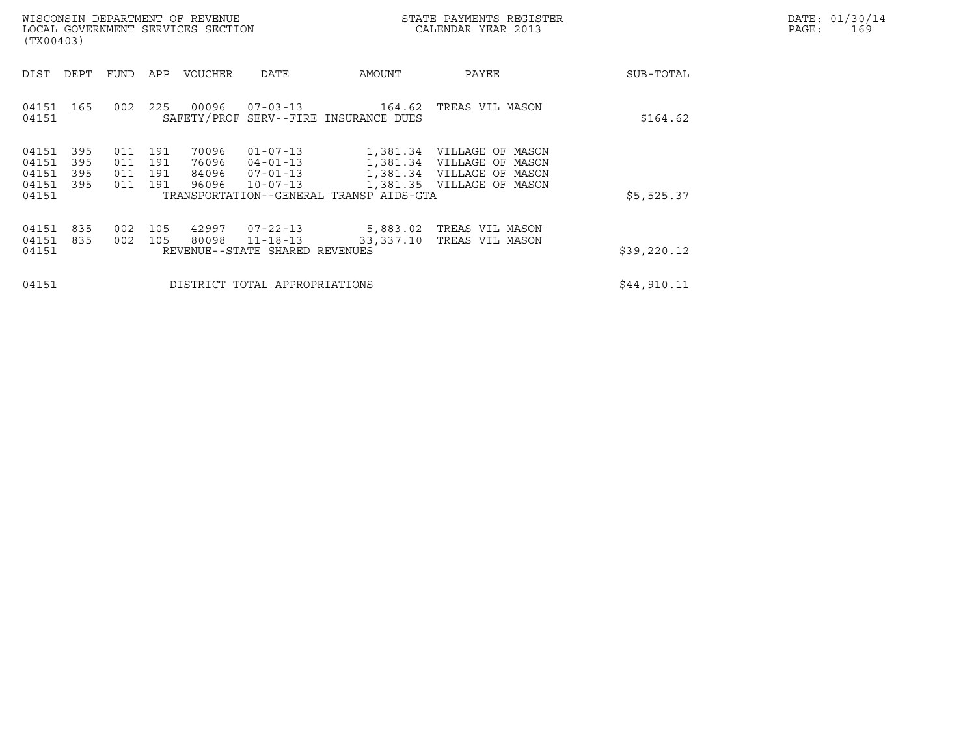|       | DATE: 01/30/14 |
|-------|----------------|
| PAGE: | 169            |

| WISCONSIN DEPARTMENT OF REVENUE<br>LOCAL GOVERNMENT SERVICES SECTION<br>(TX00403)                                                                                                   | STATE PAYMENTS REGISTER<br>CALENDAR YEAR 2013                                                                        |                                                                                     | DATE: 01/30/14<br>PAGE:<br>169 |  |
|-------------------------------------------------------------------------------------------------------------------------------------------------------------------------------------|----------------------------------------------------------------------------------------------------------------------|-------------------------------------------------------------------------------------|--------------------------------|--|
| DIST<br>DEPT<br>FUND<br>APP<br>VOUCHER                                                                                                                                              | DATE<br>AMOUNT                                                                                                       | PAYEE                                                                               | SUB-TOTAL                      |  |
| 00096<br>225<br>04151 165<br>002<br>04151                                                                                                                                           | 07-03-13<br>164.62<br>SAFETY/PROF SERV--FIRE INSURANCE DUES                                                          | TREAS VIL MASON                                                                     | \$164.62                       |  |
| 395<br>70096<br>04151<br>191<br>011<br>04151<br>395<br>011<br>191<br>76096<br>04151<br>395<br>191<br>84096<br>$07 - 01 - 13$<br>011<br>04151<br>395<br>011<br>191<br>96096<br>04151 | $01 - 07 - 13$<br>04-01-13<br>1,381.34 VILLAGE OF MASON<br>$10 - 07 - 13$<br>TRANSPORTATION--GENERAL TRANSP AIDS-GTA | 1,381.34 VILLAGE OF MASON<br>1,381.34 VILLAGE OF MASON<br>1,381.35 VILLAGE OF MASON | \$5,525.37                     |  |
| 04151<br>835<br>105<br>42997<br>002<br>80098<br>04151<br>835<br>002<br>105<br>$11 - 18 - 13$<br>04151<br>REVENUE--STATE SHARED REVENUES                                             | 07-22-13<br>33,337.10                                                                                                | 5,883.02 TREAS VIL MASON<br>TREAS VIL MASON                                         | \$39,220.12                    |  |
| 04151<br>DISTRICT TOTAL APPROPRIATIONS                                                                                                                                              |                                                                                                                      |                                                                                     | \$44,910.11                    |  |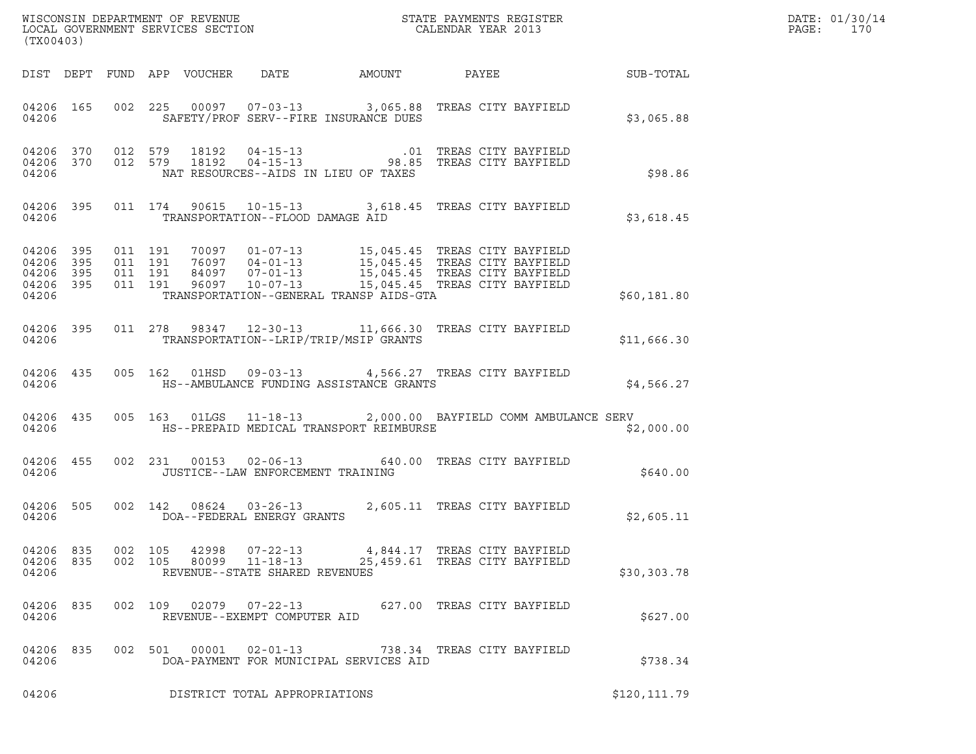| WISCONSIN DEPARTMENT OF REVENUE ${\small \begin{array}{ll} \texttt{MISCONS} \\ \texttt{LOCAL} \end{array}} {\small \begin{array}{ll} \texttt{OCER} \\ \texttt{OCAL} \end{array}}$<br>(TX00403) |  |         |                                        |                                                                    |                                                                                                                                                                                                                                                                         |                                                                 |  |               | DATE: 01/30/14<br>PAGE:<br>170 |
|------------------------------------------------------------------------------------------------------------------------------------------------------------------------------------------------|--|---------|----------------------------------------|--------------------------------------------------------------------|-------------------------------------------------------------------------------------------------------------------------------------------------------------------------------------------------------------------------------------------------------------------------|-----------------------------------------------------------------|--|---------------|--------------------------------|
|                                                                                                                                                                                                |  |         |                                        |                                                                    | DIST DEPT FUND APP VOUCHER DATE AMOUNT PAYEE SUB-TOTAL                                                                                                                                                                                                                  |                                                                 |  |               |                                |
| 04206                                                                                                                                                                                          |  |         |                                        |                                                                    | 04206 165 002 225 00097 07-03-13 3,065.88 TREAS CITY BAYFIELD<br>SAFETY/PROF SERV--FIRE INSURANCE DUES                                                                                                                                                                  |                                                                 |  | \$3,065.88    |                                |
| 04206 370<br>04206                                                                                                                                                                             |  |         |                                        |                                                                    | 04206 370 012 579 18192 04-15-13 .01 TREAS CITY BAYFIELD<br>04206 370 012 579 18192 04-15-13 98.85 TREAS CITY BAYFIELD<br>NAT RESOURCES--AIDS IN LIEU OF TAXES                                                                                                          |                                                                 |  | \$98.86       |                                |
|                                                                                                                                                                                                |  |         | 04206 TRANSPORTATION--FLOOD DAMAGE AID |                                                                    | 04206 395 011 174 90615 10-15-13 3,618.45 TREAS CITY BAYFIELD                                                                                                                                                                                                           |                                                                 |  | \$3,618.45    |                                |
| 04206 395<br>04206 395<br>04206 395<br>04206 395<br>04206                                                                                                                                      |  |         |                                        |                                                                    | 011 191 70097 01-07-13 15,045.45 TREAS CITY BAYFIELD<br>011 191 76097 04-01-13 15,045.45 TREAS CITY BAYFIELD<br>011 191 96097 10-07-13 15,045.45 TREAS CITY BAYFIELD<br>011 191 96097 10-07-13 15,045.45 TREAS CITY BAYFIELD<br>TRANSPORTATION--GENERAL TRANSP AIDS-GTA |                                                                 |  | \$60,181.80   |                                |
| 04206                                                                                                                                                                                          |  |         |                                        |                                                                    | 04206 395 011 278 98347 12-30-13 11,666.30 TREAS CITY BAYFIELD<br>TRANSPORTATION--LRIP/TRIP/MSIP GRANTS                                                                                                                                                                 |                                                                 |  | \$11,666.30   |                                |
| 04206                                                                                                                                                                                          |  |         |                                        |                                                                    | 04206 435 005 162 01HSD 09-03-13 4,566.27 TREAS CITY BAYFIELD<br>HS--AMBULANCE FUNDING ASSISTANCE GRANTS                                                                                                                                                                |                                                                 |  | \$4,566.27    |                                |
| 04206                                                                                                                                                                                          |  |         |                                        |                                                                    | 04206 435 005 163 01LGS 11-18-13 2,000.00 BAYFIELD COMM AMBULANCE SERV<br>HS--PREPAID MEDICAL TRANSPORT REIMBURSE                                                                                                                                                       |                                                                 |  | \$2,000.00    |                                |
| 04206                                                                                                                                                                                          |  |         |                                        | JUSTICE--LAW ENFORCEMENT TRAINING                                  | 04206 455 002 231 00153 02-06-13 640.00 TREAS CITY BAYFIELD                                                                                                                                                                                                             |                                                                 |  | \$640.00      |                                |
| 04206 505<br>04206                                                                                                                                                                             |  |         |                                        |                                                                    | 002 142 08624 03-26-13 2,605.11 TREAS CITY BAYFIELD DOA--FEDERAL ENERGY GRANTS                                                                                                                                                                                          |                                                                 |  | \$2,605.11    |                                |
| 04206 835<br>04206 835<br>04206                                                                                                                                                                |  | 002 105 | 42998<br>002 105<br>80099              | $07 - 22 - 13$<br>$11 - 18 - 13$<br>REVENUE--STATE SHARED REVENUES |                                                                                                                                                                                                                                                                         | 4,844.17   TREAS CITY BAYFIELD<br>25,459.61 TREAS CITY BAYFIELD |  | \$30,303.78   |                                |
| 04206 835<br>04206                                                                                                                                                                             |  |         | 002 109                                | $02079$ $07 - 22 - 13$<br>REVENUE--EXEMPT COMPUTER AID             |                                                                                                                                                                                                                                                                         | 627.00 TREAS CITY BAYFIELD                                      |  | \$627.00      |                                |
| 04206 835<br>04206                                                                                                                                                                             |  |         | 002 501<br>00001                       | $02 - 01 - 13$                                                     | DOA-PAYMENT FOR MUNICIPAL SERVICES AID                                                                                                                                                                                                                                  | 738.34 TREAS CITY BAYFIELD                                      |  | \$738.34      |                                |
| 04206                                                                                                                                                                                          |  |         |                                        | DISTRICT TOTAL APPROPRIATIONS                                      |                                                                                                                                                                                                                                                                         |                                                                 |  | \$120, 111.79 |                                |